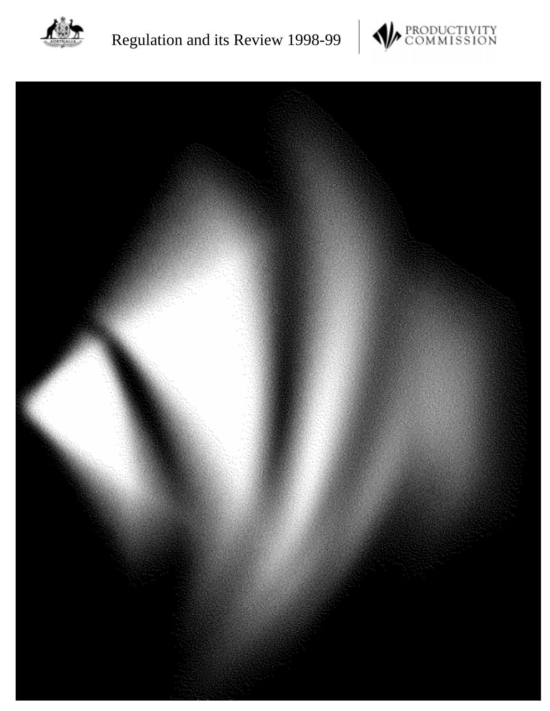

# Regulation and its Review 1998-99



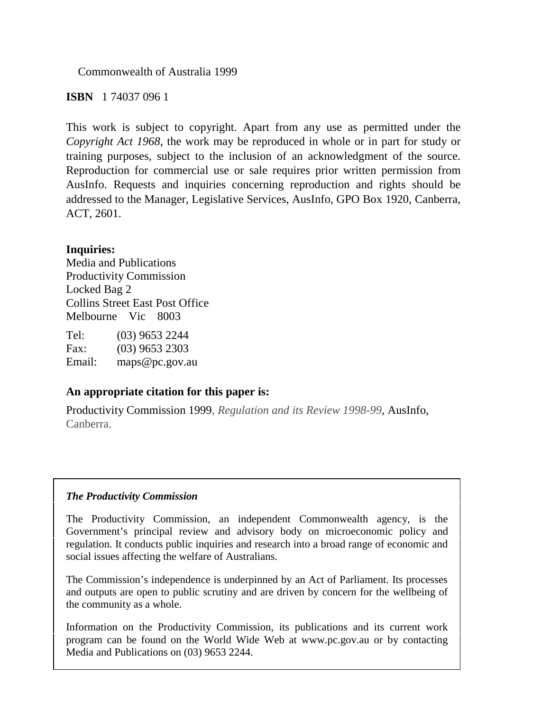Commonwealth of Australia 1999

**ISBN** 1 74037 096 1

This work is subject to copyright. Apart from any use as permitted under the *Copyright Act 1968*, the work may be reproduced in whole or in part for study or training purposes, subject to the inclusion of an acknowledgment of the source. Reproduction for commercial use or sale requires prior written permission from AusInfo. Requests and inquiries concerning reproduction and rights should be addressed to the Manager, Legislative Services, AusInfo, GPO Box 1920, Canberra, ACT, 2601.

**Inquiries:** Media and Publications Productivity Commission Locked Bag 2 Collins Street East Post Office Melbourne Vic 8003 Tel: (03) 9653 2244 Fax: (03) 9653 2303 Email: maps@pc.gov.au

#### **An appropriate citation for this paper is:**

Productivity Commission 1999, *Regulation and its Review 1998-99*, AusInfo, Canberra.

#### *The Productivity Commission*

The Productivity Commission, an independent Commonwealth agency, is the Government's principal review and advisory body on microeconomic policy and regulation. It conducts public inquiries and research into a broad range of economic and social issues affecting the welfare of Australians.

The Commission's independence is underpinned by an Act of Parliament. Its processes and outputs are open to public scrutiny and are driven by concern for the wellbeing of the community as a whole.

Information on the Productivity Commission, its publications and its current work program can be found on the World Wide Web at www.pc.gov.au or by contacting Media and Publications on (03) 9653 2244.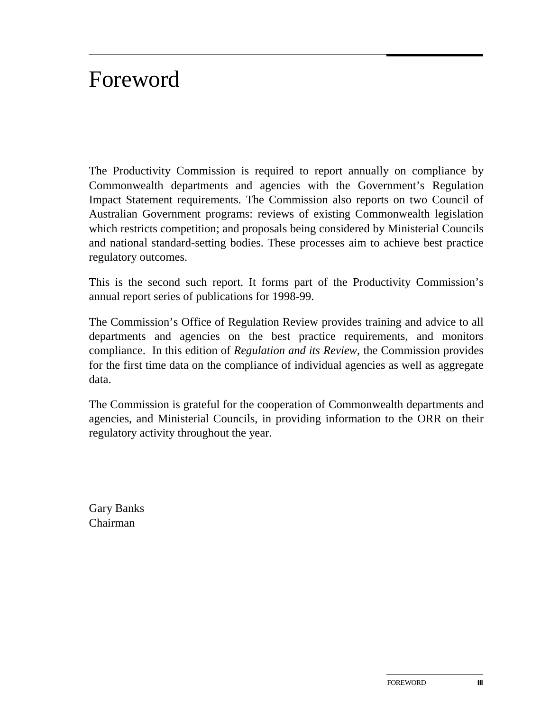# Foreword

The Productivity Commission is required to report annually on compliance by Commonwealth departments and agencies with the Government's Regulation Impact Statement requirements. The Commission also reports on two Council of Australian Government programs: reviews of existing Commonwealth legislation which restricts competition; and proposals being considered by Ministerial Councils and national standard-setting bodies. These processes aim to achieve best practice regulatory outcomes.

This is the second such report. It forms part of the Productivity Commission's annual report series of publications for 1998-99.

The Commission's Office of Regulation Review provides training and advice to all departments and agencies on the best practice requirements, and monitors compliance. In this edition of *Regulation and its Review*, the Commission provides for the first time data on the compliance of individual agencies as well as aggregate data.

The Commission is grateful for the cooperation of Commonwealth departments and agencies, and Ministerial Councils, in providing information to the ORR on their regulatory activity throughout the year.

Gary Banks Chairman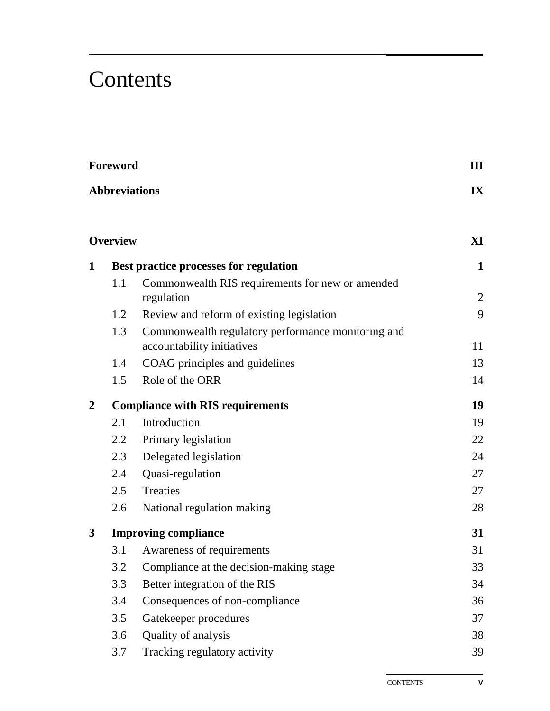# **Contents**

| Foreword     |                                         | III                                                                              |                |
|--------------|-----------------------------------------|----------------------------------------------------------------------------------|----------------|
|              | <b>Abbreviations</b>                    |                                                                                  | IX             |
|              | Overview                                |                                                                                  | XI             |
| 1            |                                         | Best practice processes for regulation                                           | $\mathbf{1}$   |
|              | 1.1                                     | Commonwealth RIS requirements for new or amended<br>regulation                   | $\overline{2}$ |
|              | 1.2                                     | Review and reform of existing legislation                                        | 9              |
|              | 1.3                                     | Commonwealth regulatory performance monitoring and<br>accountability initiatives | 11             |
|              | 1.4                                     | COAG principles and guidelines                                                   | 13             |
|              | 1.5                                     | Role of the ORR                                                                  | 14             |
| $\mathbf{2}$ | <b>Compliance with RIS requirements</b> |                                                                                  | 19             |
|              | 2.1                                     | Introduction                                                                     | 19             |
|              | 2.2                                     | Primary legislation                                                              | 22             |
|              | 2.3                                     | Delegated legislation                                                            | 24             |
|              | 2.4                                     | Quasi-regulation                                                                 | 27             |
|              | 2.5                                     | Treaties                                                                         | 27             |
|              | 2.6                                     | National regulation making                                                       | 28             |
| $\mathbf{3}$ | <b>Improving compliance</b>             |                                                                                  | 31             |
|              | 3.1                                     | Awareness of requirements                                                        | 31             |
|              | 3.2                                     | Compliance at the decision-making stage                                          | 33             |
|              | 3.3                                     | Better integration of the RIS                                                    | 34             |
|              | 3.4                                     | Consequences of non-compliance                                                   | 36             |
|              | 3.5                                     | Gatekeeper procedures                                                            | 37             |
|              | 3.6                                     | Quality of analysis                                                              | 38             |
|              | 3.7                                     | Tracking regulatory activity                                                     | 39             |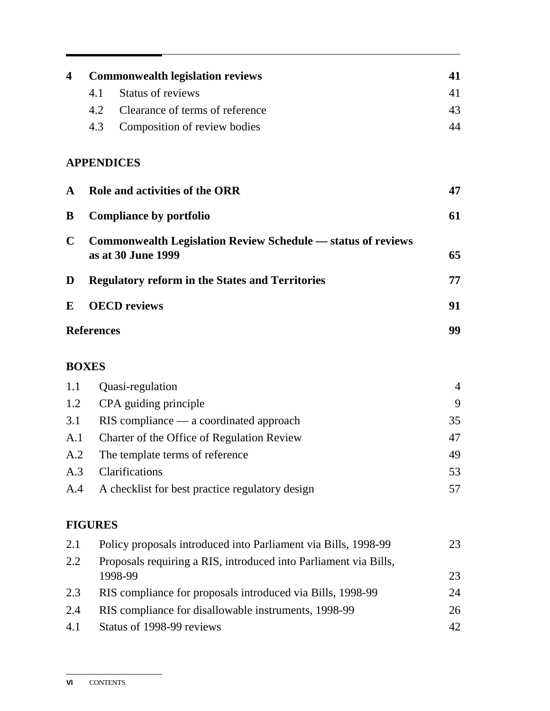| $\overline{\mathbf{4}}$ |                                                                                           | <b>Commonwealth legislation reviews</b>                          | 41             |
|-------------------------|-------------------------------------------------------------------------------------------|------------------------------------------------------------------|----------------|
|                         | 4.1                                                                                       | <b>Status of reviews</b>                                         | 41             |
|                         | 4.2                                                                                       | Clearance of terms of reference                                  | 43             |
|                         | 4.3                                                                                       | Composition of review bodies                                     | 44             |
|                         | <b>APPENDICES</b>                                                                         |                                                                  |                |
| $\mathbf{A}$            |                                                                                           | <b>Role and activities of the ORR</b>                            | 47             |
| B                       |                                                                                           | <b>Compliance by portfolio</b>                                   | 61             |
| $\mathbf C$             | <b>Commonwealth Legislation Review Schedule — status of reviews</b><br>as at 30 June 1999 |                                                                  |                |
| D                       |                                                                                           | <b>Regulatory reform in the States and Territories</b>           | 77             |
| E                       | <b>OECD</b> reviews                                                                       |                                                                  |                |
|                         | <b>References</b>                                                                         |                                                                  | 99             |
| <b>BOXES</b>            |                                                                                           |                                                                  |                |
| 1.1                     |                                                                                           | Quasi-regulation                                                 | $\overline{4}$ |
| 1.2                     |                                                                                           | CPA guiding principle                                            | 9              |
| 3.1                     |                                                                                           | RIS compliance — a coordinated approach                          | 35             |
| A.1                     |                                                                                           | Charter of the Office of Regulation Review                       | 47             |
| A.2                     |                                                                                           | The template terms of reference                                  | 49             |
| A.3                     |                                                                                           | Clarifications                                                   | 53             |
| A.4                     |                                                                                           | A checklist for best practice regulatory design                  | 57             |
|                         | <b>FIGURES</b>                                                                            |                                                                  |                |
| 2.1                     |                                                                                           | Policy proposals introduced into Parliament via Bills, 1998-99   | 23             |
| 2.2                     | 1998-99                                                                                   | Proposals requiring a RIS, introduced into Parliament via Bills, | 23             |
| 2.3                     |                                                                                           | RIS compliance for proposals introduced via Bills, 1998-99       | 24             |
| 2.4                     |                                                                                           | RIS compliance for disallowable instruments, 1998-99             | 26             |
| 4.1                     |                                                                                           | Status of 1998-99 reviews                                        | 42             |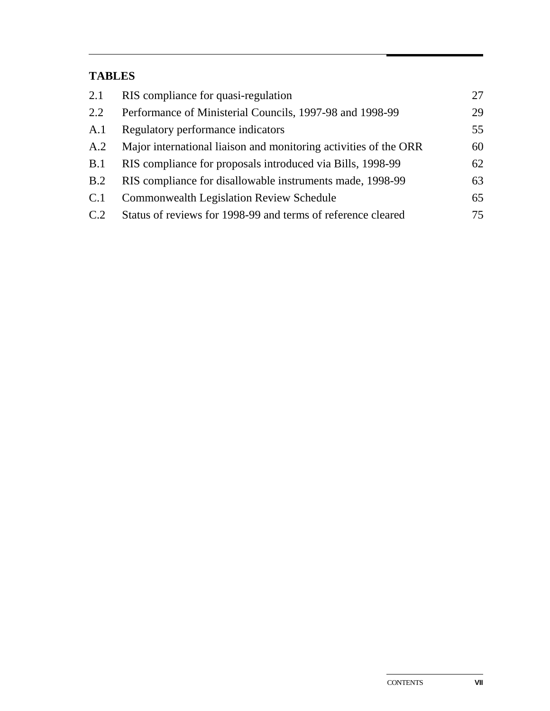## **TABLES**

| 2.1 | RIS compliance for quasi-regulation                              | 27 |
|-----|------------------------------------------------------------------|----|
| 2.2 | Performance of Ministerial Councils, 1997-98 and 1998-99         | 29 |
| A.1 | Regulatory performance indicators                                | 55 |
| A.2 | Major international liaison and monitoring activities of the ORR | 60 |
| B.1 | RIS compliance for proposals introduced via Bills, 1998-99       | 62 |
| B.2 | RIS compliance for disallowable instruments made, 1998-99        | 63 |
| C.1 | <b>Commonwealth Legislation Review Schedule</b>                  | 65 |
| C.2 | Status of reviews for 1998-99 and terms of reference cleared     | 75 |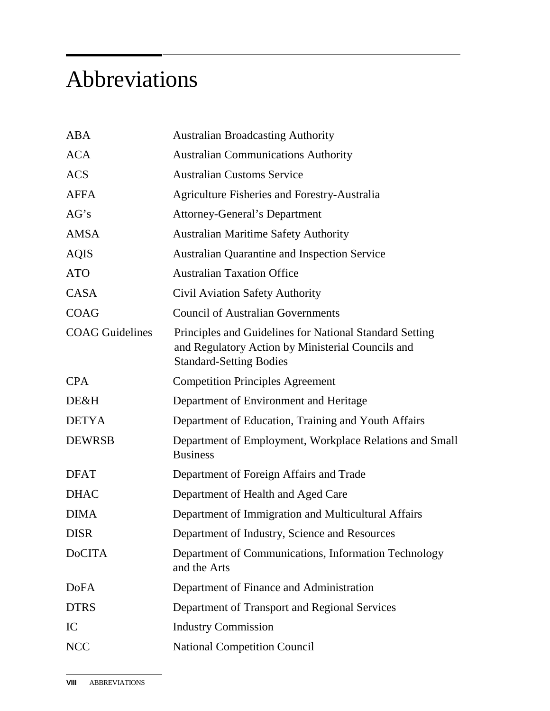# Abbreviations

| <b>ABA</b>             | <b>Australian Broadcasting Authority</b>                                                                                                       |
|------------------------|------------------------------------------------------------------------------------------------------------------------------------------------|
| <b>ACA</b>             | <b>Australian Communications Authority</b>                                                                                                     |
| <b>ACS</b>             | <b>Australian Customs Service</b>                                                                                                              |
| <b>AFFA</b>            | Agriculture Fisheries and Forestry-Australia                                                                                                   |
| AG's                   | <b>Attorney-General's Department</b>                                                                                                           |
| AMSA                   | <b>Australian Maritime Safety Authority</b>                                                                                                    |
| <b>AQIS</b>            | Australian Quarantine and Inspection Service                                                                                                   |
| <b>ATO</b>             | <b>Australian Taxation Office</b>                                                                                                              |
| CASA                   | Civil Aviation Safety Authority                                                                                                                |
| <b>COAG</b>            | <b>Council of Australian Governments</b>                                                                                                       |
| <b>COAG</b> Guidelines | Principles and Guidelines for National Standard Setting<br>and Regulatory Action by Ministerial Councils and<br><b>Standard-Setting Bodies</b> |
| <b>CPA</b>             | <b>Competition Principles Agreement</b>                                                                                                        |
| DE&H                   | Department of Environment and Heritage                                                                                                         |
| <b>DETYA</b>           | Department of Education, Training and Youth Affairs                                                                                            |
| <b>DEWRSB</b>          | Department of Employment, Workplace Relations and Small<br><b>Business</b>                                                                     |
| <b>DFAT</b>            | Department of Foreign Affairs and Trade                                                                                                        |
| <b>DHAC</b>            | Department of Health and Aged Care                                                                                                             |
| <b>DIMA</b>            | Department of Immigration and Multicultural Affairs                                                                                            |
| <b>DISR</b>            | Department of Industry, Science and Resources                                                                                                  |
| <b>DoCITA</b>          | Department of Communications, Information Technology<br>and the Arts                                                                           |
| <b>DoFA</b>            | Department of Finance and Administration                                                                                                       |
| <b>DTRS</b>            | Department of Transport and Regional Services                                                                                                  |
| IC                     | <b>Industry Commission</b>                                                                                                                     |
| <b>NCC</b>             | <b>National Competition Council</b>                                                                                                            |
|                        |                                                                                                                                                |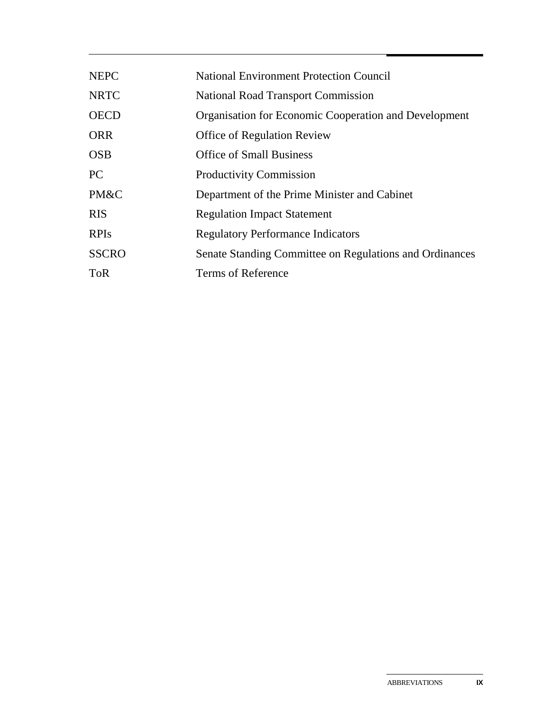| <b>NEPC</b>  | <b>National Environment Protection Council</b>               |
|--------------|--------------------------------------------------------------|
| <b>NRTC</b>  | <b>National Road Transport Commission</b>                    |
| <b>OECD</b>  | <b>Organisation for Economic Cooperation and Development</b> |
| <b>ORR</b>   | <b>Office of Regulation Review</b>                           |
| <b>OSB</b>   | <b>Office of Small Business</b>                              |
| <b>PC</b>    | <b>Productivity Commission</b>                               |
| PM&C         | Department of the Prime Minister and Cabinet                 |
| <b>RIS</b>   | <b>Regulation Impact Statement</b>                           |
| <b>RPIs</b>  | <b>Regulatory Performance Indicators</b>                     |
| <b>SSCRO</b> | Senate Standing Committee on Regulations and Ordinances      |
| <b>ToR</b>   | <b>Terms of Reference</b>                                    |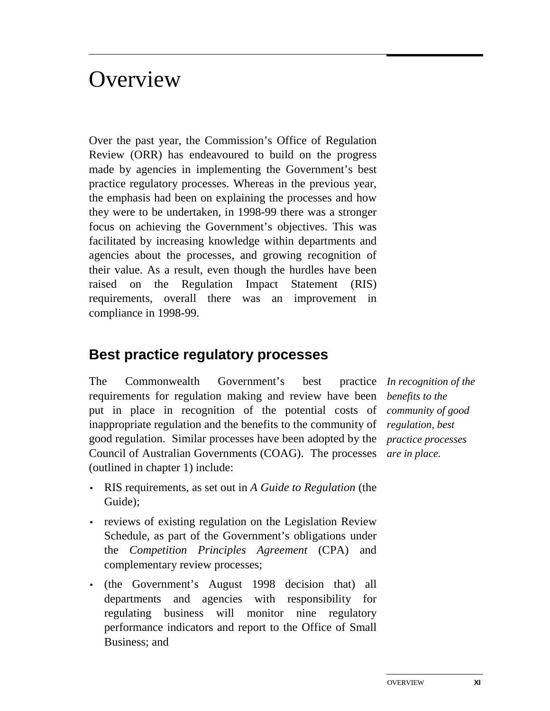# **Overview**

Over the past year, the Commission's Office of Regulation Review (ORR) has endeavoured to build on the progress made by agencies in implementing the Government's best practice regulatory processes. Whereas in the previous year, the emphasis had been on explaining the processes and how they were to be undertaken, in 1998-99 there was a stronger focus on achieving the Government's objectives. This was facilitated by increasing knowledge within departments and agencies about the processes, and growing recognition of their value. As a result, even though the hurdles have been raised on the Regulation Impact Statement (RIS) requirements, overall there was an improvement in compliance in 1998-99.

## **Best practice regulatory processes**

The Commonwealth Government's best requirements for regulation making and review have been put in place in recognition of the potential costs of inappropriate regulation and the benefits to the community of good regulation. Similar processes have been adopted by the *practice processes* Council of Australian Governments (COAG). The processes *are in place.*(outlined in chapter 1) include:

*In recognition of the benefits to the community of good regulation, best*

- RIS requirements, as set out in *A Guide to Regulation* (the Guide);
- reviews of existing regulation on the Legislation Review Schedule, as part of the Government's obligations under the *Competition Principles Agreement* (CPA) and complementary review processes;
- (the Government's August 1998 decision that) all departments and agencies with responsibility for regulating business will monitor nine regulatory performance indicators and report to the Office of Small Business; and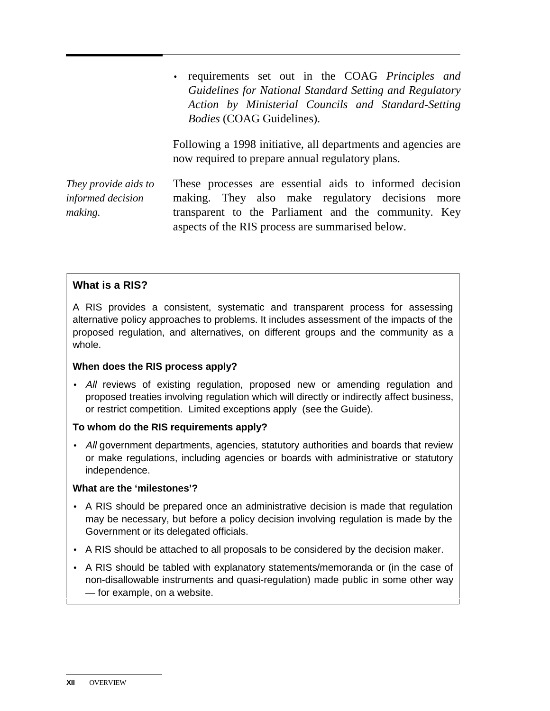• requirements set out in the COAG *Principles and Guidelines for National Standard Setting and Regulatory Action by Ministerial Councils and Standard-Setting Bodies* (COAG Guidelines). Following a 1998 initiative, all departments and agencies are now required to prepare annual regulatory plans. These processes are essential aids to informed decision making. They also make regulatory decisions more transparent to the Parliament and the community. Key aspects of the RIS process are summarised below. *They provide aids to informed decision making.*

#### **What is a RIS?**

A RIS provides a consistent, systematic and transparent process for assessing alternative policy approaches to problems. It includes assessment of the impacts of the proposed regulation, and alternatives, on different groups and the community as a whole.

#### **When does the RIS process apply?**

• All reviews of existing regulation, proposed new or amending regulation and proposed treaties involving regulation which will directly or indirectly affect business, or restrict competition. Limited exceptions apply (see the Guide).

#### **To whom do the RIS requirements apply?**

• All government departments, agencies, statutory authorities and boards that review or make regulations, including agencies or boards with administrative or statutory independence.

#### **What are the 'milestones'?**

- A RIS should be prepared once an administrative decision is made that regulation may be necessary, but before a policy decision involving regulation is made by the Government or its delegated officials.
- A RIS should be attached to all proposals to be considered by the decision maker.
- A RIS should be tabled with explanatory statements/memoranda or (in the case of non-disallowable instruments and quasi-regulation) made public in some other way — for example, on a website.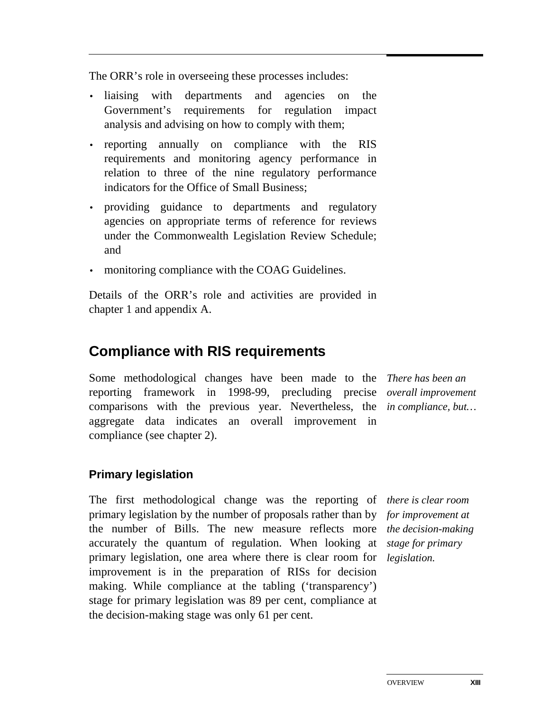The ORR's role in overseeing these processes includes:

- liaising with departments and agencies on the Government's requirements for regulation impact analysis and advising on how to comply with them;
- reporting annually on compliance with the RIS requirements and monitoring agency performance in relation to three of the nine regulatory performance indicators for the Office of Small Business;
- providing guidance to departments and regulatory agencies on appropriate terms of reference for reviews under the Commonwealth Legislation Review Schedule; and
- monitoring compliance with the COAG Guidelines.

Details of the ORR's role and activities are provided in chapter 1 and appendix A.

## **Compliance with RIS requirements**

Some methodological changes have been made to the *There has been an* reporting framework in 1998-99, precluding precise *overall improvement* comparisons with the previous year. Nevertheless, the *in compliance, but…* aggregate data indicates an overall improvement in compliance (see chapter 2).

#### **Primary legislation**

The first methodological change was the reporting of *there is clear room* primary legislation by the number of proposals rather than by *for improvement at* the number of Bills. The new measure reflects more *the decision-making* accurately the quantum of regulation. When looking at *stage for primary* primary legislation, one area where there is clear room for *legislation.*improvement is in the preparation of RISs for decision making. While compliance at the tabling ('transparency') stage for primary legislation was 89 per cent, compliance at the decision-making stage was only 61 per cent.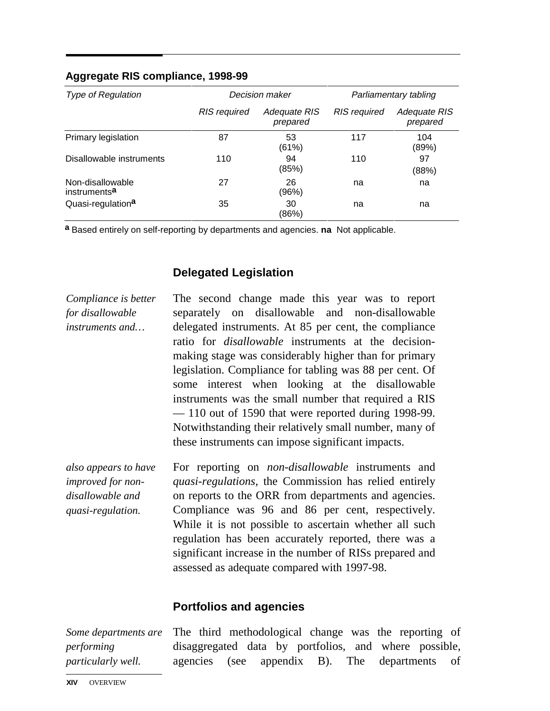| <b>Type of Regulation</b>                    | Decision maker      |                          | Parliamentary tabling |                          |
|----------------------------------------------|---------------------|--------------------------|-----------------------|--------------------------|
|                                              | <b>RIS</b> required | Adequate RIS<br>prepared | <b>RIS</b> required   | Adequate RIS<br>prepared |
| Primary legislation                          | 87                  | 53<br>(61%)              | 117                   | 104<br>(89%)             |
| Disallowable instruments                     | 110                 | 94<br>(85%)              | 110                   | 97<br>(88%)              |
| Non-disallowable<br>instruments <sup>a</sup> | 27                  | 26<br>(96%)              | na                    | na                       |
| Quasi-regulation <sup>a</sup>                | 35                  | 30<br>(86%)              | na                    | na                       |

#### **Aggregate RIS compliance, 1998-99**

**a** Based entirely on self-reporting by departments and agencies. **na** Not applicable.

#### **Delegated Legislation**

The second change made this year was to report separately on disallowable and non-disallowable delegated instruments. At 85 per cent, the compliance ratio for *disallowable* instruments at the decisionmaking stage was considerably higher than for primary legislation. Compliance for tabling was 88 per cent. Of some interest when looking at the disallowable instruments was the small number that required a RIS — 110 out of 1590 that were reported during 1998-99. Notwithstanding their relatively small number, many of these instruments can impose significant impacts. *Compliance is better for disallowable instruments and…*

For reporting on *non-disallowable* instruments and *quasi-regulations*, the Commission has relied entirely on reports to the ORR from departments and agencies. Compliance was 96 and 86 per cent, respectively. While it is not possible to ascertain whether all such regulation has been accurately reported, there was a significant increase in the number of RISs prepared and assessed as adequate compared with 1997-98. *also appears to have improved for nondisallowable and quasi-regulation.*

#### **Portfolios and agencies**

The third methodological change was the reporting of disaggregated data by portfolios, and where possible, agencies (see appendix B). The departments of *Some departments are performing particularly well.*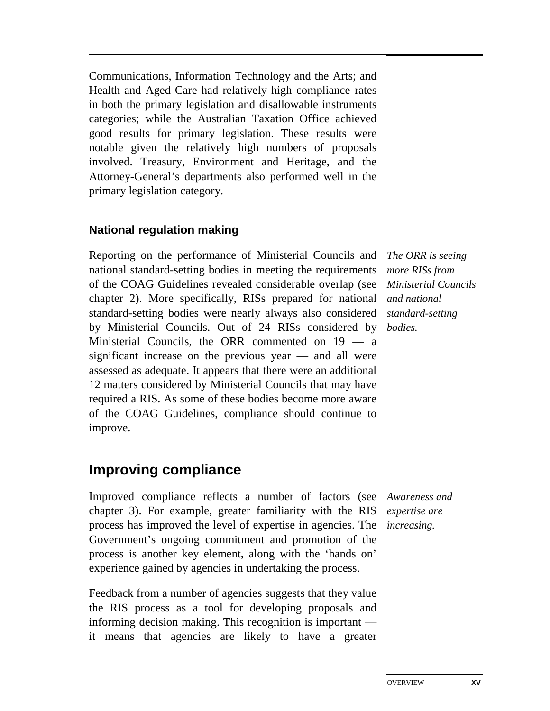Communications, Information Technology and the Arts; and Health and Aged Care had relatively high compliance rates in both the primary legislation and disallowable instruments categories; while the Australian Taxation Office achieved good results for primary legislation. These results were notable given the relatively high numbers of proposals involved. Treasury, Environment and Heritage, and the Attorney-General's departments also performed well in the primary legislation category.

#### **National regulation making**

Reporting on the performance of Ministerial Councils and national standard-setting bodies in meeting the requirements of the COAG Guidelines revealed considerable overlap (see *Ministerial Councils* chapter 2). More specifically, RISs prepared for national standard-setting bodies were nearly always also considered by Ministerial Councils. Out of 24 RISs considered by Ministerial Councils, the ORR commented on 19 — a significant increase on the previous year — and all were assessed as adequate. It appears that there were an additional 12 matters considered by Ministerial Councils that may have required a RIS. As some of these bodies become more aware of the COAG Guidelines, compliance should continue to improve.

*The ORR is seeing more RISs from and national standard-setting bodies.*

## **Improving compliance**

Improved compliance reflects a number of factors (see *Awareness and* chapter 3). For example, greater familiarity with the RIS process has improved the level of expertise in agencies. The *increasing.*Government's ongoing commitment and promotion of the process is another key element, along with the 'hands on' experience gained by agencies in undertaking the process.

Feedback from a number of agencies suggests that they value the RIS process as a tool for developing proposals and informing decision making. This recognition is important it means that agencies are likely to have a greater

*expertise are*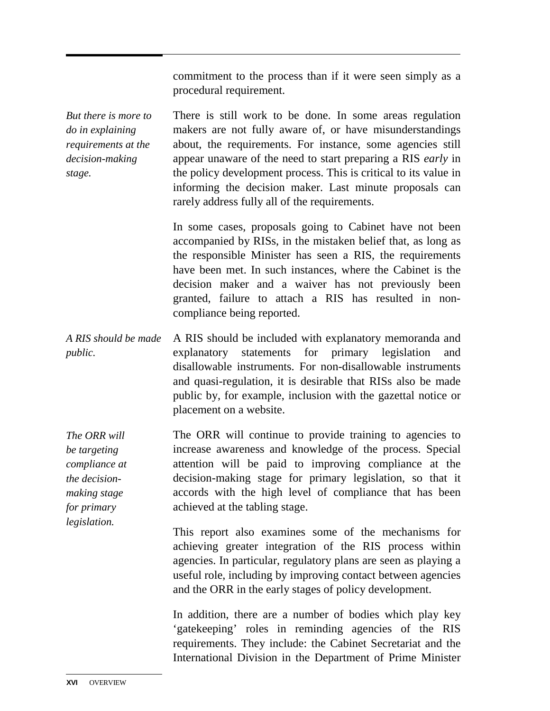commitment to the process than if it were seen simply as a procedural requirement.

There is still work to be done. In some areas regulation makers are not fully aware of, or have misunderstandings about, the requirements. For instance, some agencies still appear unaware of the need to start preparing a RIS *early* in the policy development process. This is critical to its value in informing the decision maker. Last minute proposals can rarely address fully all of the requirements. *But there is more to do in explaining requirements at the decision-making stage.*

> In some cases, proposals going to Cabinet have not been accompanied by RISs, in the mistaken belief that, as long as the responsible Minister has seen a RIS, the requirements have been met. In such instances, where the Cabinet is the decision maker and a waiver has not previously been granted, failure to attach a RIS has resulted in noncompliance being reported.

A RIS should be included with explanatory memoranda and explanatory statements for primary legislation and disallowable instruments. For non-disallowable instruments and quasi-regulation, it is desirable that RISs also be made public by, for example, inclusion with the gazettal notice or placement on a website. *A RIS should be made public.*

The ORR will continue to provide training to agencies to increase awareness and knowledge of the process. Special attention will be paid to improving compliance at the decision-making stage for primary legislation, so that it accords with the high level of compliance that has been achieved at the tabling stage. *The ORR will be targeting compliance at the decisionmaking stage for primary*

> This report also examines some of the mechanisms for achieving greater integration of the RIS process within agencies. In particular, regulatory plans are seen as playing a useful role, including by improving contact between agencies and the ORR in the early stages of policy development.

> In addition, there are a number of bodies which play key 'gatekeeping' roles in reminding agencies of the RIS requirements. They include: the Cabinet Secretariat and the International Division in the Department of Prime Minister

*legislation.*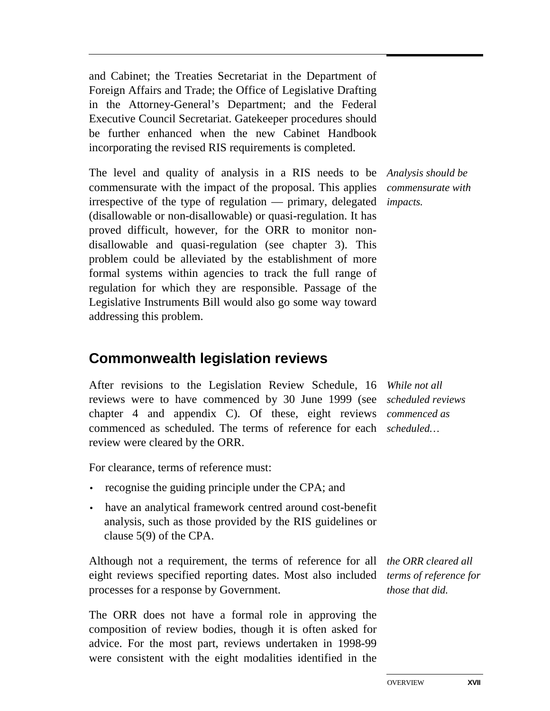and Cabinet; the Treaties Secretariat in the Department of Foreign Affairs and Trade; the Office of Legislative Drafting in the Attorney-General's Department; and the Federal Executive Council Secretariat. Gatekeeper procedures should be further enhanced when the new Cabinet Handbook incorporating the revised RIS requirements is completed.

The level and quality of analysis in a RIS needs to be commensurate with the impact of the proposal. This applies irrespective of the type of regulation — primary, delegated *impacts.* (disallowable or non-disallowable) or quasi-regulation. It has proved difficult, however, for the ORR to monitor nondisallowable and quasi-regulation (see chapter 3). This problem could be alleviated by the establishment of more formal systems within agencies to track the full range of regulation for which they are responsible. Passage of the Legislative Instruments Bill would also go some way toward addressing this problem.

*Analysis should be commensurate with*

# **Commonwealth legislation reviews**

After revisions to the Legislation Review Schedule, 16 *While not all* reviews were to have commenced by 30 June 1999 (see *scheduled reviews* chapter 4 and appendix C). Of these, eight reviews *commenced as* commenced as scheduled. The terms of reference for each *scheduled…* review were cleared by the ORR.

For clearance, terms of reference must:

- recognise the guiding principle under the CPA; and
- have an analytical framework centred around cost-benefit analysis, such as those provided by the RIS guidelines or clause 5(9) of the CPA.

Although not a requirement, the terms of reference for all *the ORR cleared all* eight reviews specified reporting dates. Most also included processes for a response by Government.

The ORR does not have a formal role in approving the composition of review bodies, though it is often asked for advice. For the most part, reviews undertaken in 1998-99 were consistent with the eight modalities identified in the

*terms of reference for those that did.*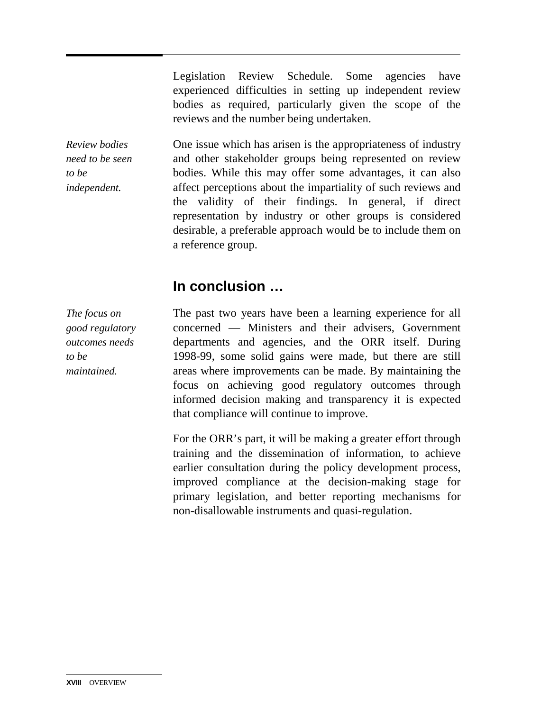Legislation Review Schedule. Some agencies have experienced difficulties in setting up independent review bodies as required, particularly given the scope of the reviews and the number being undertaken.

One issue which has arisen is the appropriateness of industry and other stakeholder groups being represented on review bodies. While this may offer some advantages, it can also affect perceptions about the impartiality of such reviews and the validity of their findings. In general, if direct representation by industry or other groups is considered desirable, a preferable approach would be to include them on a reference group. *Review bodies need to be seen to be independent.*

## **In conclusion …**

*The focus on good regulatory outcomes needs to be maintained.*

The past two years have been a learning experience for all concerned — Ministers and their advisers, Government departments and agencies, and the ORR itself. During 1998-99, some solid gains were made, but there are still areas where improvements can be made. By maintaining the focus on achieving good regulatory outcomes through informed decision making and transparency it is expected that compliance will continue to improve.

For the ORR's part, it will be making a greater effort through training and the dissemination of information, to achieve earlier consultation during the policy development process, improved compliance at the decision-making stage for primary legislation, and better reporting mechanisms for non-disallowable instruments and quasi-regulation.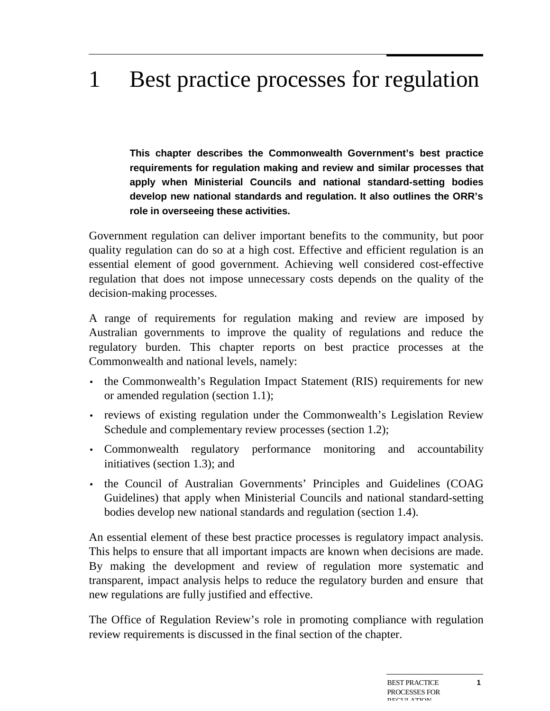# 1 Best practice processes for regulation

**This chapter describes the Commonwealth Government's best practice requirements for regulation making and review and similar processes that apply when Ministerial Councils and national standard-setting bodies develop new national standards and regulation. It also outlines the ORR's role in overseeing these activities.**

Government regulation can deliver important benefits to the community, but poor quality regulation can do so at a high cost. Effective and efficient regulation is an essential element of good government. Achieving well considered cost-effective regulation that does not impose unnecessary costs depends on the quality of the decision-making processes.

A range of requirements for regulation making and review are imposed by Australian governments to improve the quality of regulations and reduce the regulatory burden. This chapter reports on best practice processes at the Commonwealth and national levels, namely:

- the Commonwealth's Regulation Impact Statement (RIS) requirements for new or amended regulation (section 1.1);
- reviews of existing regulation under the Commonwealth's Legislation Review Schedule and complementary review processes (section 1.2);
- Commonwealth regulatory performance monitoring and accountability initiatives (section 1.3); and
- the Council of Australian Governments' Principles and Guidelines (COAG Guidelines) that apply when Ministerial Councils and national standard-setting bodies develop new national standards and regulation (section 1.4).

An essential element of these best practice processes is regulatory impact analysis. This helps to ensure that all important impacts are known when decisions are made. By making the development and review of regulation more systematic and transparent, impact analysis helps to reduce the regulatory burden and ensure that new regulations are fully justified and effective.

The Office of Regulation Review's role in promoting compliance with regulation review requirements is discussed in the final section of the chapter.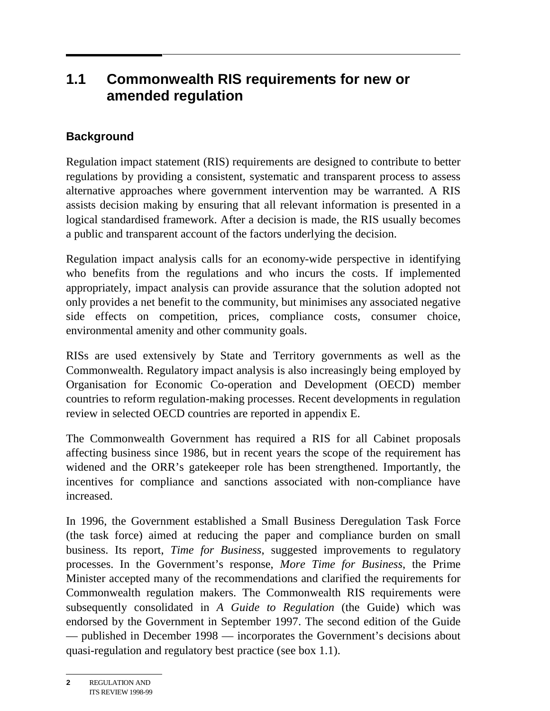## **1.1 Commonwealth RIS requirements for new or amended regulation**

## **Background**

Regulation impact statement (RIS) requirements are designed to contribute to better regulations by providing a consistent, systematic and transparent process to assess alternative approaches where government intervention may be warranted. A RIS assists decision making by ensuring that all relevant information is presented in a logical standardised framework. After a decision is made, the RIS usually becomes a public and transparent account of the factors underlying the decision.

Regulation impact analysis calls for an economy-wide perspective in identifying who benefits from the regulations and who incurs the costs. If implemented appropriately, impact analysis can provide assurance that the solution adopted not only provides a net benefit to the community, but minimises any associated negative side effects on competition, prices, compliance costs, consumer choice, environmental amenity and other community goals.

RISs are used extensively by State and Territory governments as well as the Commonwealth. Regulatory impact analysis is also increasingly being employed by Organisation for Economic Co-operation and Development (OECD) member countries to reform regulation-making processes. Recent developments in regulation review in selected OECD countries are reported in appendix E.

The Commonwealth Government has required a RIS for all Cabinet proposals affecting business since 1986, but in recent years the scope of the requirement has widened and the ORR's gatekeeper role has been strengthened. Importantly, the incentives for compliance and sanctions associated with non-compliance have increased.

In 1996, the Government established a Small Business Deregulation Task Force (the task force) aimed at reducing the paper and compliance burden on small business. Its report, *Time for Business*, suggested improvements to regulatory processes. In the Government's response, *More Time for Business*, the Prime Minister accepted many of the recommendations and clarified the requirements for Commonwealth regulation makers. The Commonwealth RIS requirements were subsequently consolidated in *A Guide to Regulation* (the Guide) which was endorsed by the Government in September 1997. The second edition of the Guide — published in December 1998 — incorporates the Government's decisions about quasi-regulation and regulatory best practice (see box 1.1).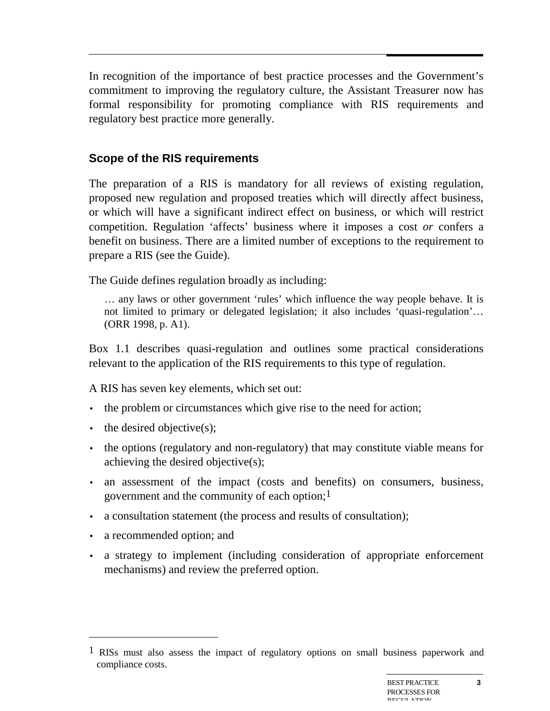In recognition of the importance of best practice processes and the Government's commitment to improving the regulatory culture, the Assistant Treasurer now has formal responsibility for promoting compliance with RIS requirements and regulatory best practice more generally.

#### **Scope of the RIS requirements**

The preparation of a RIS is mandatory for all reviews of existing regulation, proposed new regulation and proposed treaties which will directly affect business, or which will have a significant indirect effect on business, or which will restrict competition. Regulation 'affects' business where it imposes a cost *or* confers a benefit on business. There are a limited number of exceptions to the requirement to prepare a RIS (see the Guide).

The Guide defines regulation broadly as including:

… any laws or other government 'rules' which influence the way people behave. It is not limited to primary or delegated legislation; it also includes 'quasi-regulation'… (ORR 1998, p. A1).

Box 1.1 describes quasi-regulation and outlines some practical considerations relevant to the application of the RIS requirements to this type of regulation.

A RIS has seven key elements, which set out:

- the problem or circumstances which give rise to the need for action;
- $\bullet$  the desired objective(s);
- the options (regulatory and non-regulatory) that may constitute viable means for achieving the desired objective(s);
- an assessment of the impact (costs and benefits) on consumers, business, government and the community of each option;1
- a consultation statement (the process and results of consultation);
- a recommended option; and

 $\overline{a}$ 

• a strategy to implement (including consideration of appropriate enforcement mechanisms) and review the preferred option.

<sup>&</sup>lt;sup>1</sup> RISs must also assess the impact of regulatory options on small business paperwork and compliance costs.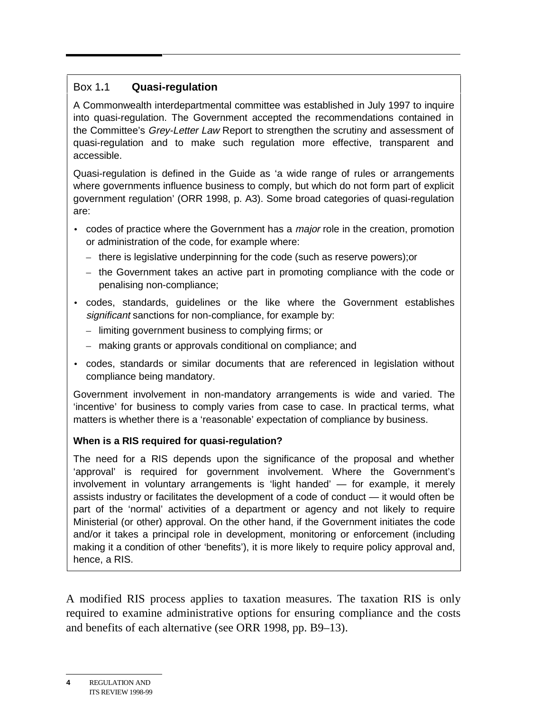#### Box 1**.**1 **Quasi-regulation**

A Commonwealth interdepartmental committee was established in July 1997 to inquire into quasi-regulation. The Government accepted the recommendations contained in the Committee's *Grev-Letter Law* Report to strengthen the scrutiny and assessment of quasi-regulation and to make such regulation more effective, transparent and accessible.

Quasi-regulation is defined in the Guide as 'a wide range of rules or arrangements where governments influence business to comply, but which do not form part of explicit government regulation' (ORR 1998, p. A3). Some broad categories of quasi-regulation are:

- codes of practice where the Government has a *major* role in the creation, promotion or administration of the code, for example where:
	- there is legislative underpinning for the code (such as reserve powers);or
	- the Government takes an active part in promoting compliance with the code or penalising non-compliance;
- codes, standards, guidelines or the like where the Government establishes significant sanctions for non-compliance, for example by:
	- limiting government business to complying firms; or
	- making grants or approvals conditional on compliance; and
- codes, standards or similar documents that are referenced in legislation without compliance being mandatory.

Government involvement in non-mandatory arrangements is wide and varied. The 'incentive' for business to comply varies from case to case. In practical terms, what matters is whether there is a 'reasonable' expectation of compliance by business.

#### **When is a RIS required for quasi-regulation?**

The need for a RIS depends upon the significance of the proposal and whether 'approval' is required for government involvement. Where the Government's involvement in voluntary arrangements is 'light handed' — for example, it merely assists industry or facilitates the development of a code of conduct — it would often be part of the 'normal' activities of a department or agency and not likely to require Ministerial (or other) approval. On the other hand, if the Government initiates the code and/or it takes a principal role in development, monitoring or enforcement (including making it a condition of other 'benefits'), it is more likely to require policy approval and, hence, a RIS.

A modified RIS process applies to taxation measures. The taxation RIS is only required to examine administrative options for ensuring compliance and the costs and benefits of each alternative (see ORR 1998, pp. B9–13).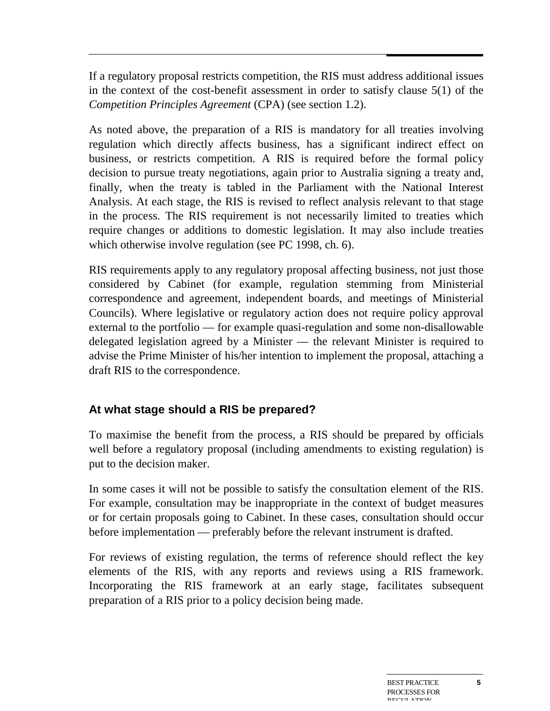If a regulatory proposal restricts competition, the RIS must address additional issues in the context of the cost-benefit assessment in order to satisfy clause 5(1) of the *Competition Principles Agreement* (CPA) (see section 1.2).

As noted above, the preparation of a RIS is mandatory for all treaties involving regulation which directly affects business, has a significant indirect effect on business, or restricts competition. A RIS is required before the formal policy decision to pursue treaty negotiations, again prior to Australia signing a treaty and, finally, when the treaty is tabled in the Parliament with the National Interest Analysis. At each stage, the RIS is revised to reflect analysis relevant to that stage in the process. The RIS requirement is not necessarily limited to treaties which require changes or additions to domestic legislation. It may also include treaties which otherwise involve regulation (see PC 1998, ch. 6).

RIS requirements apply to any regulatory proposal affecting business, not just those considered by Cabinet (for example, regulation stemming from Ministerial correspondence and agreement, independent boards, and meetings of Ministerial Councils). Where legislative or regulatory action does not require policy approval external to the portfolio — for example quasi-regulation and some non-disallowable delegated legislation agreed by a Minister — the relevant Minister is required to advise the Prime Minister of his/her intention to implement the proposal, attaching a draft RIS to the correspondence.

#### **At what stage should a RIS be prepared?**

To maximise the benefit from the process, a RIS should be prepared by officials well before a regulatory proposal (including amendments to existing regulation) is put to the decision maker.

In some cases it will not be possible to satisfy the consultation element of the RIS. For example, consultation may be inappropriate in the context of budget measures or for certain proposals going to Cabinet. In these cases, consultation should occur before implementation — preferably before the relevant instrument is drafted.

For reviews of existing regulation, the terms of reference should reflect the key elements of the RIS, with any reports and reviews using a RIS framework. Incorporating the RIS framework at an early stage, facilitates subsequent preparation of a RIS prior to a policy decision being made.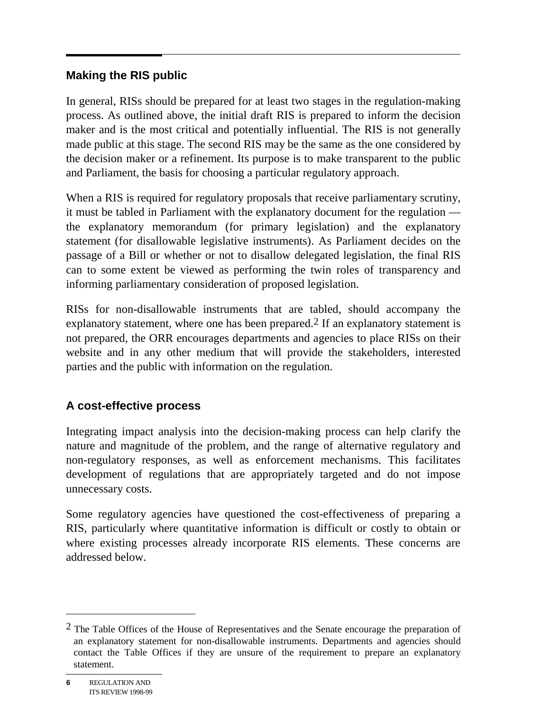### **Making the RIS public**

In general, RISs should be prepared for at least two stages in the regulation-making process. As outlined above, the initial draft RIS is prepared to inform the decision maker and is the most critical and potentially influential. The RIS is not generally made public at this stage. The second RIS may be the same as the one considered by the decision maker or a refinement. Its purpose is to make transparent to the public and Parliament, the basis for choosing a particular regulatory approach.

When a RIS is required for regulatory proposals that receive parliamentary scrutiny, it must be tabled in Parliament with the explanatory document for the regulation the explanatory memorandum (for primary legislation) and the explanatory statement (for disallowable legislative instruments). As Parliament decides on the passage of a Bill or whether or not to disallow delegated legislation, the final RIS can to some extent be viewed as performing the twin roles of transparency and informing parliamentary consideration of proposed legislation.

RISs for non-disallowable instruments that are tabled, should accompany the explanatory statement, where one has been prepared.<sup>2</sup> If an explanatory statement is not prepared, the ORR encourages departments and agencies to place RISs on their website and in any other medium that will provide the stakeholders, interested parties and the public with information on the regulation.

#### **A cost-effective process**

Integrating impact analysis into the decision-making process can help clarify the nature and magnitude of the problem, and the range of alternative regulatory and non-regulatory responses, as well as enforcement mechanisms. This facilitates development of regulations that are appropriately targeted and do not impose unnecessary costs.

Some regulatory agencies have questioned the cost-effectiveness of preparing a RIS, particularly where quantitative information is difficult or costly to obtain or where existing processes already incorporate RIS elements. These concerns are addressed below.

 $\overline{a}$ 

 $<sup>2</sup>$  The Table Offices of the House of Representatives and the Senate encourage the preparation of</sup> an explanatory statement for non-disallowable instruments. Departments and agencies should contact the Table Offices if they are unsure of the requirement to prepare an explanatory statement.

**<sup>6</sup>** REGULATION AND ITS REVIEW 1998-99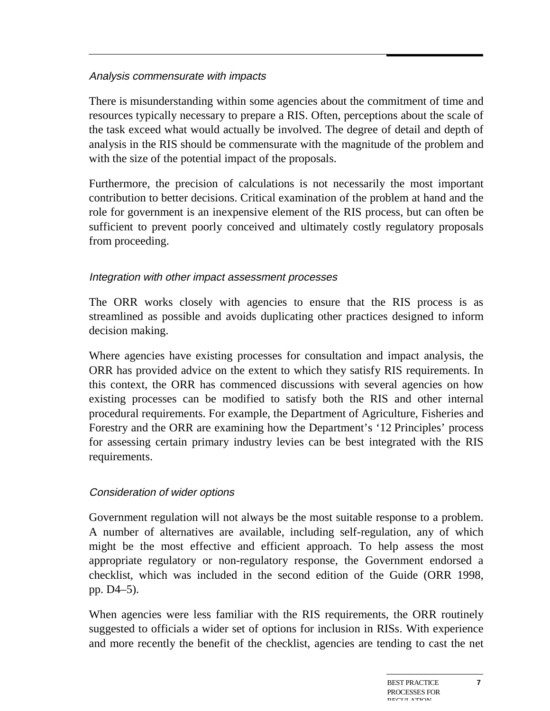#### Analysis commensurate with impacts

There is misunderstanding within some agencies about the commitment of time and resources typically necessary to prepare a RIS. Often, perceptions about the scale of the task exceed what would actually be involved. The degree of detail and depth of analysis in the RIS should be commensurate with the magnitude of the problem and with the size of the potential impact of the proposals.

Furthermore, the precision of calculations is not necessarily the most important contribution to better decisions. Critical examination of the problem at hand and the role for government is an inexpensive element of the RIS process, but can often be sufficient to prevent poorly conceived and ultimately costly regulatory proposals from proceeding.

#### Integration with other impact assessment processes

The ORR works closely with agencies to ensure that the RIS process is as streamlined as possible and avoids duplicating other practices designed to inform decision making.

Where agencies have existing processes for consultation and impact analysis, the ORR has provided advice on the extent to which they satisfy RIS requirements. In this context, the ORR has commenced discussions with several agencies on how existing processes can be modified to satisfy both the RIS and other internal procedural requirements. For example, the Department of Agriculture, Fisheries and Forestry and the ORR are examining how the Department's '12 Principles' process for assessing certain primary industry levies can be best integrated with the RIS requirements.

#### Consideration of wider options

Government regulation will not always be the most suitable response to a problem. A number of alternatives are available, including self-regulation, any of which might be the most effective and efficient approach. To help assess the most appropriate regulatory or non-regulatory response, the Government endorsed a checklist, which was included in the second edition of the Guide (ORR 1998, pp. D4–5).

When agencies were less familiar with the RIS requirements, the ORR routinely suggested to officials a wider set of options for inclusion in RISs. With experience and more recently the benefit of the checklist, agencies are tending to cast the net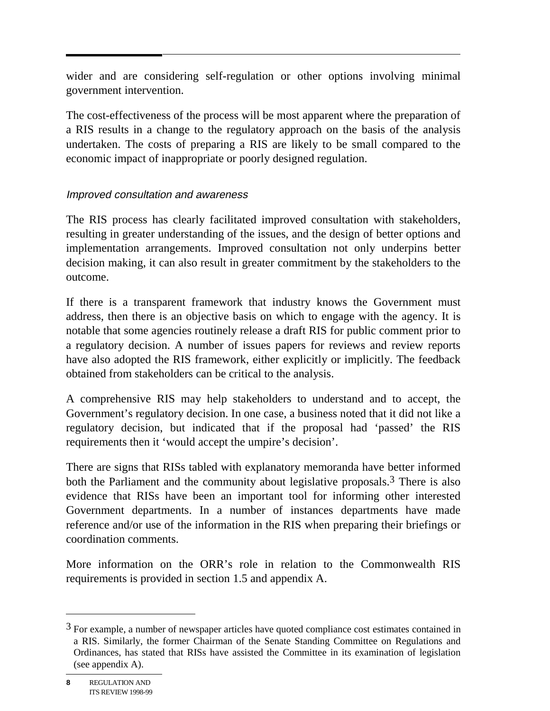wider and are considering self-regulation or other options involving minimal government intervention.

The cost-effectiveness of the process will be most apparent where the preparation of a RIS results in a change to the regulatory approach on the basis of the analysis undertaken. The costs of preparing a RIS are likely to be small compared to the economic impact of inappropriate or poorly designed regulation.

#### Improved consultation and awareness

The RIS process has clearly facilitated improved consultation with stakeholders, resulting in greater understanding of the issues, and the design of better options and implementation arrangements. Improved consultation not only underpins better decision making, it can also result in greater commitment by the stakeholders to the outcome.

If there is a transparent framework that industry knows the Government must address, then there is an objective basis on which to engage with the agency. It is notable that some agencies routinely release a draft RIS for public comment prior to a regulatory decision. A number of issues papers for reviews and review reports have also adopted the RIS framework, either explicitly or implicitly. The feedback obtained from stakeholders can be critical to the analysis.

A comprehensive RIS may help stakeholders to understand and to accept, the Government's regulatory decision. In one case, a business noted that it did not like a regulatory decision, but indicated that if the proposal had 'passed' the RIS requirements then it 'would accept the umpire's decision'.

There are signs that RISs tabled with explanatory memoranda have better informed both the Parliament and the community about legislative proposals.<sup>3</sup> There is also evidence that RISs have been an important tool for informing other interested Government departments. In a number of instances departments have made reference and/or use of the information in the RIS when preparing their briefings or coordination comments.

More information on the ORR's role in relation to the Commonwealth RIS requirements is provided in section 1.5 and appendix A.

 $\overline{a}$ 

 $3$  For example, a number of newspaper articles have quoted compliance cost estimates contained in a RIS. Similarly, the former Chairman of the Senate Standing Committee on Regulations and Ordinances, has stated that RISs have assisted the Committee in its examination of legislation (see appendix A).

**<sup>8</sup>** REGULATION AND ITS REVIEW 1998-99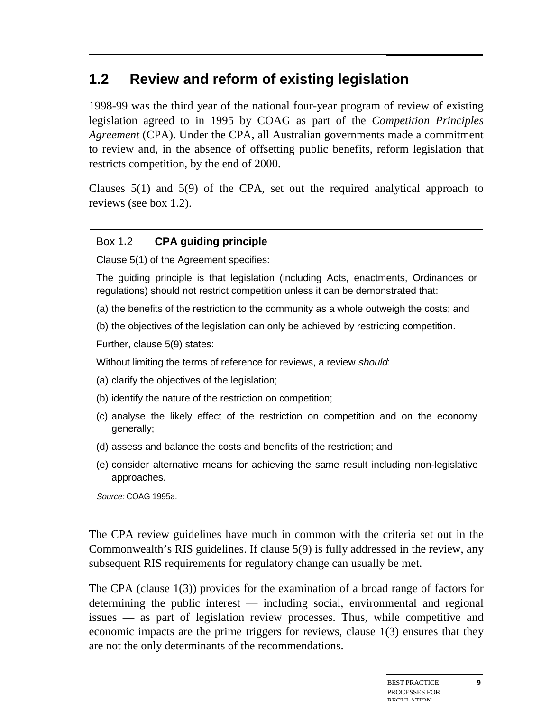# **1.2 Review and reform of existing legislation**

1998-99 was the third year of the national four-year program of review of existing legislation agreed to in 1995 by COAG as part of the *Competition Principles Agreement* (CPA). Under the CPA, all Australian governments made a commitment to review and, in the absence of offsetting public benefits, reform legislation that restricts competition, by the end of 2000.

Clauses 5(1) and 5(9) of the CPA, set out the required analytical approach to reviews (see box 1.2).

#### Box 1**.**2 **CPA guiding principle**

Clause 5(1) of the Agreement specifies:

The guiding principle is that legislation (including Acts, enactments, Ordinances or regulations) should not restrict competition unless it can be demonstrated that:

- (a) the benefits of the restriction to the community as a whole outweigh the costs; and
- (b) the objectives of the legislation can only be achieved by restricting competition.

Further, clause 5(9) states:

Without limiting the terms of reference for reviews, a review *should*:

- (a) clarify the objectives of the legislation;
- (b) identify the nature of the restriction on competition;
- (c) analyse the likely effect of the restriction on competition and on the economy generally;
- (d) assess and balance the costs and benefits of the restriction; and
- (e) consider alternative means for achieving the same result including non-legislative approaches.

Source: COAG 1995a.

The CPA review guidelines have much in common with the criteria set out in the Commonwealth's RIS guidelines. If clause 5(9) is fully addressed in the review, any subsequent RIS requirements for regulatory change can usually be met.

The CPA (clause 1(3)) provides for the examination of a broad range of factors for determining the public interest — including social, environmental and regional issues — as part of legislation review processes. Thus, while competitive and economic impacts are the prime triggers for reviews, clause 1(3) ensures that they are not the only determinants of the recommendations.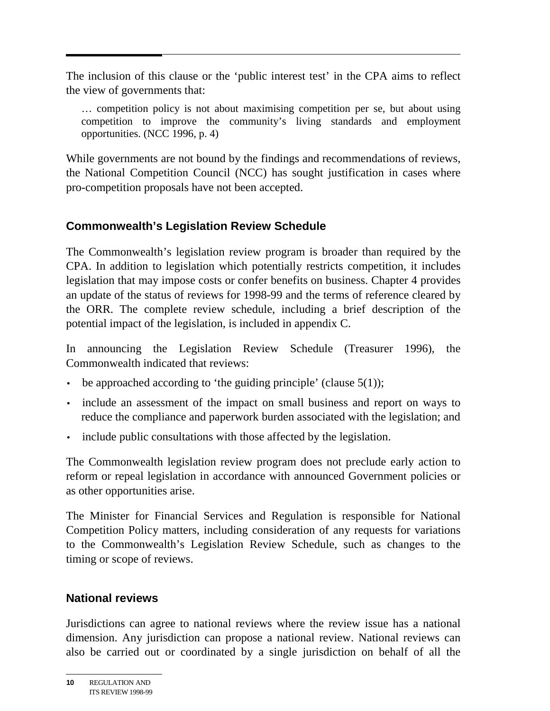The inclusion of this clause or the 'public interest test' in the CPA aims to reflect the view of governments that:

… competition policy is not about maximising competition per se, but about using competition to improve the community's living standards and employment opportunities. (NCC 1996, p. 4)

While governments are not bound by the findings and recommendations of reviews, the National Competition Council (NCC) has sought justification in cases where pro-competition proposals have not been accepted.

### **Commonwealth's Legislation Review Schedule**

The Commonwealth's legislation review program is broader than required by the CPA. In addition to legislation which potentially restricts competition, it includes legislation that may impose costs or confer benefits on business. Chapter 4 provides an update of the status of reviews for 1998-99 and the terms of reference cleared by the ORR. The complete review schedule, including a brief description of the potential impact of the legislation, is included in appendix C.

In announcing the Legislation Review Schedule (Treasurer 1996), the Commonwealth indicated that reviews:

- be approached according to 'the guiding principle' (clause  $5(1)$ );
- include an assessment of the impact on small business and report on ways to reduce the compliance and paperwork burden associated with the legislation; and
- include public consultations with those affected by the legislation.

The Commonwealth legislation review program does not preclude early action to reform or repeal legislation in accordance with announced Government policies or as other opportunities arise.

The Minister for Financial Services and Regulation is responsible for National Competition Policy matters, including consideration of any requests for variations to the Commonwealth's Legislation Review Schedule, such as changes to the timing or scope of reviews.

#### **National reviews**

Jurisdictions can agree to national reviews where the review issue has a national dimension. Any jurisdiction can propose a national review. National reviews can also be carried out or coordinated by a single jurisdiction on behalf of all the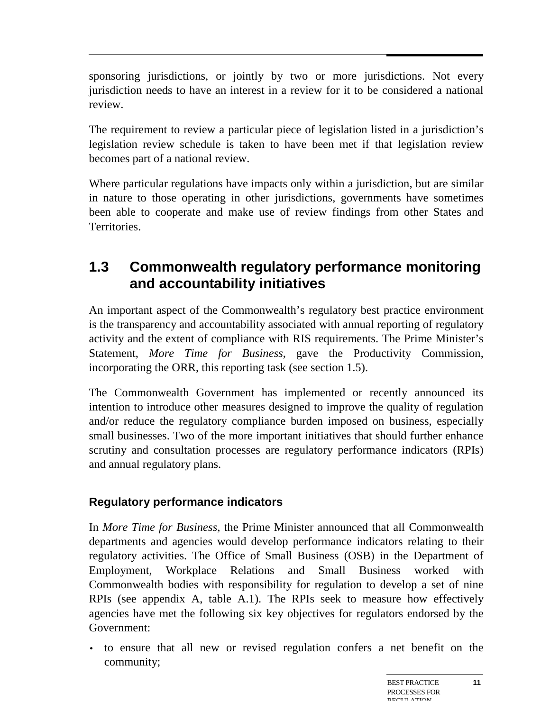sponsoring jurisdictions, or jointly by two or more jurisdictions. Not every jurisdiction needs to have an interest in a review for it to be considered a national review.

The requirement to review a particular piece of legislation listed in a jurisdiction's legislation review schedule is taken to have been met if that legislation review becomes part of a national review.

Where particular regulations have impacts only within a jurisdiction, but are similar in nature to those operating in other jurisdictions, governments have sometimes been able to cooperate and make use of review findings from other States and Territories.

## **1.3 Commonwealth regulatory performance monitoring and accountability initiatives**

An important aspect of the Commonwealth's regulatory best practice environment is the transparency and accountability associated with annual reporting of regulatory activity and the extent of compliance with RIS requirements. The Prime Minister's Statement, *More Time for Business*, gave the Productivity Commission, incorporating the ORR, this reporting task (see section 1.5).

The Commonwealth Government has implemented or recently announced its intention to introduce other measures designed to improve the quality of regulation and/or reduce the regulatory compliance burden imposed on business, especially small businesses. Two of the more important initiatives that should further enhance scrutiny and consultation processes are regulatory performance indicators (RPIs) and annual regulatory plans.

## **Regulatory performance indicators**

In *More Time for Business*, the Prime Minister announced that all Commonwealth departments and agencies would develop performance indicators relating to their regulatory activities. The Office of Small Business (OSB) in the Department of Employment, Workplace Relations and Small Business worked with Commonwealth bodies with responsibility for regulation to develop a set of nine RPIs (see appendix A, table A.1). The RPIs seek to measure how effectively agencies have met the following six key objectives for regulators endorsed by the Government:

• to ensure that all new or revised regulation confers a net benefit on the community;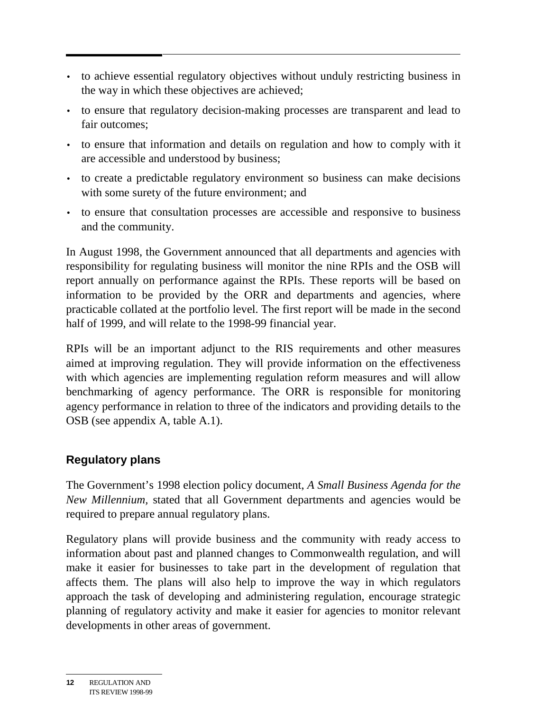- to achieve essential regulatory objectives without unduly restricting business in the way in which these objectives are achieved;
- to ensure that regulatory decision-making processes are transparent and lead to fair outcomes;
- to ensure that information and details on regulation and how to comply with it are accessible and understood by business;
- to create a predictable regulatory environment so business can make decisions with some surety of the future environment; and
- to ensure that consultation processes are accessible and responsive to business and the community.

In August 1998, the Government announced that all departments and agencies with responsibility for regulating business will monitor the nine RPIs and the OSB will report annually on performance against the RPIs. These reports will be based on information to be provided by the ORR and departments and agencies, where practicable collated at the portfolio level. The first report will be made in the second half of 1999, and will relate to the 1998-99 financial year.

RPIs will be an important adjunct to the RIS requirements and other measures aimed at improving regulation. They will provide information on the effectiveness with which agencies are implementing regulation reform measures and will allow benchmarking of agency performance. The ORR is responsible for monitoring agency performance in relation to three of the indicators and providing details to the OSB (see appendix A, table A.1).

## **Regulatory plans**

The Government's 1998 election policy document, *A Small Business Agenda for the New Millennium,* stated that all Government departments and agencies would be required to prepare annual regulatory plans.

Regulatory plans will provide business and the community with ready access to information about past and planned changes to Commonwealth regulation, and will make it easier for businesses to take part in the development of regulation that affects them. The plans will also help to improve the way in which regulators approach the task of developing and administering regulation, encourage strategic planning of regulatory activity and make it easier for agencies to monitor relevant developments in other areas of government.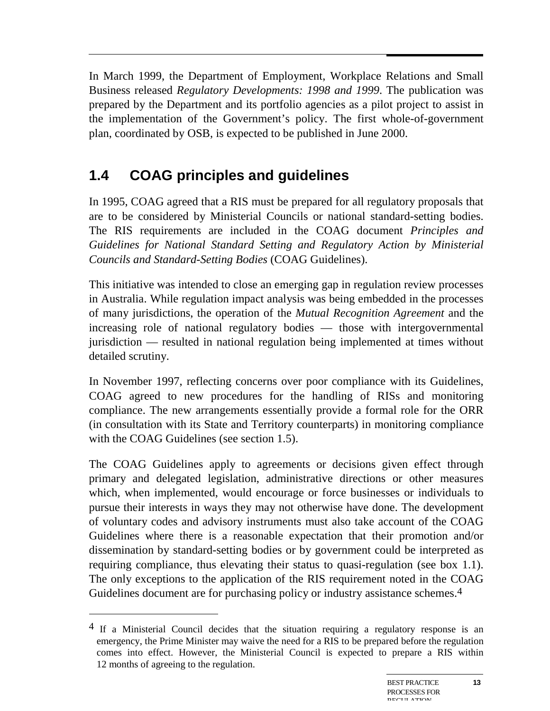In March 1999, the Department of Employment, Workplace Relations and Small Business released *Regulatory Developments: 1998 and 1999*. The publication was prepared by the Department and its portfolio agencies as a pilot project to assist in the implementation of the Government's policy. The first whole-of-government plan, coordinated by OSB, is expected to be published in June 2000.

# **1.4 COAG principles and guidelines**

In 1995, COAG agreed that a RIS must be prepared for all regulatory proposals that are to be considered by Ministerial Councils or national standard-setting bodies. The RIS requirements are included in the COAG document *Principles and Guidelines for National Standard Setting and Regulatory Action by Ministerial Councils and Standard-Setting Bodies* (COAG Guidelines).

This initiative was intended to close an emerging gap in regulation review processes in Australia. While regulation impact analysis was being embedded in the processes of many jurisdictions, the operation of the *Mutual Recognition Agreement* and the increasing role of national regulatory bodies — those with intergovernmental jurisdiction — resulted in national regulation being implemented at times without detailed scrutiny.

In November 1997, reflecting concerns over poor compliance with its Guidelines, COAG agreed to new procedures for the handling of RISs and monitoring compliance. The new arrangements essentially provide a formal role for the ORR (in consultation with its State and Territory counterparts) in monitoring compliance with the COAG Guidelines (see section 1.5).

The COAG Guidelines apply to agreements or decisions given effect through primary and delegated legislation, administrative directions or other measures which, when implemented, would encourage or force businesses or individuals to pursue their interests in ways they may not otherwise have done. The development of voluntary codes and advisory instruments must also take account of the COAG Guidelines where there is a reasonable expectation that their promotion and/or dissemination by standard-setting bodies or by government could be interpreted as requiring compliance, thus elevating their status to quasi-regulation (see box 1.1). The only exceptions to the application of the RIS requirement noted in the COAG Guidelines document are for purchasing policy or industry assistance schemes.<sup>4</sup>

 $\overline{a}$ 

<sup>4</sup> If a Ministerial Council decides that the situation requiring a regulatory response is an emergency, the Prime Minister may waive the need for a RIS to be prepared before the regulation comes into effect. However, the Ministerial Council is expected to prepare a RIS within 12 months of agreeing to the regulation.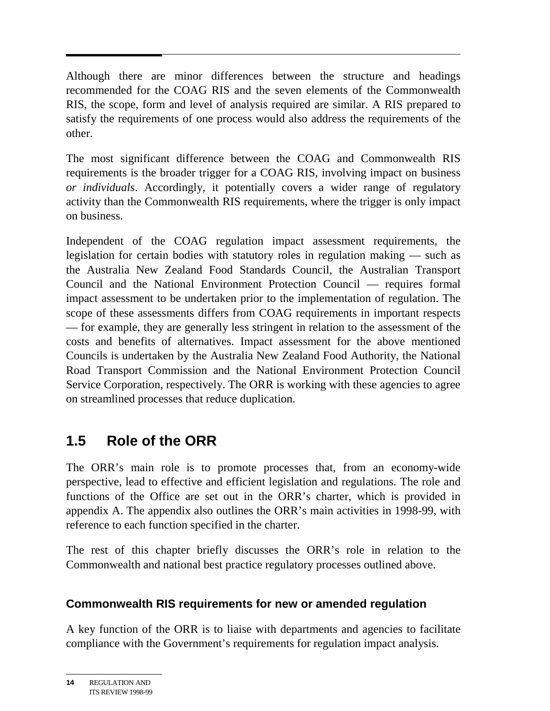Although there are minor differences between the structure and headings recommended for the COAG RIS and the seven elements of the Commonwealth RIS, the scope, form and level of analysis required are similar. A RIS prepared to satisfy the requirements of one process would also address the requirements of the other.

The most significant difference between the COAG and Commonwealth RIS requirements is the broader trigger for a COAG RIS, involving impact on business *or individuals*. Accordingly, it potentially covers a wider range of regulatory activity than the Commonwealth RIS requirements, where the trigger is only impact on business.

Independent of the COAG regulation impact assessment requirements, the legislation for certain bodies with statutory roles in regulation making — such as the Australia New Zealand Food Standards Council, the Australian Transport Council and the National Environment Protection Council — requires formal impact assessment to be undertaken prior to the implementation of regulation. The scope of these assessments differs from COAG requirements in important respects — for example, they are generally less stringent in relation to the assessment of the costs and benefits of alternatives. Impact assessment for the above mentioned Councils is undertaken by the Australia New Zealand Food Authority, the National Road Transport Commission and the National Environment Protection Council Service Corporation, respectively. The ORR is working with these agencies to agree on streamlined processes that reduce duplication.

# **1.5 Role of the ORR**

The ORR's main role is to promote processes that, from an economy-wide perspective, lead to effective and efficient legislation and regulations. The role and functions of the Office are set out in the ORR's charter, which is provided in appendix A. The appendix also outlines the ORR's main activities in 1998-99, with reference to each function specified in the charter.

The rest of this chapter briefly discusses the ORR's role in relation to the Commonwealth and national best practice regulatory processes outlined above.

## **Commonwealth RIS requirements for new or amended regulation**

A key function of the ORR is to liaise with departments and agencies to facilitate compliance with the Government's requirements for regulation impact analysis.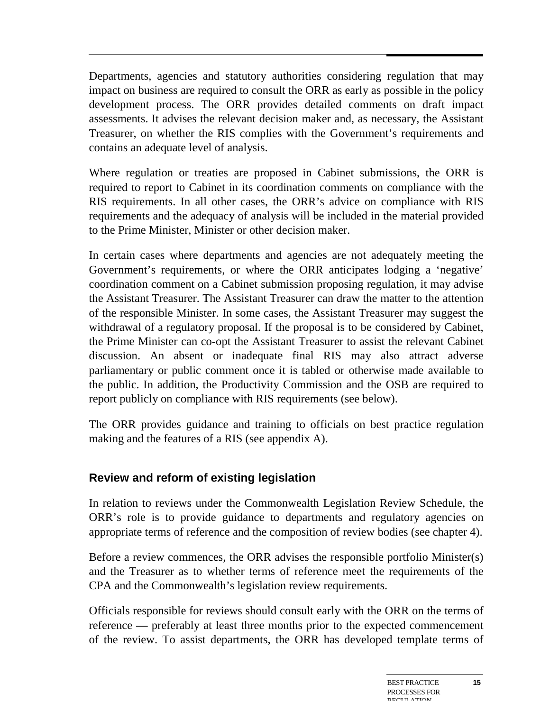Departments, agencies and statutory authorities considering regulation that may impact on business are required to consult the ORR as early as possible in the policy development process. The ORR provides detailed comments on draft impact assessments. It advises the relevant decision maker and, as necessary, the Assistant Treasurer, on whether the RIS complies with the Government's requirements and contains an adequate level of analysis.

Where regulation or treaties are proposed in Cabinet submissions, the ORR is required to report to Cabinet in its coordination comments on compliance with the RIS requirements. In all other cases, the ORR's advice on compliance with RIS requirements and the adequacy of analysis will be included in the material provided to the Prime Minister, Minister or other decision maker.

In certain cases where departments and agencies are not adequately meeting the Government's requirements, or where the ORR anticipates lodging a 'negative' coordination comment on a Cabinet submission proposing regulation, it may advise the Assistant Treasurer. The Assistant Treasurer can draw the matter to the attention of the responsible Minister. In some cases, the Assistant Treasurer may suggest the withdrawal of a regulatory proposal. If the proposal is to be considered by Cabinet, the Prime Minister can co-opt the Assistant Treasurer to assist the relevant Cabinet discussion. An absent or inadequate final RIS may also attract adverse parliamentary or public comment once it is tabled or otherwise made available to the public. In addition, the Productivity Commission and the OSB are required to report publicly on compliance with RIS requirements (see below).

The ORR provides guidance and training to officials on best practice regulation making and the features of a RIS (see appendix A).

#### **Review and reform of existing legislation**

In relation to reviews under the Commonwealth Legislation Review Schedule, the ORR's role is to provide guidance to departments and regulatory agencies on appropriate terms of reference and the composition of review bodies (see chapter 4).

Before a review commences, the ORR advises the responsible portfolio Minister(s) and the Treasurer as to whether terms of reference meet the requirements of the CPA and the Commonwealth's legislation review requirements.

Officials responsible for reviews should consult early with the ORR on the terms of reference — preferably at least three months prior to the expected commencement of the review. To assist departments, the ORR has developed template terms of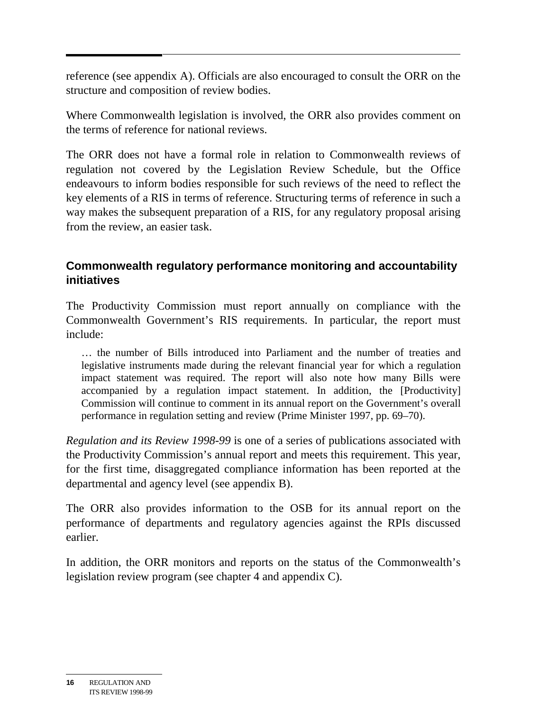reference (see appendix A). Officials are also encouraged to consult the ORR on the structure and composition of review bodies.

Where Commonwealth legislation is involved, the ORR also provides comment on the terms of reference for national reviews.

The ORR does not have a formal role in relation to Commonwealth reviews of regulation not covered by the Legislation Review Schedule, but the Office endeavours to inform bodies responsible for such reviews of the need to reflect the key elements of a RIS in terms of reference. Structuring terms of reference in such a way makes the subsequent preparation of a RIS, for any regulatory proposal arising from the review, an easier task.

### **Commonwealth regulatory performance monitoring and accountability initiatives**

The Productivity Commission must report annually on compliance with the Commonwealth Government's RIS requirements. In particular, the report must include:

… the number of Bills introduced into Parliament and the number of treaties and legislative instruments made during the relevant financial year for which a regulation impact statement was required. The report will also note how many Bills were accompanied by a regulation impact statement. In addition, the [Productivity] Commission will continue to comment in its annual report on the Government's overall performance in regulation setting and review (Prime Minister 1997, pp. 69–70).

*Regulation and its Review 1998-99* is one of a series of publications associated with the Productivity Commission's annual report and meets this requirement. This year, for the first time, disaggregated compliance information has been reported at the departmental and agency level (see appendix B).

The ORR also provides information to the OSB for its annual report on the performance of departments and regulatory agencies against the RPIs discussed earlier.

In addition, the ORR monitors and reports on the status of the Commonwealth's legislation review program (see chapter 4 and appendix C).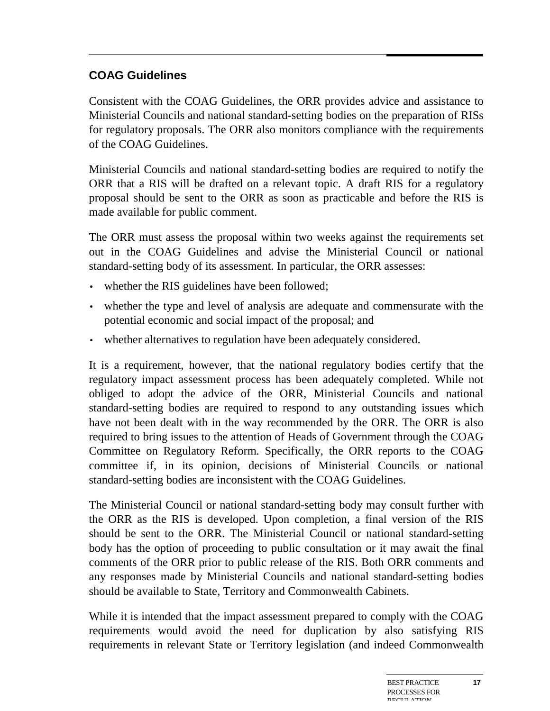## **COAG Guidelines**

Consistent with the COAG Guidelines, the ORR provides advice and assistance to Ministerial Councils and national standard-setting bodies on the preparation of RISs for regulatory proposals. The ORR also monitors compliance with the requirements of the COAG Guidelines.

Ministerial Councils and national standard-setting bodies are required to notify the ORR that a RIS will be drafted on a relevant topic. A draft RIS for a regulatory proposal should be sent to the ORR as soon as practicable and before the RIS is made available for public comment.

The ORR must assess the proposal within two weeks against the requirements set out in the COAG Guidelines and advise the Ministerial Council or national standard-setting body of its assessment. In particular, the ORR assesses:

- whether the RIS guidelines have been followed;
- whether the type and level of analysis are adequate and commensurate with the potential economic and social impact of the proposal; and
- whether alternatives to regulation have been adequately considered.

It is a requirement, however, that the national regulatory bodies certify that the regulatory impact assessment process has been adequately completed. While not obliged to adopt the advice of the ORR, Ministerial Councils and national standard-setting bodies are required to respond to any outstanding issues which have not been dealt with in the way recommended by the ORR. The ORR is also required to bring issues to the attention of Heads of Government through the COAG Committee on Regulatory Reform. Specifically, the ORR reports to the COAG committee if, in its opinion, decisions of Ministerial Councils or national standard-setting bodies are inconsistent with the COAG Guidelines.

The Ministerial Council or national standard-setting body may consult further with the ORR as the RIS is developed. Upon completion, a final version of the RIS should be sent to the ORR. The Ministerial Council or national standard-setting body has the option of proceeding to public consultation or it may await the final comments of the ORR prior to public release of the RIS. Both ORR comments and any responses made by Ministerial Councils and national standard-setting bodies should be available to State, Territory and Commonwealth Cabinets.

While it is intended that the impact assessment prepared to comply with the COAG requirements would avoid the need for duplication by also satisfying RIS requirements in relevant State or Territory legislation (and indeed Commonwealth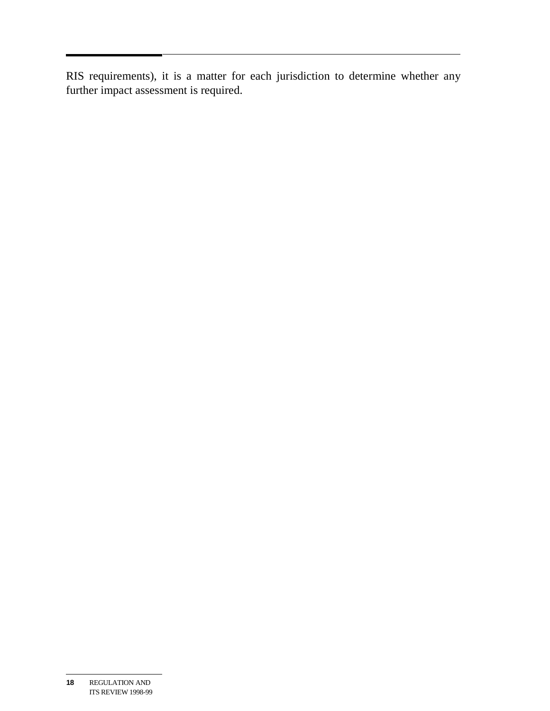RIS requirements), it is a matter for each jurisdiction to determine whether any further impact assessment is required.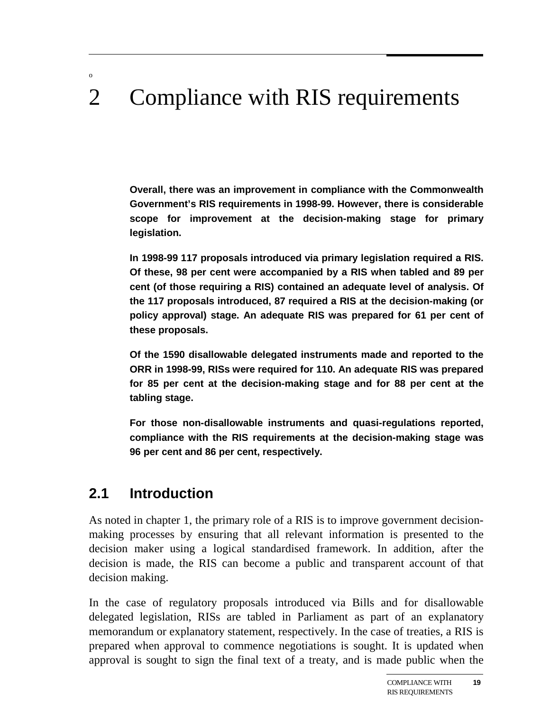# 2 Compliance with RIS requirements

**Overall, there was an improvement in compliance with the Commonwealth Government's RIS requirements in 1998-99. However, there is considerable scope for improvement at the decision-making stage for primary legislation.**

**In 1998-99 117 proposals introduced via primary legislation required a RIS. Of these, 98 per cent were accompanied by a RIS when tabled and 89 per cent (of those requiring a RIS) contained an adequate level of analysis. Of the 117 proposals introduced, 87 required a RIS at the decision-making (or policy approval) stage. An adequate RIS was prepared for 61 per cent of these proposals.**

**Of the 1590 disallowable delegated instruments made and reported to the ORR in 1998-99, RISs were required for 110. An adequate RIS was prepared for 85 per cent at the decision-making stage and for 88 per cent at the tabling stage.**

**For those non-disallowable instruments and quasi-regulations reported, compliance with the RIS requirements at the decision-making stage was 96 per cent and 86 per cent, respectively.**

### **2.1 Introduction**

o

As noted in chapter 1, the primary role of a RIS is to improve government decisionmaking processes by ensuring that all relevant information is presented to the decision maker using a logical standardised framework. In addition, after the decision is made, the RIS can become a public and transparent account of that decision making.

In the case of regulatory proposals introduced via Bills and for disallowable delegated legislation, RISs are tabled in Parliament as part of an explanatory memorandum or explanatory statement, respectively. In the case of treaties, a RIS is prepared when approval to commence negotiations is sought. It is updated when approval is sought to sign the final text of a treaty, and is made public when the

> COMPLIANCE WITH RIS REQUIREMENTS **19**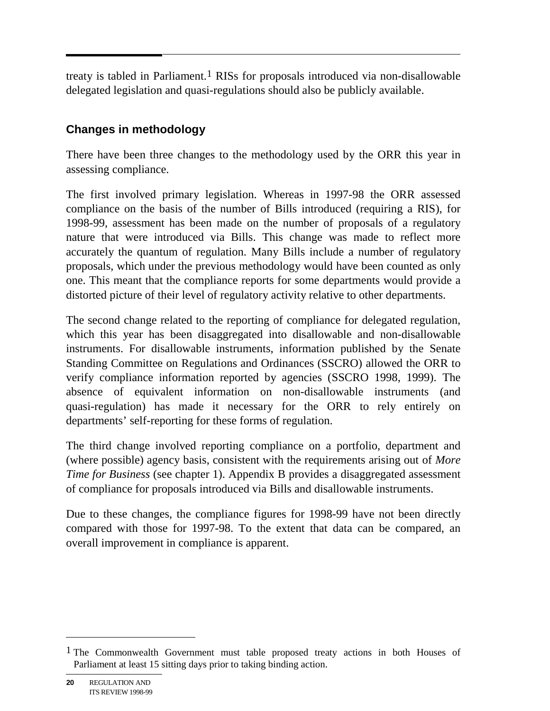treaty is tabled in Parliament.1 RISs for proposals introduced via non-disallowable delegated legislation and quasi-regulations should also be publicly available.

### **Changes in methodology**

There have been three changes to the methodology used by the ORR this year in assessing compliance.

The first involved primary legislation. Whereas in 1997-98 the ORR assessed compliance on the basis of the number of Bills introduced (requiring a RIS), for 1998-99, assessment has been made on the number of proposals of a regulatory nature that were introduced via Bills. This change was made to reflect more accurately the quantum of regulation. Many Bills include a number of regulatory proposals, which under the previous methodology would have been counted as only one. This meant that the compliance reports for some departments would provide a distorted picture of their level of regulatory activity relative to other departments.

The second change related to the reporting of compliance for delegated regulation, which this year has been disaggregated into disallowable and non-disallowable instruments. For disallowable instruments, information published by the Senate Standing Committee on Regulations and Ordinances (SSCRO) allowed the ORR to verify compliance information reported by agencies (SSCRO 1998, 1999). The absence of equivalent information on non-disallowable instruments (and quasi-regulation) has made it necessary for the ORR to rely entirely on departments' self-reporting for these forms of regulation.

The third change involved reporting compliance on a portfolio, department and (where possible) agency basis, consistent with the requirements arising out of *More Time for Business* (see chapter 1). Appendix B provides a disaggregated assessment of compliance for proposals introduced via Bills and disallowable instruments.

Due to these changes, the compliance figures for 1998-99 have not been directly compared with those for 1997-98. To the extent that data can be compared, an overall improvement in compliance is apparent.

 $\overline{a}$ 

<sup>&</sup>lt;sup>1</sup> The Commonwealth Government must table proposed treaty actions in both Houses of Parliament at least 15 sitting days prior to taking binding action.

**<sup>20</sup>** REGULATION AND ITS REVIEW 1998-99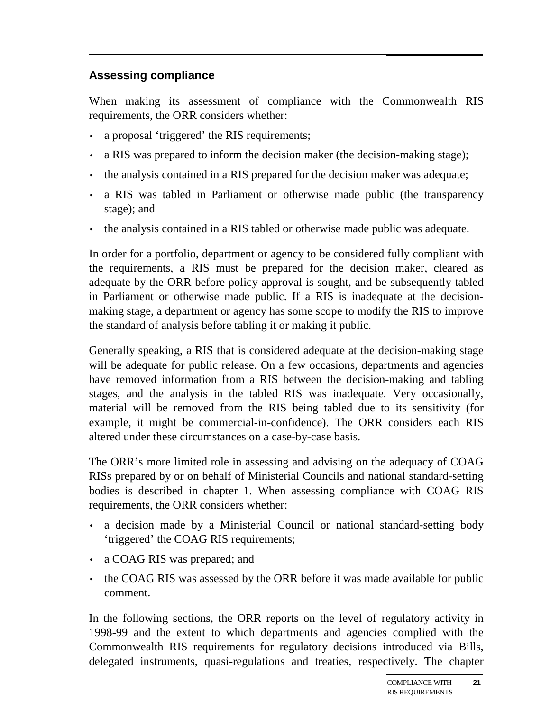### **Assessing compliance**

When making its assessment of compliance with the Commonwealth RIS requirements, the ORR considers whether:

- a proposal 'triggered' the RIS requirements;
- a RIS was prepared to inform the decision maker (the decision-making stage);
- the analysis contained in a RIS prepared for the decision maker was adequate;
- a RIS was tabled in Parliament or otherwise made public (the transparency stage); and
- the analysis contained in a RIS tabled or otherwise made public was adequate.

In order for a portfolio, department or agency to be considered fully compliant with the requirements, a RIS must be prepared for the decision maker, cleared as adequate by the ORR before policy approval is sought, and be subsequently tabled in Parliament or otherwise made public. If a RIS is inadequate at the decisionmaking stage, a department or agency has some scope to modify the RIS to improve the standard of analysis before tabling it or making it public.

Generally speaking, a RIS that is considered adequate at the decision-making stage will be adequate for public release. On a few occasions, departments and agencies have removed information from a RIS between the decision-making and tabling stages, and the analysis in the tabled RIS was inadequate. Very occasionally, material will be removed from the RIS being tabled due to its sensitivity (for example, it might be commercial-in-confidence). The ORR considers each RIS altered under these circumstances on a case-by-case basis.

The ORR's more limited role in assessing and advising on the adequacy of COAG RISs prepared by or on behalf of Ministerial Councils and national standard-setting bodies is described in chapter 1. When assessing compliance with COAG RIS requirements, the ORR considers whether:

- a decision made by a Ministerial Council or national standard-setting body 'triggered' the COAG RIS requirements;
- a COAG RIS was prepared; and
- the COAG RIS was assessed by the ORR before it was made available for public comment.

In the following sections, the ORR reports on the level of regulatory activity in 1998-99 and the extent to which departments and agencies complied with the Commonwealth RIS requirements for regulatory decisions introduced via Bills, delegated instruments, quasi-regulations and treaties, respectively. The chapter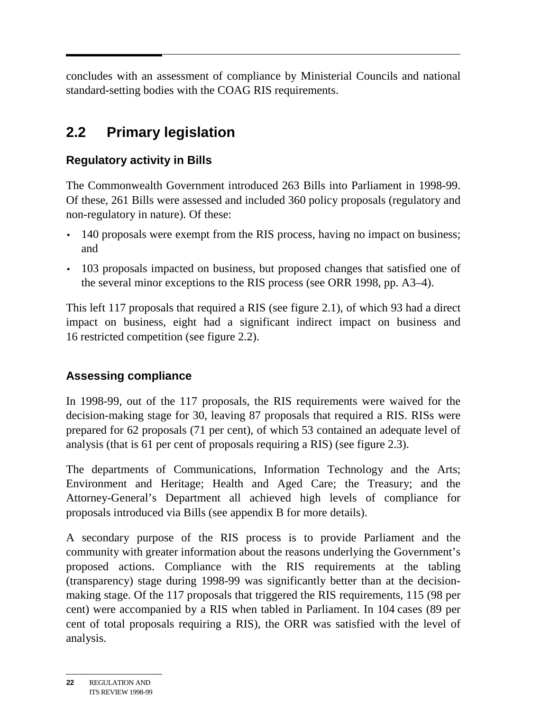concludes with an assessment of compliance by Ministerial Councils and national standard-setting bodies with the COAG RIS requirements.

# **2.2 Primary legislation**

### **Regulatory activity in Bills**

The Commonwealth Government introduced 263 Bills into Parliament in 1998-99. Of these, 261 Bills were assessed and included 360 policy proposals (regulatory and non-regulatory in nature). Of these:

- 140 proposals were exempt from the RIS process, having no impact on business; and
- 103 proposals impacted on business, but proposed changes that satisfied one of the several minor exceptions to the RIS process (see ORR 1998, pp. A3–4).

This left 117 proposals that required a RIS (see figure 2.1), of which 93 had a direct impact on business, eight had a significant indirect impact on business and 16 restricted competition (see figure 2.2).

### **Assessing compliance**

In 1998-99, out of the 117 proposals, the RIS requirements were waived for the decision-making stage for 30, leaving 87 proposals that required a RIS. RISs were prepared for 62 proposals (71 per cent), of which 53 contained an adequate level of analysis (that is 61 per cent of proposals requiring a RIS) (see figure 2.3).

The departments of Communications, Information Technology and the Arts; Environment and Heritage; Health and Aged Care; the Treasury; and the Attorney-General's Department all achieved high levels of compliance for proposals introduced via Bills (see appendix B for more details).

A secondary purpose of the RIS process is to provide Parliament and the community with greater information about the reasons underlying the Government's proposed actions. Compliance with the RIS requirements at the tabling (transparency) stage during 1998-99 was significantly better than at the decisionmaking stage. Of the 117 proposals that triggered the RIS requirements, 115 (98 per cent) were accompanied by a RIS when tabled in Parliament. In 104 cases (89 per cent of total proposals requiring a RIS), the ORR was satisfied with the level of analysis.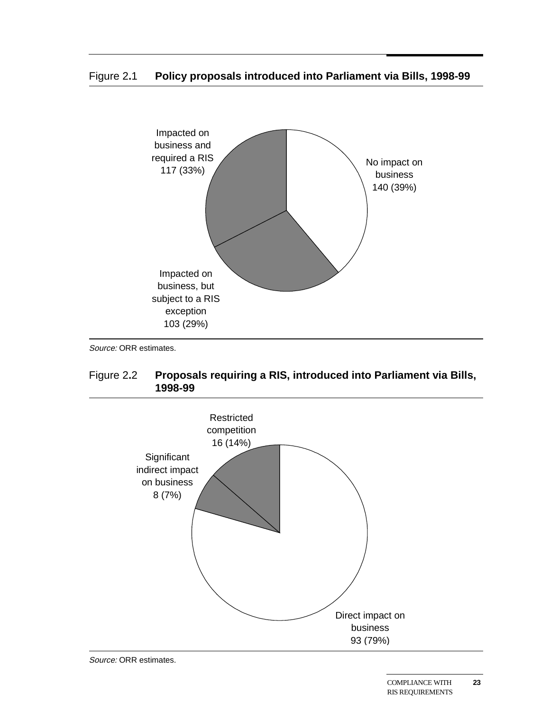Figure 2**.**1 **Policy proposals introduced into Parliament via Bills, 1998-99**



Source: ORR estimates.

Figure 2**.**2 **Proposals requiring a RIS, introduced into Parliament via Bills, 1998-99**



Source: ORR estimates.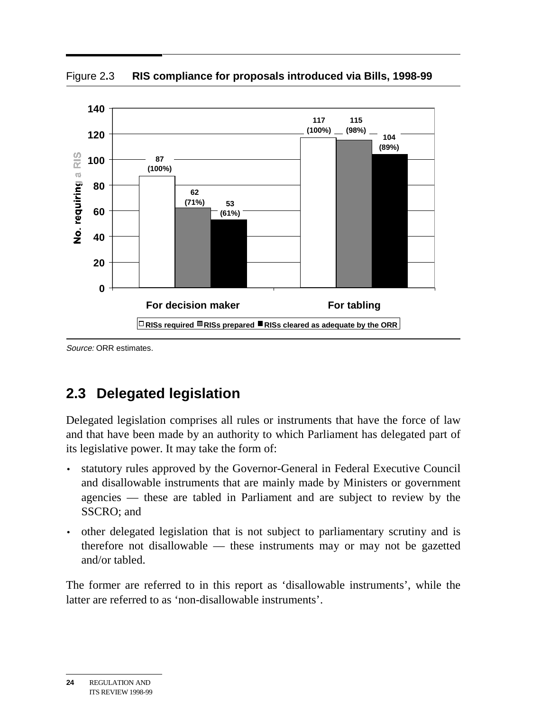

Figure 2**.**3 **RIS compliance for proposals introduced via Bills, 1998-99**

Source: ORR estimates.

# **2.3 Delegated legislation**

Delegated legislation comprises all rules or instruments that have the force of law and that have been made by an authority to which Parliament has delegated part of its legislative power. It may take the form of:

- statutory rules approved by the Governor-General in Federal Executive Council and disallowable instruments that are mainly made by Ministers or government agencies — these are tabled in Parliament and are subject to review by the SSCRO; and
- other delegated legislation that is not subject to parliamentary scrutiny and is therefore not disallowable — these instruments may or may not be gazetted and/or tabled.

The former are referred to in this report as 'disallowable instruments', while the latter are referred to as 'non-disallowable instruments'.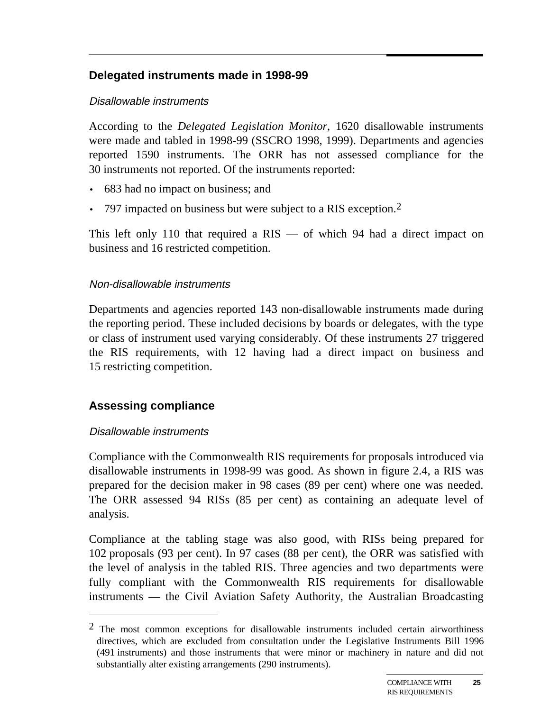#### **Delegated instruments made in 1998-99**

#### Disallowable instruments

According to the *Delegated Legislation Monitor*, 1620 disallowable instruments were made and tabled in 1998-99 (SSCRO 1998, 1999). Departments and agencies reported 1590 instruments. The ORR has not assessed compliance for the 30 instruments not reported. Of the instruments reported:

- 683 had no impact on business; and
- 797 impacted on business but were subject to a RIS exception.<sup>2</sup>

This left only 110 that required a RIS — of which 94 had a direct impact on business and 16 restricted competition.

#### Non-disallowable instruments

Departments and agencies reported 143 non-disallowable instruments made during the reporting period. These included decisions by boards or delegates, with the type or class of instrument used varying considerably. Of these instruments 27 triggered the RIS requirements, with 12 having had a direct impact on business and 15 restricting competition.

#### **Assessing compliance**

#### Disallowable instruments

 $\overline{a}$ 

Compliance with the Commonwealth RIS requirements for proposals introduced via disallowable instruments in 1998-99 was good. As shown in figure 2.4, a RIS was prepared for the decision maker in 98 cases (89 per cent) where one was needed. The ORR assessed 94 RISs (85 per cent) as containing an adequate level of analysis.

Compliance at the tabling stage was also good, with RISs being prepared for 102 proposals (93 per cent). In 97 cases (88 per cent), the ORR was satisfied with the level of analysis in the tabled RIS. Three agencies and two departments were fully compliant with the Commonwealth RIS requirements for disallowable instruments — the Civil Aviation Safety Authority, the Australian Broadcasting

<sup>2</sup> The most common exceptions for disallowable instruments included certain airworthiness directives, which are excluded from consultation under the Legislative Instruments Bill 1996 (491 instruments) and those instruments that were minor or machinery in nature and did not substantially alter existing arrangements (290 instruments).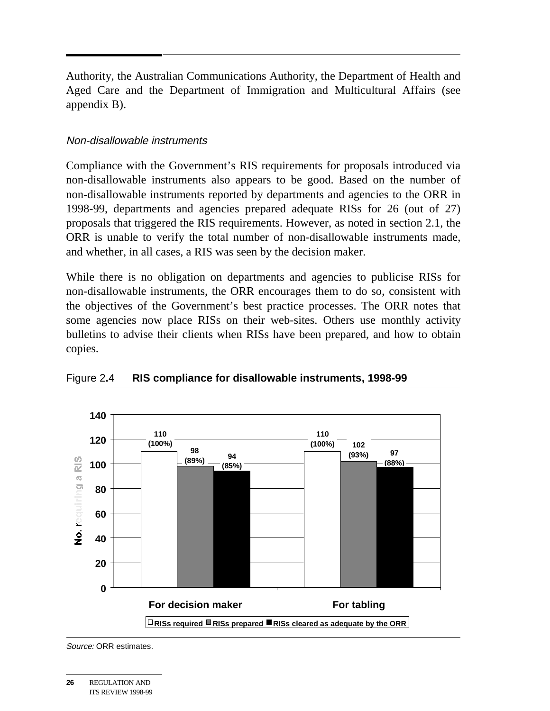Authority, the Australian Communications Authority, the Department of Health and Aged Care and the Department of Immigration and Multicultural Affairs (see appendix B).

#### Non-disallowable instruments

Compliance with the Government's RIS requirements for proposals introduced via non-disallowable instruments also appears to be good. Based on the number of non-disallowable instruments reported by departments and agencies to the ORR in 1998-99, departments and agencies prepared adequate RISs for 26 (out of 27) proposals that triggered the RIS requirements. However, as noted in section 2.1, the ORR is unable to verify the total number of non-disallowable instruments made, and whether, in all cases, a RIS was seen by the decision maker.

While there is no obligation on departments and agencies to publicise RISs for non-disallowable instruments, the ORR encourages them to do so, consistent with the objectives of the Government's best practice processes. The ORR notes that some agencies now place RISs on their web-sites. Others use monthly activity bulletins to advise their clients when RISs have been prepared, and how to obtain copies.



Figure 2**.**4 **RIS compliance for disallowable instruments, 1998-99**

Source: ORR estimates.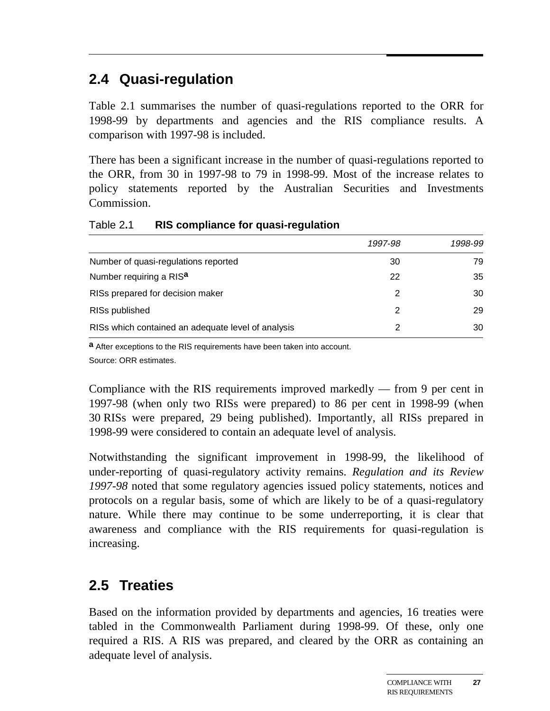# **2.4 Quasi-regulation**

Table 2.1 summarises the number of quasi-regulations reported to the ORR for 1998-99 by departments and agencies and the RIS compliance results. A comparison with 1997-98 is included.

There has been a significant increase in the number of quasi-regulations reported to the ORR, from 30 in 1997-98 to 79 in 1998-99. Most of the increase relates to policy statements reported by the Australian Securities and Investments Commission.

|                                                    | 1997-98 | 1998-99 |
|----------------------------------------------------|---------|---------|
| Number of quasi-regulations reported               | 30      | 79      |
| Number requiring a RIS <sup>a</sup>                | 22      | 35      |
| RISs prepared for decision maker                   | 2       | 30      |
| RIS <sub>s</sub> published                         | 2       | 29      |
| RISs which contained an adequate level of analysis | 2       | 30      |

#### Table 2**.**1 **RIS compliance for quasi-regulation**

**a** After exceptions to the RIS requirements have been taken into account.

Source: ORR estimates.

Compliance with the RIS requirements improved markedly — from 9 per cent in 1997-98 (when only two RISs were prepared) to 86 per cent in 1998-99 (when 30 RISs were prepared, 29 being published). Importantly, all RISs prepared in 1998-99 were considered to contain an adequate level of analysis.

Notwithstanding the significant improvement in 1998-99, the likelihood of under-reporting of quasi-regulatory activity remains. *Regulation and its Review 1997-98* noted that some regulatory agencies issued policy statements, notices and protocols on a regular basis, some of which are likely to be of a quasi-regulatory nature. While there may continue to be some underreporting, it is clear that awareness and compliance with the RIS requirements for quasi-regulation is increasing.

# **2.5 Treaties**

Based on the information provided by departments and agencies, 16 treaties were tabled in the Commonwealth Parliament during 1998-99. Of these, only one required a RIS. A RIS was prepared, and cleared by the ORR as containing an adequate level of analysis.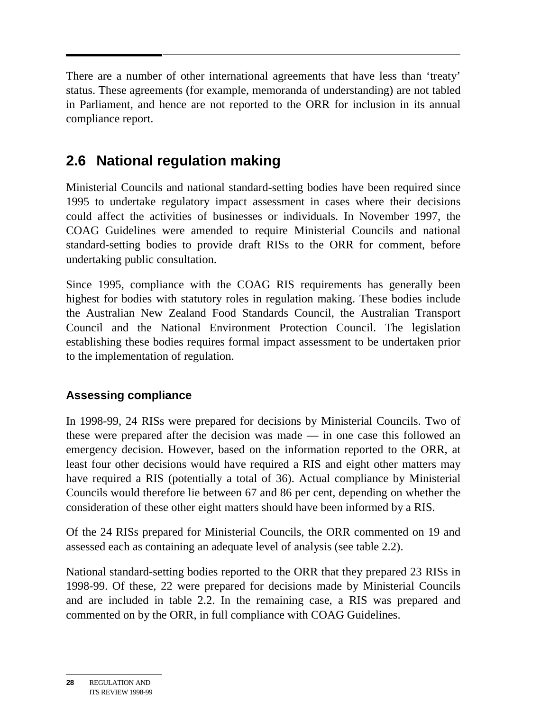There are a number of other international agreements that have less than 'treaty' status. These agreements (for example, memoranda of understanding) are not tabled in Parliament, and hence are not reported to the ORR for inclusion in its annual compliance report.

# **2.6 National regulation making**

Ministerial Councils and national standard-setting bodies have been required since 1995 to undertake regulatory impact assessment in cases where their decisions could affect the activities of businesses or individuals. In November 1997, the COAG Guidelines were amended to require Ministerial Councils and national standard-setting bodies to provide draft RISs to the ORR for comment, before undertaking public consultation.

Since 1995, compliance with the COAG RIS requirements has generally been highest for bodies with statutory roles in regulation making. These bodies include the Australian New Zealand Food Standards Council, the Australian Transport Council and the National Environment Protection Council. The legislation establishing these bodies requires formal impact assessment to be undertaken prior to the implementation of regulation.

### **Assessing compliance**

In 1998-99, 24 RISs were prepared for decisions by Ministerial Councils. Two of these were prepared after the decision was made — in one case this followed an emergency decision. However, based on the information reported to the ORR, at least four other decisions would have required a RIS and eight other matters may have required a RIS (potentially a total of 36). Actual compliance by Ministerial Councils would therefore lie between 67 and 86 per cent, depending on whether the consideration of these other eight matters should have been informed by a RIS.

Of the 24 RISs prepared for Ministerial Councils, the ORR commented on 19 and assessed each as containing an adequate level of analysis (see table 2.2).

National standard-setting bodies reported to the ORR that they prepared 23 RISs in 1998-99. Of these, 22 were prepared for decisions made by Ministerial Councils and are included in table 2.2. In the remaining case, a RIS was prepared and commented on by the ORR, in full compliance with COAG Guidelines.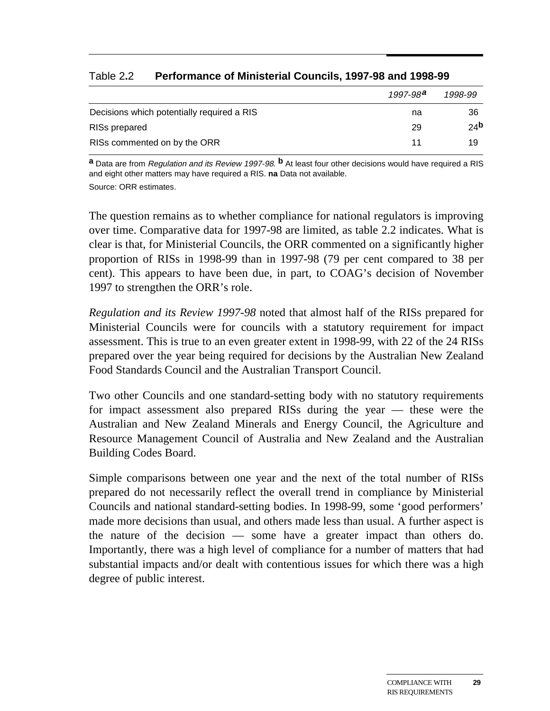|                                            | 1997-98 <b>a</b> | 1998-99         |
|--------------------------------------------|------------------|-----------------|
| Decisions which potentially required a RIS | na               | 36              |
| <b>RISs prepared</b>                       | 29               | 24 <sup>b</sup> |
| RISs commented on by the ORR               | 11               | 19              |

#### Table 2**.**2 **Performance of Ministerial Councils, 1997-98 and 1998-99**

**a** Data are from Regulation and its Review 1997-98. **b** At least four other decisions would have required a RIS and eight other matters may have required a RIS. **na** Data not available.

Source: ORR estimates.

The question remains as to whether compliance for national regulators is improving over time. Comparative data for 1997-98 are limited, as table 2.2 indicates. What is clear is that, for Ministerial Councils, the ORR commented on a significantly higher proportion of RISs in 1998-99 than in 1997-98 (79 per cent compared to 38 per cent). This appears to have been due, in part, to COAG's decision of November 1997 to strengthen the ORR's role.

*Regulation and its Review 1997-98* noted that almost half of the RISs prepared for Ministerial Councils were for councils with a statutory requirement for impact assessment. This is true to an even greater extent in 1998-99, with 22 of the 24 RISs prepared over the year being required for decisions by the Australian New Zealand Food Standards Council and the Australian Transport Council.

Two other Councils and one standard-setting body with no statutory requirements for impact assessment also prepared RISs during the year — these were the Australian and New Zealand Minerals and Energy Council, the Agriculture and Resource Management Council of Australia and New Zealand and the Australian Building Codes Board.

Simple comparisons between one year and the next of the total number of RISs prepared do not necessarily reflect the overall trend in compliance by Ministerial Councils and national standard-setting bodies. In 1998-99, some 'good performers' made more decisions than usual, and others made less than usual. A further aspect is the nature of the decision — some have a greater impact than others do. Importantly, there was a high level of compliance for a number of matters that had substantial impacts and/or dealt with contentious issues for which there was a high degree of public interest.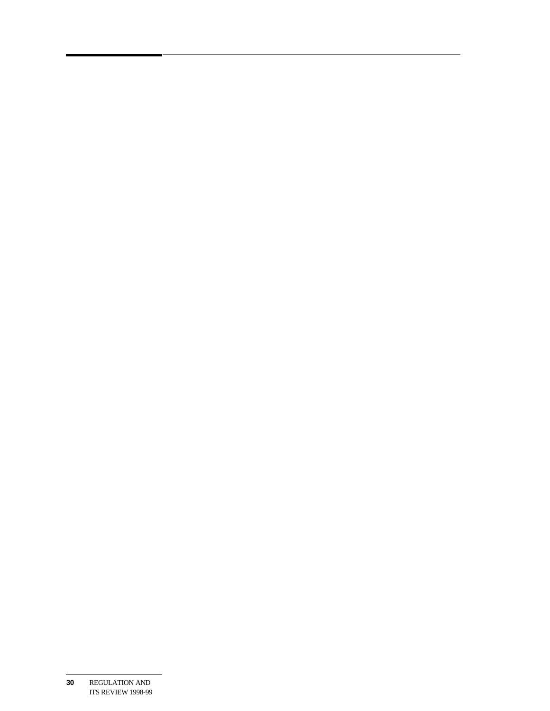**30** REGULATION AND ITS REVIEW 1998-99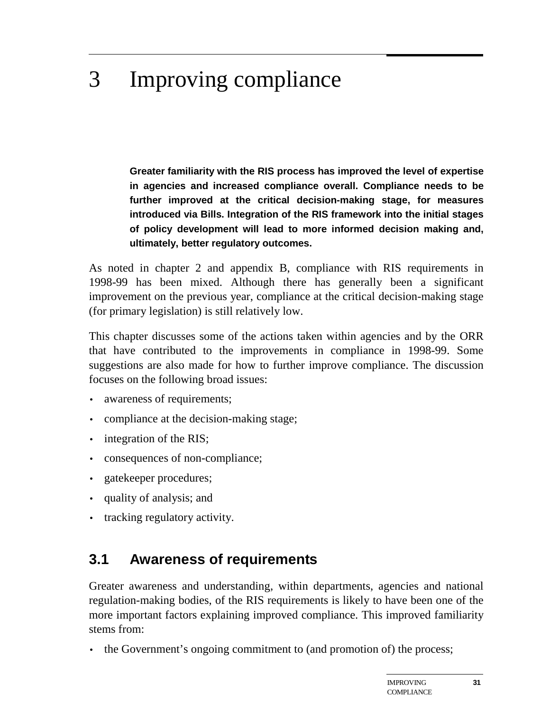# 3 Improving compliance

**Greater familiarity with the RIS process has improved the level of expertise in agencies and increased compliance overall. Compliance needs to be further improved at the critical decision-making stage, for measures introduced via Bills. Integration of the RIS framework into the initial stages of policy development will lead to more informed decision making and, ultimately, better regulatory outcomes.**

As noted in chapter 2 and appendix B, compliance with RIS requirements in 1998-99 has been mixed. Although there has generally been a significant improvement on the previous year, compliance at the critical decision-making stage (for primary legislation) is still relatively low.

This chapter discusses some of the actions taken within agencies and by the ORR that have contributed to the improvements in compliance in 1998-99. Some suggestions are also made for how to further improve compliance. The discussion focuses on the following broad issues:

- awareness of requirements;
- compliance at the decision-making stage;
- integration of the RIS;
- consequences of non-compliance;
- gatekeeper procedures;
- quality of analysis; and
- tracking regulatory activity.

# **3.1 Awareness of requirements**

Greater awareness and understanding, within departments, agencies and national regulation-making bodies, of the RIS requirements is likely to have been one of the more important factors explaining improved compliance. This improved familiarity stems from:

• the Government's ongoing commitment to (and promotion of) the process;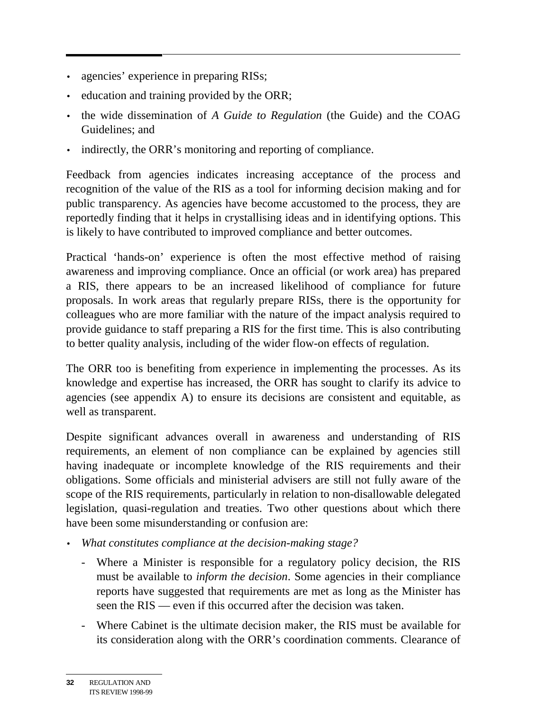- agencies' experience in preparing RISs;
- education and training provided by the ORR;
- the wide dissemination of *A Guide to Regulation* (the Guide) and the COAG Guidelines; and
- indirectly, the ORR's monitoring and reporting of compliance.

Feedback from agencies indicates increasing acceptance of the process and recognition of the value of the RIS as a tool for informing decision making and for public transparency. As agencies have become accustomed to the process, they are reportedly finding that it helps in crystallising ideas and in identifying options. This is likely to have contributed to improved compliance and better outcomes.

Practical 'hands-on' experience is often the most effective method of raising awareness and improving compliance. Once an official (or work area) has prepared a RIS, there appears to be an increased likelihood of compliance for future proposals. In work areas that regularly prepare RISs, there is the opportunity for colleagues who are more familiar with the nature of the impact analysis required to provide guidance to staff preparing a RIS for the first time. This is also contributing to better quality analysis, including of the wider flow-on effects of regulation.

The ORR too is benefiting from experience in implementing the processes. As its knowledge and expertise has increased, the ORR has sought to clarify its advice to agencies (see appendix A) to ensure its decisions are consistent and equitable, as well as transparent.

Despite significant advances overall in awareness and understanding of RIS requirements, an element of non compliance can be explained by agencies still having inadequate or incomplete knowledge of the RIS requirements and their obligations. Some officials and ministerial advisers are still not fully aware of the scope of the RIS requirements, particularly in relation to non-disallowable delegated legislation, quasi-regulation and treaties. Two other questions about which there have been some misunderstanding or confusion are:

- *What constitutes compliance at the decision-making stage?*
	- Where a Minister is responsible for a regulatory policy decision, the RIS must be available to *inform the decision*. Some agencies in their compliance reports have suggested that requirements are met as long as the Minister has seen the RIS — even if this occurred after the decision was taken.
	- Where Cabinet is the ultimate decision maker, the RIS must be available for its consideration along with the ORR's coordination comments. Clearance of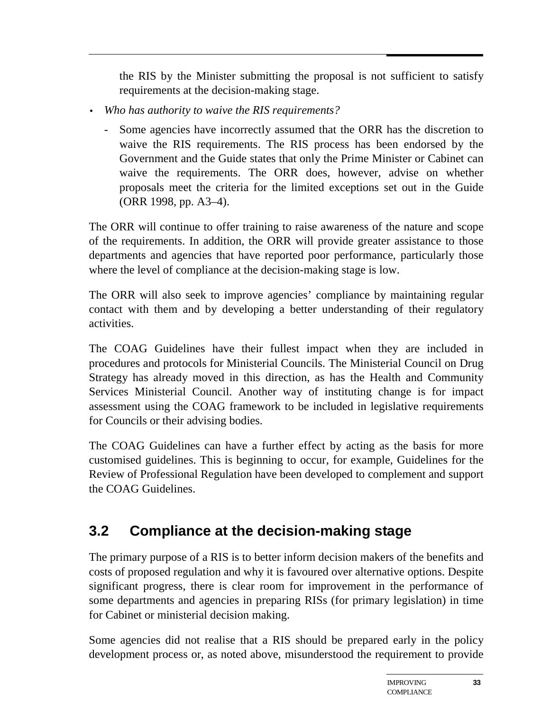the RIS by the Minister submitting the proposal is not sufficient to satisfy requirements at the decision-making stage.

- *Who has authority to waive the RIS requirements?*
	- Some agencies have incorrectly assumed that the ORR has the discretion to waive the RIS requirements. The RIS process has been endorsed by the Government and the Guide states that only the Prime Minister or Cabinet can waive the requirements. The ORR does, however, advise on whether proposals meet the criteria for the limited exceptions set out in the Guide (ORR 1998, pp. A3–4).

The ORR will continue to offer training to raise awareness of the nature and scope of the requirements. In addition, the ORR will provide greater assistance to those departments and agencies that have reported poor performance, particularly those where the level of compliance at the decision-making stage is low.

The ORR will also seek to improve agencies' compliance by maintaining regular contact with them and by developing a better understanding of their regulatory activities.

The COAG Guidelines have their fullest impact when they are included in procedures and protocols for Ministerial Councils. The Ministerial Council on Drug Strategy has already moved in this direction, as has the Health and Community Services Ministerial Council. Another way of instituting change is for impact assessment using the COAG framework to be included in legislative requirements for Councils or their advising bodies.

The COAG Guidelines can have a further effect by acting as the basis for more customised guidelines. This is beginning to occur, for example, Guidelines for the Review of Professional Regulation have been developed to complement and support the COAG Guidelines.

# **3.2 Compliance at the decision-making stage**

The primary purpose of a RIS is to better inform decision makers of the benefits and costs of proposed regulation and why it is favoured over alternative options. Despite significant progress, there is clear room for improvement in the performance of some departments and agencies in preparing RISs (for primary legislation) in time for Cabinet or ministerial decision making.

Some agencies did not realise that a RIS should be prepared early in the policy development process or, as noted above, misunderstood the requirement to provide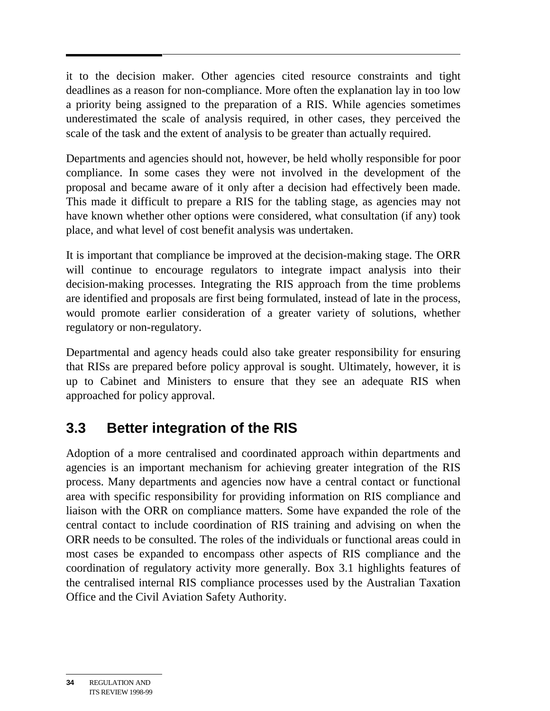it to the decision maker. Other agencies cited resource constraints and tight deadlines as a reason for non-compliance. More often the explanation lay in too low a priority being assigned to the preparation of a RIS. While agencies sometimes underestimated the scale of analysis required, in other cases, they perceived the scale of the task and the extent of analysis to be greater than actually required.

Departments and agencies should not, however, be held wholly responsible for poor compliance. In some cases they were not involved in the development of the proposal and became aware of it only after a decision had effectively been made. This made it difficult to prepare a RIS for the tabling stage, as agencies may not have known whether other options were considered, what consultation (if any) took place, and what level of cost benefit analysis was undertaken.

It is important that compliance be improved at the decision-making stage. The ORR will continue to encourage regulators to integrate impact analysis into their decision-making processes. Integrating the RIS approach from the time problems are identified and proposals are first being formulated, instead of late in the process, would promote earlier consideration of a greater variety of solutions, whether regulatory or non-regulatory.

Departmental and agency heads could also take greater responsibility for ensuring that RISs are prepared before policy approval is sought. Ultimately, however, it is up to Cabinet and Ministers to ensure that they see an adequate RIS when approached for policy approval.

# **3.3 Better integration of the RIS**

Adoption of a more centralised and coordinated approach within departments and agencies is an important mechanism for achieving greater integration of the RIS process. Many departments and agencies now have a central contact or functional area with specific responsibility for providing information on RIS compliance and liaison with the ORR on compliance matters. Some have expanded the role of the central contact to include coordination of RIS training and advising on when the ORR needs to be consulted. The roles of the individuals or functional areas could in most cases be expanded to encompass other aspects of RIS compliance and the coordination of regulatory activity more generally. Box 3.1 highlights features of the centralised internal RIS compliance processes used by the Australian Taxation Office and the Civil Aviation Safety Authority.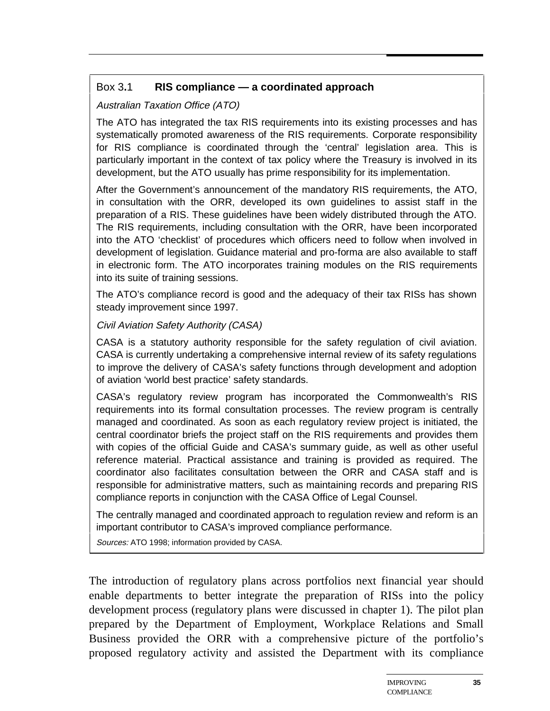#### Box 3**.**1 **RIS compliance — a coordinated approach**

#### Australian Taxation Office (ATO)

The ATO has integrated the tax RIS requirements into its existing processes and has systematically promoted awareness of the RIS requirements. Corporate responsibility for RIS compliance is coordinated through the 'central' legislation area. This is particularly important in the context of tax policy where the Treasury is involved in its development, but the ATO usually has prime responsibility for its implementation.

After the Government's announcement of the mandatory RIS requirements, the ATO, in consultation with the ORR, developed its own guidelines to assist staff in the preparation of a RIS. These guidelines have been widely distributed through the ATO. The RIS requirements, including consultation with the ORR, have been incorporated into the ATO 'checklist' of procedures which officers need to follow when involved in development of legislation. Guidance material and pro-forma are also available to staff in electronic form. The ATO incorporates training modules on the RIS requirements into its suite of training sessions.

The ATO's compliance record is good and the adequacy of their tax RISs has shown steady improvement since 1997.

#### Civil Aviation Safety Authority (CASA)

CASA is a statutory authority responsible for the safety regulation of civil aviation. CASA is currently undertaking a comprehensive internal review of its safety regulations to improve the delivery of CASA's safety functions through development and adoption of aviation 'world best practice' safety standards.

CASA's regulatory review program has incorporated the Commonwealth's RIS requirements into its formal consultation processes. The review program is centrally managed and coordinated. As soon as each regulatory review project is initiated, the central coordinator briefs the project staff on the RIS requirements and provides them with copies of the official Guide and CASA's summary guide, as well as other useful reference material. Practical assistance and training is provided as required. The coordinator also facilitates consultation between the ORR and CASA staff and is responsible for administrative matters, such as maintaining records and preparing RIS compliance reports in conjunction with the CASA Office of Legal Counsel.

The centrally managed and coordinated approach to regulation review and reform is an important contributor to CASA's improved compliance performance.

Sources: ATO 1998; information provided by CASA.

The introduction of regulatory plans across portfolios next financial year should enable departments to better integrate the preparation of RISs into the policy development process (regulatory plans were discussed in chapter 1). The pilot plan prepared by the Department of Employment, Workplace Relations and Small Business provided the ORR with a comprehensive picture of the portfolio's proposed regulatory activity and assisted the Department with its compliance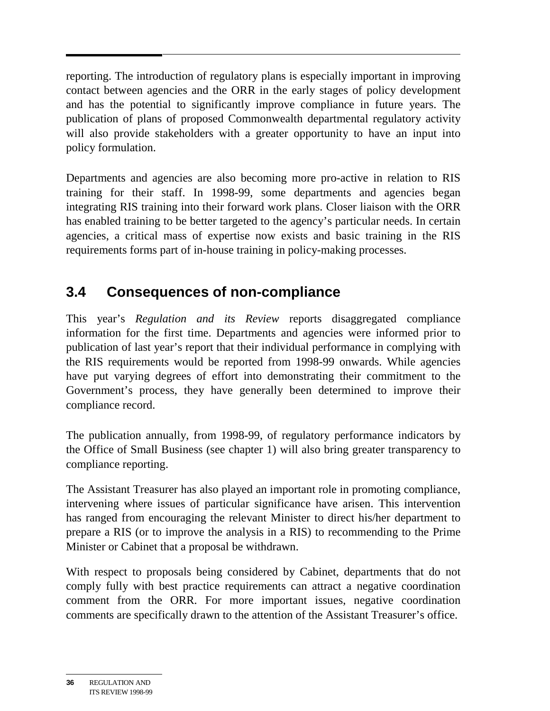reporting. The introduction of regulatory plans is especially important in improving contact between agencies and the ORR in the early stages of policy development and has the potential to significantly improve compliance in future years. The publication of plans of proposed Commonwealth departmental regulatory activity will also provide stakeholders with a greater opportunity to have an input into policy formulation.

Departments and agencies are also becoming more pro-active in relation to RIS training for their staff. In 1998-99, some departments and agencies began integrating RIS training into their forward work plans. Closer liaison with the ORR has enabled training to be better targeted to the agency's particular needs. In certain agencies, a critical mass of expertise now exists and basic training in the RIS requirements forms part of in-house training in policy-making processes.

# **3.4 Consequences of non-compliance**

This year's *Regulation and its Review* reports disaggregated compliance information for the first time. Departments and agencies were informed prior to publication of last year's report that their individual performance in complying with the RIS requirements would be reported from 1998-99 onwards. While agencies have put varying degrees of effort into demonstrating their commitment to the Government's process, they have generally been determined to improve their compliance record.

The publication annually, from 1998-99, of regulatory performance indicators by the Office of Small Business (see chapter 1) will also bring greater transparency to compliance reporting.

The Assistant Treasurer has also played an important role in promoting compliance, intervening where issues of particular significance have arisen. This intervention has ranged from encouraging the relevant Minister to direct his/her department to prepare a RIS (or to improve the analysis in a RIS) to recommending to the Prime Minister or Cabinet that a proposal be withdrawn.

With respect to proposals being considered by Cabinet, departments that do not comply fully with best practice requirements can attract a negative coordination comment from the ORR. For more important issues, negative coordination comments are specifically drawn to the attention of the Assistant Treasurer's office.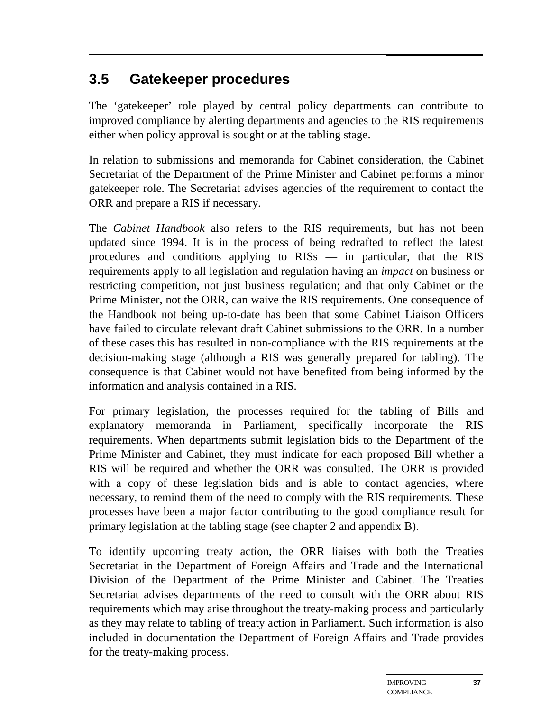# **3.5 Gatekeeper procedures**

The 'gatekeeper' role played by central policy departments can contribute to improved compliance by alerting departments and agencies to the RIS requirements either when policy approval is sought or at the tabling stage.

In relation to submissions and memoranda for Cabinet consideration, the Cabinet Secretariat of the Department of the Prime Minister and Cabinet performs a minor gatekeeper role. The Secretariat advises agencies of the requirement to contact the ORR and prepare a RIS if necessary.

The *Cabinet Handbook* also refers to the RIS requirements, but has not been updated since 1994. It is in the process of being redrafted to reflect the latest procedures and conditions applying to RISs — in particular, that the RIS requirements apply to all legislation and regulation having an *impact* on business or restricting competition, not just business regulation; and that only Cabinet or the Prime Minister, not the ORR, can waive the RIS requirements. One consequence of the Handbook not being up-to-date has been that some Cabinet Liaison Officers have failed to circulate relevant draft Cabinet submissions to the ORR. In a number of these cases this has resulted in non-compliance with the RIS requirements at the decision-making stage (although a RIS was generally prepared for tabling). The consequence is that Cabinet would not have benefited from being informed by the information and analysis contained in a RIS.

For primary legislation, the processes required for the tabling of Bills and explanatory memoranda in Parliament, specifically incorporate the RIS requirements. When departments submit legislation bids to the Department of the Prime Minister and Cabinet, they must indicate for each proposed Bill whether a RIS will be required and whether the ORR was consulted. The ORR is provided with a copy of these legislation bids and is able to contact agencies, where necessary, to remind them of the need to comply with the RIS requirements. These processes have been a major factor contributing to the good compliance result for primary legislation at the tabling stage (see chapter 2 and appendix B).

To identify upcoming treaty action, the ORR liaises with both the Treaties Secretariat in the Department of Foreign Affairs and Trade and the International Division of the Department of the Prime Minister and Cabinet. The Treaties Secretariat advises departments of the need to consult with the ORR about RIS requirements which may arise throughout the treaty-making process and particularly as they may relate to tabling of treaty action in Parliament. Such information is also included in documentation the Department of Foreign Affairs and Trade provides for the treaty-making process.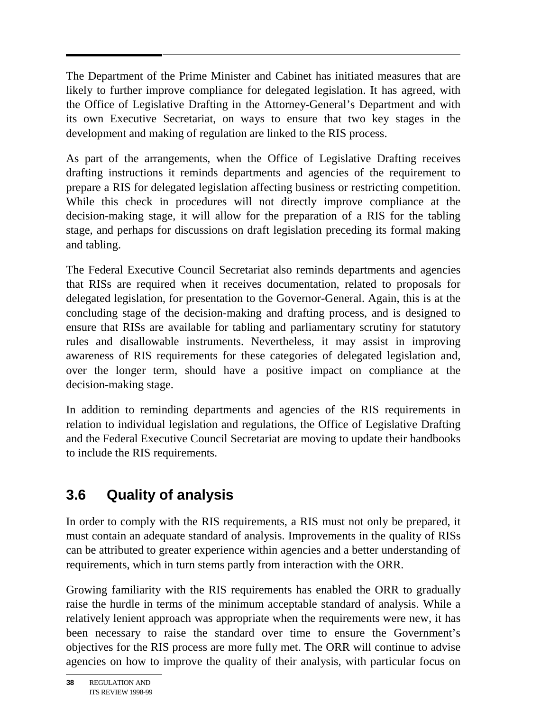The Department of the Prime Minister and Cabinet has initiated measures that are likely to further improve compliance for delegated legislation. It has agreed, with the Office of Legislative Drafting in the Attorney-General's Department and with its own Executive Secretariat, on ways to ensure that two key stages in the development and making of regulation are linked to the RIS process.

As part of the arrangements, when the Office of Legislative Drafting receives drafting instructions it reminds departments and agencies of the requirement to prepare a RIS for delegated legislation affecting business or restricting competition. While this check in procedures will not directly improve compliance at the decision-making stage, it will allow for the preparation of a RIS for the tabling stage, and perhaps for discussions on draft legislation preceding its formal making and tabling.

The Federal Executive Council Secretariat also reminds departments and agencies that RISs are required when it receives documentation, related to proposals for delegated legislation, for presentation to the Governor-General. Again, this is at the concluding stage of the decision-making and drafting process, and is designed to ensure that RISs are available for tabling and parliamentary scrutiny for statutory rules and disallowable instruments. Nevertheless, it may assist in improving awareness of RIS requirements for these categories of delegated legislation and, over the longer term, should have a positive impact on compliance at the decision-making stage.

In addition to reminding departments and agencies of the RIS requirements in relation to individual legislation and regulations, the Office of Legislative Drafting and the Federal Executive Council Secretariat are moving to update their handbooks to include the RIS requirements.

# **3.6 Quality of analysis**

In order to comply with the RIS requirements, a RIS must not only be prepared, it must contain an adequate standard of analysis. Improvements in the quality of RISs can be attributed to greater experience within agencies and a better understanding of requirements, which in turn stems partly from interaction with the ORR.

Growing familiarity with the RIS requirements has enabled the ORR to gradually raise the hurdle in terms of the minimum acceptable standard of analysis. While a relatively lenient approach was appropriate when the requirements were new, it has been necessary to raise the standard over time to ensure the Government's objectives for the RIS process are more fully met. The ORR will continue to advise agencies on how to improve the quality of their analysis, with particular focus on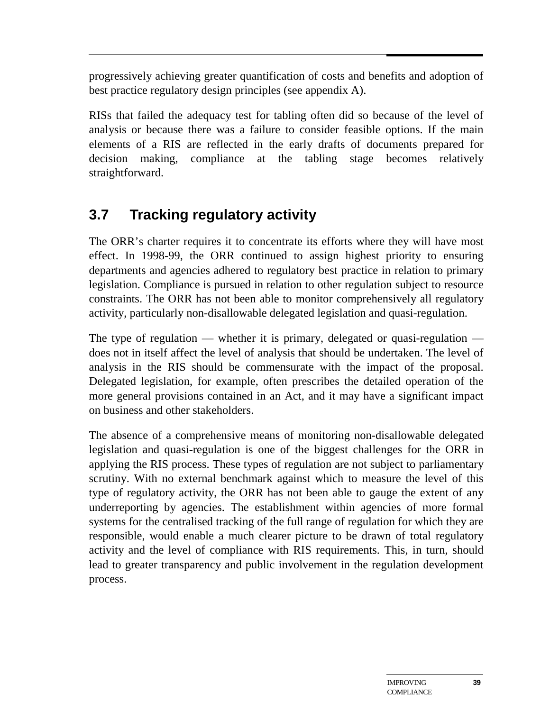progressively achieving greater quantification of costs and benefits and adoption of best practice regulatory design principles (see appendix A).

RISs that failed the adequacy test for tabling often did so because of the level of analysis or because there was a failure to consider feasible options. If the main elements of a RIS are reflected in the early drafts of documents prepared for decision making, compliance at the tabling stage becomes relatively straightforward.

# **3.7 Tracking regulatory activity**

The ORR's charter requires it to concentrate its efforts where they will have most effect. In 1998-99, the ORR continued to assign highest priority to ensuring departments and agencies adhered to regulatory best practice in relation to primary legislation. Compliance is pursued in relation to other regulation subject to resource constraints. The ORR has not been able to monitor comprehensively all regulatory activity, particularly non-disallowable delegated legislation and quasi-regulation.

The type of regulation — whether it is primary, delegated or quasi-regulation does not in itself affect the level of analysis that should be undertaken. The level of analysis in the RIS should be commensurate with the impact of the proposal. Delegated legislation, for example, often prescribes the detailed operation of the more general provisions contained in an Act, and it may have a significant impact on business and other stakeholders.

The absence of a comprehensive means of monitoring non-disallowable delegated legislation and quasi-regulation is one of the biggest challenges for the ORR in applying the RIS process. These types of regulation are not subject to parliamentary scrutiny. With no external benchmark against which to measure the level of this type of regulatory activity, the ORR has not been able to gauge the extent of any underreporting by agencies. The establishment within agencies of more formal systems for the centralised tracking of the full range of regulation for which they are responsible, would enable a much clearer picture to be drawn of total regulatory activity and the level of compliance with RIS requirements. This, in turn, should lead to greater transparency and public involvement in the regulation development process.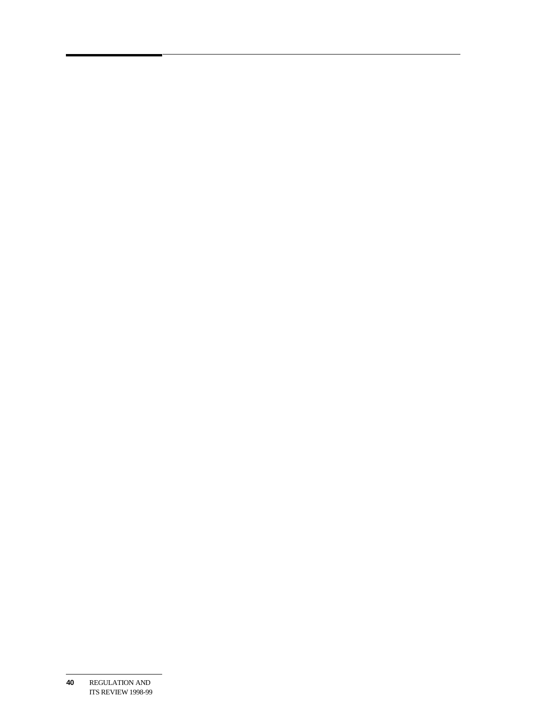**40** REGULATION AND ITS REVIEW 1998-99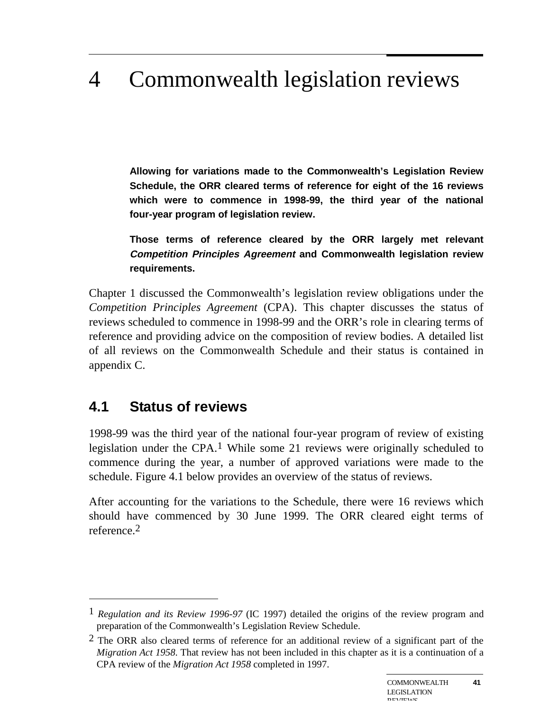# 4 Commonwealth legislation reviews

**Allowing for variations made to the Commonwealth's Legislation Review Schedule, the ORR cleared terms of reference for eight of the 16 reviews which were to commence in 1998-99, the third year of the national four-year program of legislation review.**

**Those terms of reference cleared by the ORR largely met relevant Competition Principles Agreement and Commonwealth legislation review requirements.**

Chapter 1 discussed the Commonwealth's legislation review obligations under the *Competition Principles Agreement* (CPA). This chapter discusses the status of reviews scheduled to commence in 1998-99 and the ORR's role in clearing terms of reference and providing advice on the composition of review bodies. A detailed list of all reviews on the Commonwealth Schedule and their status is contained in appendix C.

### **4.1 Status of reviews**

 $\overline{a}$ 

1998-99 was the third year of the national four-year program of review of existing legislation under the CPA.1 While some 21 reviews were originally scheduled to commence during the year, a number of approved variations were made to the schedule. Figure 4.1 below provides an overview of the status of reviews.

After accounting for the variations to the Schedule, there were 16 reviews which should have commenced by 30 June 1999. The ORR cleared eight terms of reference.2

<sup>1</sup> *Regulation and its Review 1996-97* (IC 1997) detailed the origins of the review program and preparation of the Commonwealth's Legislation Review Schedule.

 $<sup>2</sup>$  The ORR also cleared terms of reference for an additional review of a significant part of the</sup> *Migration Act 1958*. That review has not been included in this chapter as it is a continuation of a CPA review of the *Migration Act 1958* completed in 1997.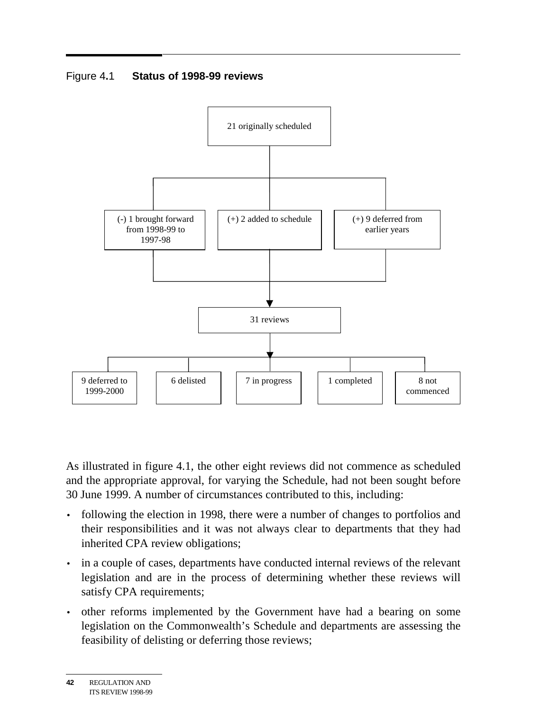Figure 4**.**1 **Status of 1998-99 reviews**



As illustrated in figure 4.1, the other eight reviews did not commence as scheduled and the appropriate approval, for varying the Schedule, had not been sought before 30 June 1999. A number of circumstances contributed to this, including:

- following the election in 1998, there were a number of changes to portfolios and their responsibilities and it was not always clear to departments that they had inherited CPA review obligations;
- in a couple of cases, departments have conducted internal reviews of the relevant legislation and are in the process of determining whether these reviews will satisfy CPA requirements;
- other reforms implemented by the Government have had a bearing on some legislation on the Commonwealth's Schedule and departments are assessing the feasibility of delisting or deferring those reviews;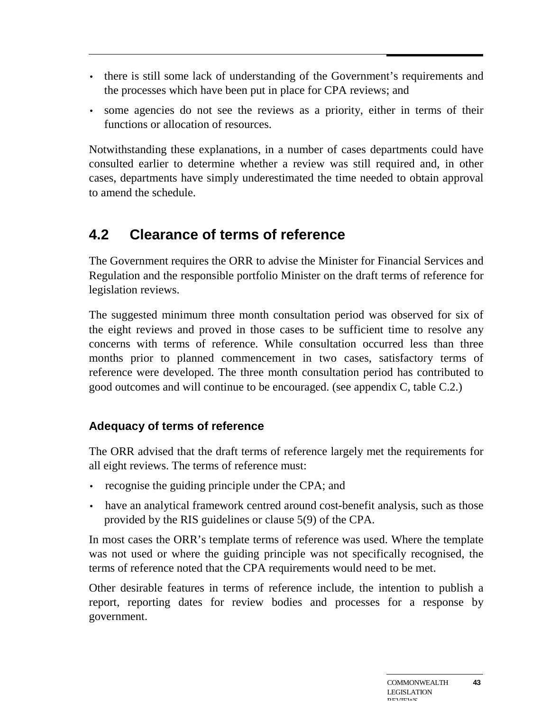- there is still some lack of understanding of the Government's requirements and the processes which have been put in place for CPA reviews; and
- some agencies do not see the reviews as a priority, either in terms of their functions or allocation of resources.

Notwithstanding these explanations, in a number of cases departments could have consulted earlier to determine whether a review was still required and, in other cases, departments have simply underestimated the time needed to obtain approval to amend the schedule.

# **4.2 Clearance of terms of reference**

The Government requires the ORR to advise the Minister for Financial Services and Regulation and the responsible portfolio Minister on the draft terms of reference for legislation reviews.

The suggested minimum three month consultation period was observed for six of the eight reviews and proved in those cases to be sufficient time to resolve any concerns with terms of reference. While consultation occurred less than three months prior to planned commencement in two cases, satisfactory terms of reference were developed. The three month consultation period has contributed to good outcomes and will continue to be encouraged. (see appendix C, table C.2.)

### **Adequacy of terms of reference**

The ORR advised that the draft terms of reference largely met the requirements for all eight reviews. The terms of reference must:

- recognise the guiding principle under the CPA; and
- have an analytical framework centred around cost-benefit analysis, such as those provided by the RIS guidelines or clause 5(9) of the CPA.

In most cases the ORR's template terms of reference was used. Where the template was not used or where the guiding principle was not specifically recognised, the terms of reference noted that the CPA requirements would need to be met.

Other desirable features in terms of reference include, the intention to publish a report, reporting dates for review bodies and processes for a response by government.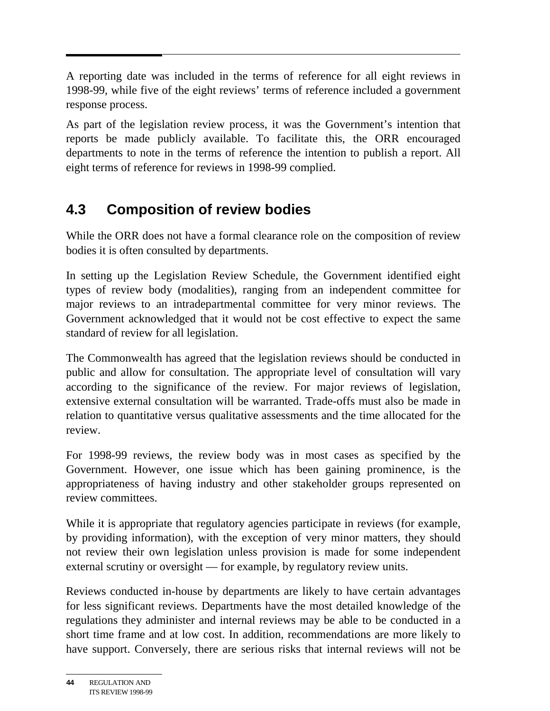A reporting date was included in the terms of reference for all eight reviews in 1998-99, while five of the eight reviews' terms of reference included a government response process.

As part of the legislation review process, it was the Government's intention that reports be made publicly available. To facilitate this, the ORR encouraged departments to note in the terms of reference the intention to publish a report. All eight terms of reference for reviews in 1998-99 complied.

# **4.3 Composition of review bodies**

While the ORR does not have a formal clearance role on the composition of review bodies it is often consulted by departments.

In setting up the Legislation Review Schedule, the Government identified eight types of review body (modalities), ranging from an independent committee for major reviews to an intradepartmental committee for very minor reviews. The Government acknowledged that it would not be cost effective to expect the same standard of review for all legislation.

The Commonwealth has agreed that the legislation reviews should be conducted in public and allow for consultation. The appropriate level of consultation will vary according to the significance of the review. For major reviews of legislation, extensive external consultation will be warranted. Trade-offs must also be made in relation to quantitative versus qualitative assessments and the time allocated for the review.

For 1998-99 reviews, the review body was in most cases as specified by the Government. However, one issue which has been gaining prominence, is the appropriateness of having industry and other stakeholder groups represented on review committees.

While it is appropriate that regulatory agencies participate in reviews (for example, by providing information), with the exception of very minor matters, they should not review their own legislation unless provision is made for some independent external scrutiny or oversight — for example, by regulatory review units.

Reviews conducted in-house by departments are likely to have certain advantages for less significant reviews. Departments have the most detailed knowledge of the regulations they administer and internal reviews may be able to be conducted in a short time frame and at low cost. In addition, recommendations are more likely to have support. Conversely, there are serious risks that internal reviews will not be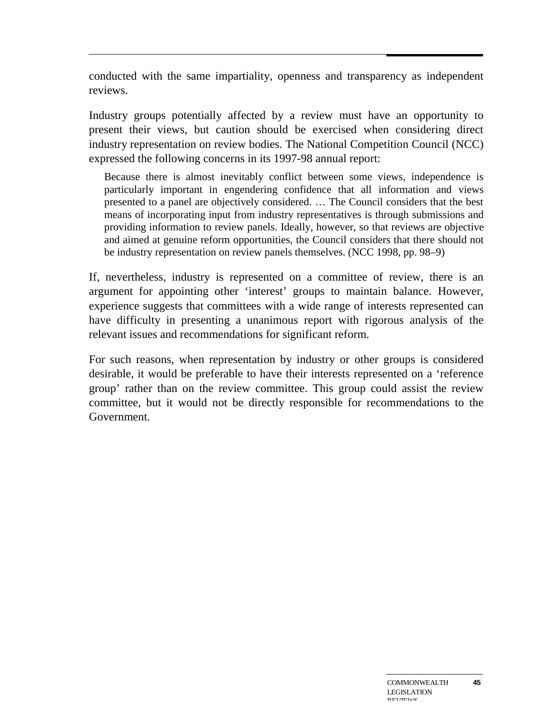conducted with the same impartiality, openness and transparency as independent reviews.

Industry groups potentially affected by a review must have an opportunity to present their views, but caution should be exercised when considering direct industry representation on review bodies. The National Competition Council (NCC) expressed the following concerns in its 1997-98 annual report:

Because there is almost inevitably conflict between some views, independence is particularly important in engendering confidence that all information and views presented to a panel are objectively considered. … The Council considers that the best means of incorporating input from industry representatives is through submissions and providing information to review panels. Ideally, however, so that reviews are objective and aimed at genuine reform opportunities, the Council considers that there should not be industry representation on review panels themselves. (NCC 1998, pp. 98–9)

If, nevertheless, industry is represented on a committee of review, there is an argument for appointing other 'interest' groups to maintain balance. However, experience suggests that committees with a wide range of interests represented can have difficulty in presenting a unanimous report with rigorous analysis of the relevant issues and recommendations for significant reform.

For such reasons, when representation by industry or other groups is considered desirable, it would be preferable to have their interests represented on a 'reference group' rather than on the review committee. This group could assist the review committee, but it would not be directly responsible for recommendations to the Government.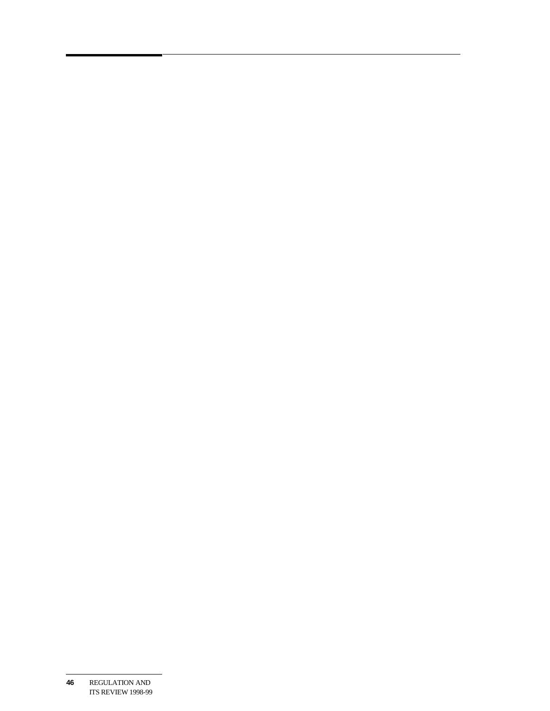**46** REGULATION AND ITS REVIEW 1998-99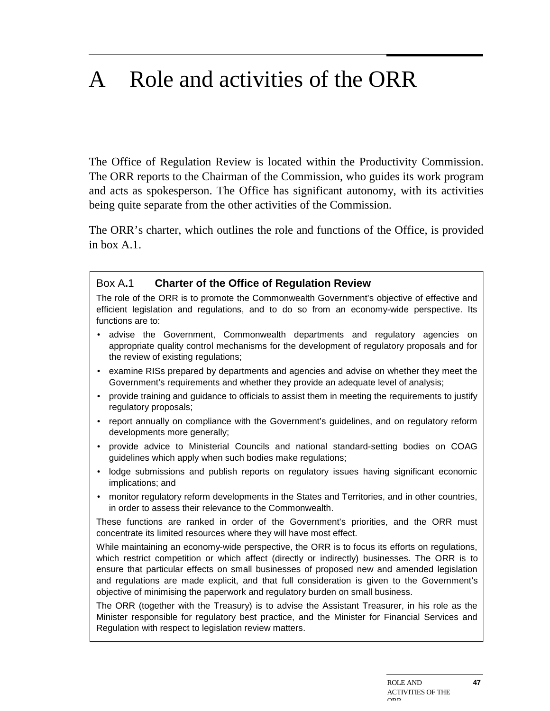# A Role and activities of the ORR

The Office of Regulation Review is located within the Productivity Commission. The ORR reports to the Chairman of the Commission, who guides its work program and acts as spokesperson. The Office has significant autonomy, with its activities being quite separate from the other activities of the Commission.

The ORR's charter, which outlines the role and functions of the Office, is provided in box A.1.

#### Box A**.**1 **Charter of the Office of Regulation Review**

The role of the ORR is to promote the Commonwealth Government's objective of effective and efficient legislation and regulations, and to do so from an economy-wide perspective. Its functions are to:

- advise the Government, Commonwealth departments and regulatory agencies on appropriate quality control mechanisms for the development of regulatory proposals and for the review of existing regulations;
- examine RISs prepared by departments and agencies and advise on whether they meet the Government's requirements and whether they provide an adequate level of analysis;
- provide training and guidance to officials to assist them in meeting the requirements to justify regulatory proposals;
- report annually on compliance with the Government's guidelines, and on regulatory reform developments more generally;
- provide advice to Ministerial Councils and national standard-setting bodies on COAG guidelines which apply when such bodies make regulations;
- lodge submissions and publish reports on regulatory issues having significant economic implications; and
- monitor regulatory reform developments in the States and Territories, and in other countries, in order to assess their relevance to the Commonwealth.

These functions are ranked in order of the Government's priorities, and the ORR must concentrate its limited resources where they will have most effect.

While maintaining an economy-wide perspective, the ORR is to focus its efforts on regulations, which restrict competition or which affect (directly or indirectly) businesses. The ORR is to ensure that particular effects on small businesses of proposed new and amended legislation and regulations are made explicit, and that full consideration is given to the Government's objective of minimising the paperwork and regulatory burden on small business.

The ORR (together with the Treasury) is to advise the Assistant Treasurer, in his role as the Minister responsible for regulatory best practice, and the Minister for Financial Services and Regulation with respect to legislation review matters.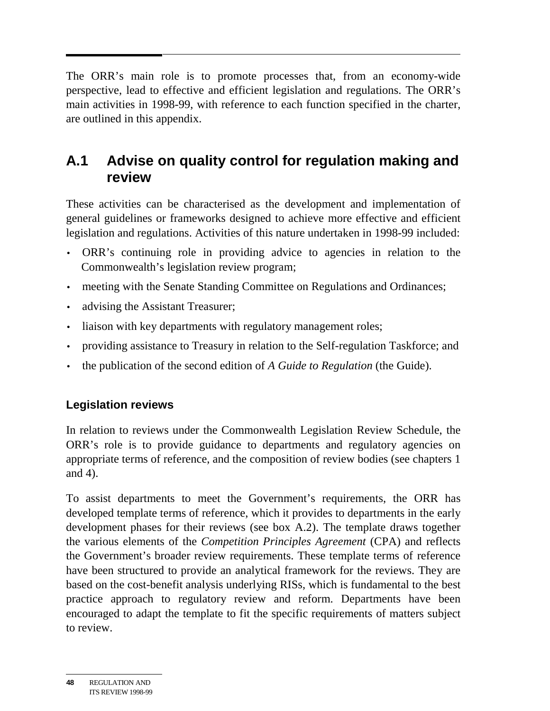The ORR's main role is to promote processes that, from an economy-wide perspective, lead to effective and efficient legislation and regulations. The ORR's main activities in 1998-99, with reference to each function specified in the charter, are outlined in this appendix.

## **A.1 Advise on quality control for regulation making and review**

These activities can be characterised as the development and implementation of general guidelines or frameworks designed to achieve more effective and efficient legislation and regulations. Activities of this nature undertaken in 1998-99 included:

- ORR's continuing role in providing advice to agencies in relation to the Commonwealth's legislation review program;
- meeting with the Senate Standing Committee on Regulations and Ordinances;
- advising the Assistant Treasurer;
- liaison with key departments with regulatory management roles;
- providing assistance to Treasury in relation to the Self-regulation Taskforce; and
- the publication of the second edition of *A Guide to Regulation* (the Guide).

#### **Legislation reviews**

In relation to reviews under the Commonwealth Legislation Review Schedule, the ORR's role is to provide guidance to departments and regulatory agencies on appropriate terms of reference, and the composition of review bodies (see chapters 1 and 4).

To assist departments to meet the Government's requirements, the ORR has developed template terms of reference, which it provides to departments in the early development phases for their reviews (see box A.2). The template draws together the various elements of the *Competition Principles Agreement* (CPA) and reflects the Government's broader review requirements. These template terms of reference have been structured to provide an analytical framework for the reviews. They are based on the cost-benefit analysis underlying RISs, which is fundamental to the best practice approach to regulatory review and reform. Departments have been encouraged to adapt the template to fit the specific requirements of matters subject to review.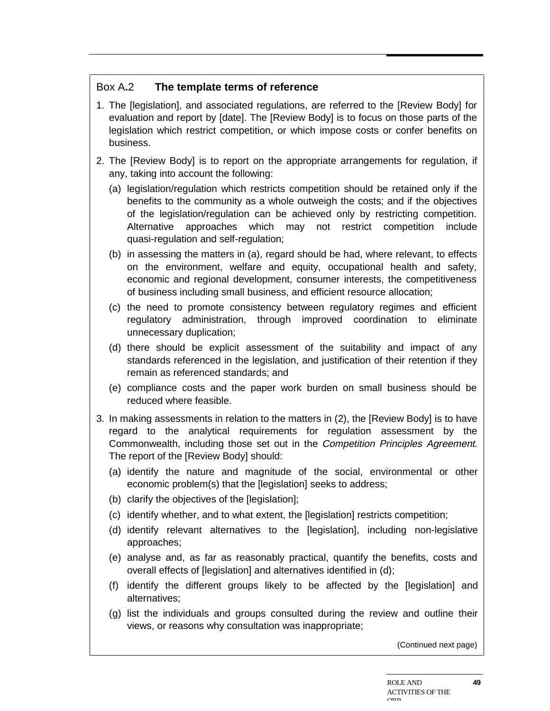#### Box A**.**2 **The template terms of reference**

- 1. The [legislation], and associated regulations, are referred to the [Review Body] for evaluation and report by [date]. The [Review Body] is to focus on those parts of the legislation which restrict competition, or which impose costs or confer benefits on business.
- 2. The [Review Body] is to report on the appropriate arrangements for regulation, if any, taking into account the following:
	- (a) legislation/regulation which restricts competition should be retained only if the benefits to the community as a whole outweigh the costs; and if the objectives of the legislation/regulation can be achieved only by restricting competition. Alternative approaches which may not restrict competition include quasi-regulation and self-regulation;
	- (b) in assessing the matters in (a), regard should be had, where relevant, to effects on the environment, welfare and equity, occupational health and safety, economic and regional development, consumer interests, the competitiveness of business including small business, and efficient resource allocation;
	- (c) the need to promote consistency between regulatory regimes and efficient regulatory administration, through improved coordination to eliminate unnecessary duplication;
	- (d) there should be explicit assessment of the suitability and impact of any standards referenced in the legislation, and justification of their retention if they remain as referenced standards; and
	- (e) compliance costs and the paper work burden on small business should be reduced where feasible.
- 3. In making assessments in relation to the matters in (2), the [Review Body] is to have regard to the analytical requirements for regulation assessment by the Commonwealth, including those set out in the Competition Principles Agreement. The report of the [Review Body] should:
	- (a) identify the nature and magnitude of the social, environmental or other economic problem(s) that the [legislation] seeks to address;
	- (b) clarify the objectives of the [legislation];
	- (c) identify whether, and to what extent, the [legislation] restricts competition;
	- (d) identify relevant alternatives to the [legislation], including non-legislative approaches;
	- (e) analyse and, as far as reasonably practical, quantify the benefits, costs and overall effects of [legislation] and alternatives identified in (d);
	- (f) identify the different groups likely to be affected by the [legislation] and alternatives;
	- (g) list the individuals and groups consulted during the review and outline their views, or reasons why consultation was inappropriate;

(Continued next page)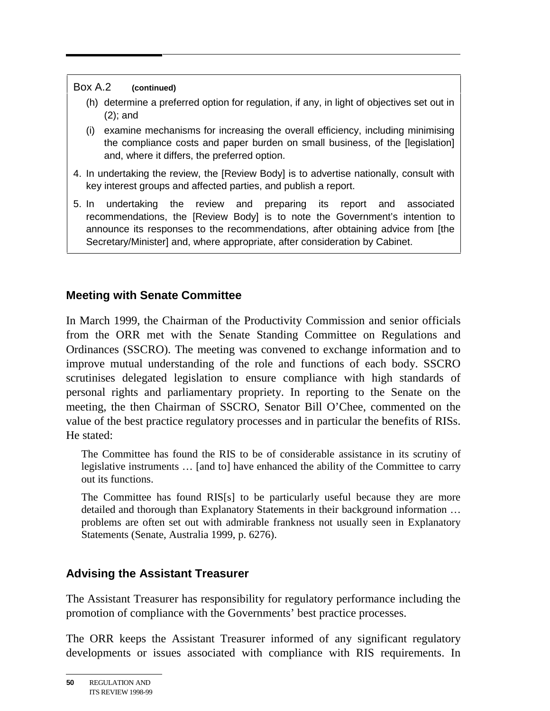#### Box A.2 **(continued)**

- (h) determine a preferred option for regulation, if any, in light of objectives set out in (2); and
- (i) examine mechanisms for increasing the overall efficiency, including minimising the compliance costs and paper burden on small business, of the [legislation] and, where it differs, the preferred option.
- 4. In undertaking the review, the [Review Body] is to advertise nationally, consult with key interest groups and affected parties, and publish a report.
- 5. In undertaking the review and preparing its report and associated recommendations, the [Review Body] is to note the Government's intention to announce its responses to the recommendations, after obtaining advice from [the Secretary/Minister] and, where appropriate, after consideration by Cabinet.

#### **Meeting with Senate Committee**

In March 1999, the Chairman of the Productivity Commission and senior officials from the ORR met with the Senate Standing Committee on Regulations and Ordinances (SSCRO). The meeting was convened to exchange information and to improve mutual understanding of the role and functions of each body. SSCRO scrutinises delegated legislation to ensure compliance with high standards of personal rights and parliamentary propriety. In reporting to the Senate on the meeting, the then Chairman of SSCRO, Senator Bill O'Chee, commented on the value of the best practice regulatory processes and in particular the benefits of RISs. He stated:

The Committee has found the RIS to be of considerable assistance in its scrutiny of legislative instruments … [and to] have enhanced the ability of the Committee to carry out its functions.

The Committee has found RIS[s] to be particularly useful because they are more detailed and thorough than Explanatory Statements in their background information … problems are often set out with admirable frankness not usually seen in Explanatory Statements (Senate, Australia 1999, p. 6276).

### **Advising the Assistant Treasurer**

The Assistant Treasurer has responsibility for regulatory performance including the promotion of compliance with the Governments' best practice processes.

The ORR keeps the Assistant Treasurer informed of any significant regulatory developments or issues associated with compliance with RIS requirements. In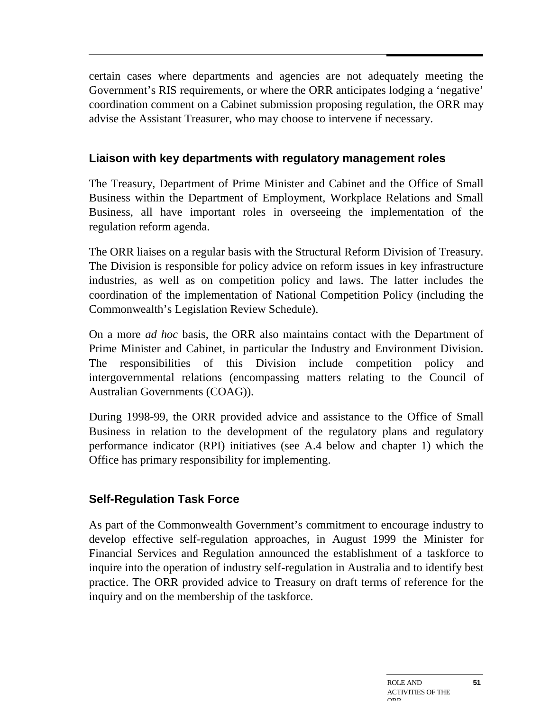certain cases where departments and agencies are not adequately meeting the Government's RIS requirements, or where the ORR anticipates lodging a 'negative' coordination comment on a Cabinet submission proposing regulation, the ORR may advise the Assistant Treasurer, who may choose to intervene if necessary.

#### **Liaison with key departments with regulatory management roles**

The Treasury, Department of Prime Minister and Cabinet and the Office of Small Business within the Department of Employment, Workplace Relations and Small Business, all have important roles in overseeing the implementation of the regulation reform agenda.

The ORR liaises on a regular basis with the Structural Reform Division of Treasury. The Division is responsible for policy advice on reform issues in key infrastructure industries, as well as on competition policy and laws. The latter includes the coordination of the implementation of National Competition Policy (including the Commonwealth's Legislation Review Schedule).

On a more *ad hoc* basis, the ORR also maintains contact with the Department of Prime Minister and Cabinet, in particular the Industry and Environment Division. The responsibilities of this Division include competition policy and intergovernmental relations (encompassing matters relating to the Council of Australian Governments (COAG)).

During 1998-99, the ORR provided advice and assistance to the Office of Small Business in relation to the development of the regulatory plans and regulatory performance indicator (RPI) initiatives (see A.4 below and chapter 1) which the Office has primary responsibility for implementing.

### **Self-Regulation Task Force**

As part of the Commonwealth Government's commitment to encourage industry to develop effective self-regulation approaches, in August 1999 the Minister for Financial Services and Regulation announced the establishment of a taskforce to inquire into the operation of industry self-regulation in Australia and to identify best practice. The ORR provided advice to Treasury on draft terms of reference for the inquiry and on the membership of the taskforce.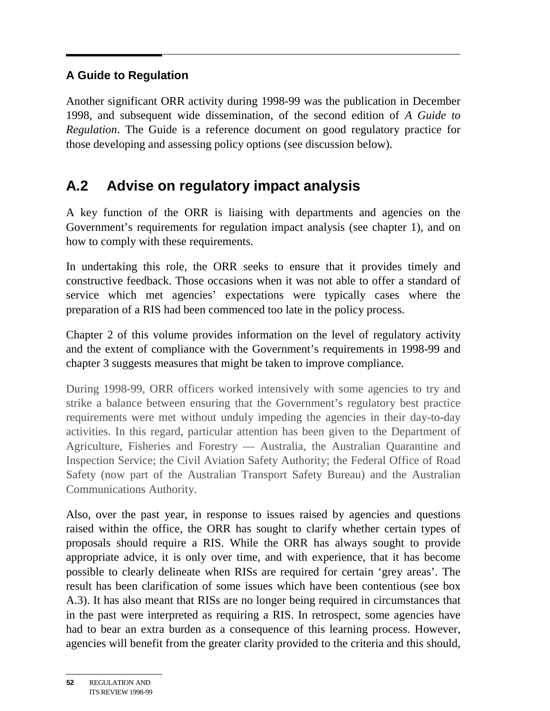### **A Guide to Regulation**

Another significant ORR activity during 1998-99 was the publication in December 1998, and subsequent wide dissemination, of the second edition of *A Guide to Regulation*. The Guide is a reference document on good regulatory practice for those developing and assessing policy options (see discussion below).

# **A.2 Advise on regulatory impact analysis**

A key function of the ORR is liaising with departments and agencies on the Government's requirements for regulation impact analysis (see chapter 1), and on how to comply with these requirements.

In undertaking this role, the ORR seeks to ensure that it provides timely and constructive feedback. Those occasions when it was not able to offer a standard of service which met agencies' expectations were typically cases where the preparation of a RIS had been commenced too late in the policy process.

Chapter 2 of this volume provides information on the level of regulatory activity and the extent of compliance with the Government's requirements in 1998-99 and chapter 3 suggests measures that might be taken to improve compliance.

During 1998-99, ORR officers worked intensively with some agencies to try and strike a balance between ensuring that the Government's regulatory best practice requirements were met without unduly impeding the agencies in their day-to-day activities. In this regard, particular attention has been given to the Department of Agriculture, Fisheries and Forestry — Australia, the Australian Quarantine and Inspection Service; the Civil Aviation Safety Authority; the Federal Office of Road Safety (now part of the Australian Transport Safety Bureau) and the Australian Communications Authority.

Also, over the past year, in response to issues raised by agencies and questions raised within the office, the ORR has sought to clarify whether certain types of proposals should require a RIS. While the ORR has always sought to provide appropriate advice, it is only over time, and with experience, that it has become possible to clearly delineate when RISs are required for certain 'grey areas'. The result has been clarification of some issues which have been contentious (see box A.3). It has also meant that RISs are no longer being required in circumstances that in the past were interpreted as requiring a RIS. In retrospect, some agencies have had to bear an extra burden as a consequence of this learning process. However, agencies will benefit from the greater clarity provided to the criteria and this should,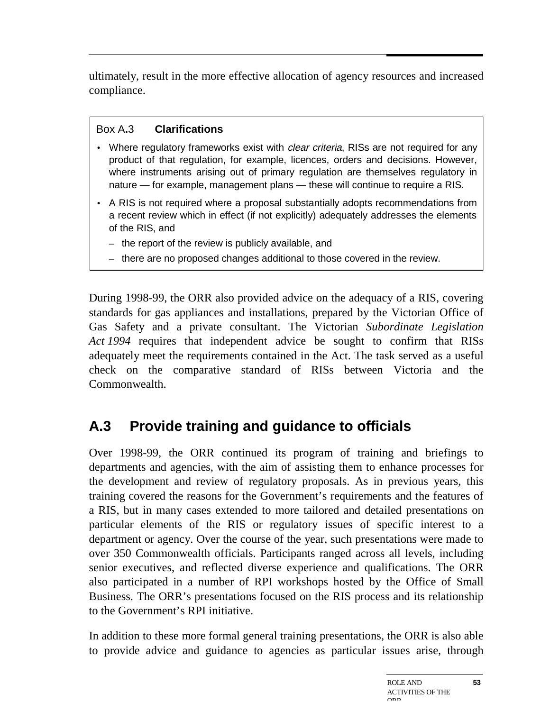ultimately, result in the more effective allocation of agency resources and increased compliance.

#### Box A**.**3 **Clarifications**

- Where regulatory frameworks exist with *clear criteria*, RISs are not required for any product of that regulation, for example, licences, orders and decisions. However, where instruments arising out of primary regulation are themselves regulatory in nature — for example, management plans — these will continue to require a RIS.
- A RIS is not required where a proposal substantially adopts recommendations from a recent review which in effect (if not explicitly) adequately addresses the elements of the RIS, and
	- the report of the review is publicly available, and
	- there are no proposed changes additional to those covered in the review.

During 1998-99, the ORR also provided advice on the adequacy of a RIS, covering standards for gas appliances and installations, prepared by the Victorian Office of Gas Safety and a private consultant. The Victorian *Subordinate Legislation Act 1994* requires that independent advice be sought to confirm that RISs adequately meet the requirements contained in the Act. The task served as a useful check on the comparative standard of RISs between Victoria and the Commonwealth.

### **A.3 Provide training and guidance to officials**

Over 1998-99, the ORR continued its program of training and briefings to departments and agencies, with the aim of assisting them to enhance processes for the development and review of regulatory proposals. As in previous years, this training covered the reasons for the Government's requirements and the features of a RIS, but in many cases extended to more tailored and detailed presentations on particular elements of the RIS or regulatory issues of specific interest to a department or agency. Over the course of the year, such presentations were made to over 350 Commonwealth officials. Participants ranged across all levels, including senior executives, and reflected diverse experience and qualifications. The ORR also participated in a number of RPI workshops hosted by the Office of Small Business. The ORR's presentations focused on the RIS process and its relationship to the Government's RPI initiative.

In addition to these more formal general training presentations, the ORR is also able to provide advice and guidance to agencies as particular issues arise, through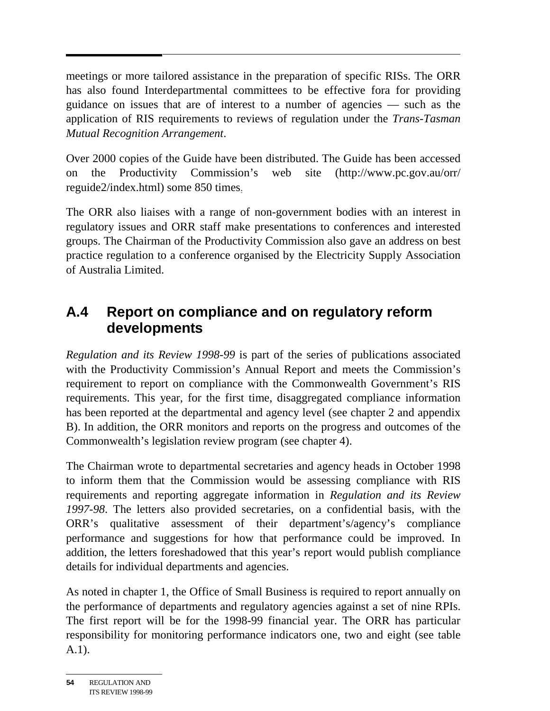meetings or more tailored assistance in the preparation of specific RISs. The ORR has also found Interdepartmental committees to be effective fora for providing guidance on issues that are of interest to a number of agencies — such as the application of RIS requirements to reviews of regulation under the *Trans-Tasman Mutual Recognition Arrangement*.

Over 2000 copies of the Guide have been distributed. The Guide has been accessed on the Productivity Commission's web site (http://www.pc.gov.au/orr/ reguide2/index.html) some 850 times.

The ORR also liaises with a range of non-government bodies with an interest in regulatory issues and ORR staff make presentations to conferences and interested groups. The Chairman of the Productivity Commission also gave an address on best practice regulation to a conference organised by the Electricity Supply Association of Australia Limited.

## **A.4 Report on compliance and on regulatory reform developments**

*Regulation and its Review 1998-99* is part of the series of publications associated with the Productivity Commission's Annual Report and meets the Commission's requirement to report on compliance with the Commonwealth Government's RIS requirements. This year, for the first time, disaggregated compliance information has been reported at the departmental and agency level (see chapter 2 and appendix B). In addition, the ORR monitors and reports on the progress and outcomes of the Commonwealth's legislation review program (see chapter 4).

The Chairman wrote to departmental secretaries and agency heads in October 1998 to inform them that the Commission would be assessing compliance with RIS requirements and reporting aggregate information in *Regulation and its Review 1997-98*. The letters also provided secretaries, on a confidential basis, with the ORR's qualitative assessment of their department's/agency's compliance performance and suggestions for how that performance could be improved. In addition, the letters foreshadowed that this year's report would publish compliance details for individual departments and agencies.

As noted in chapter 1, the Office of Small Business is required to report annually on the performance of departments and regulatory agencies against a set of nine RPIs. The first report will be for the 1998-99 financial year. The ORR has particular responsibility for monitoring performance indicators one, two and eight (see table A.1).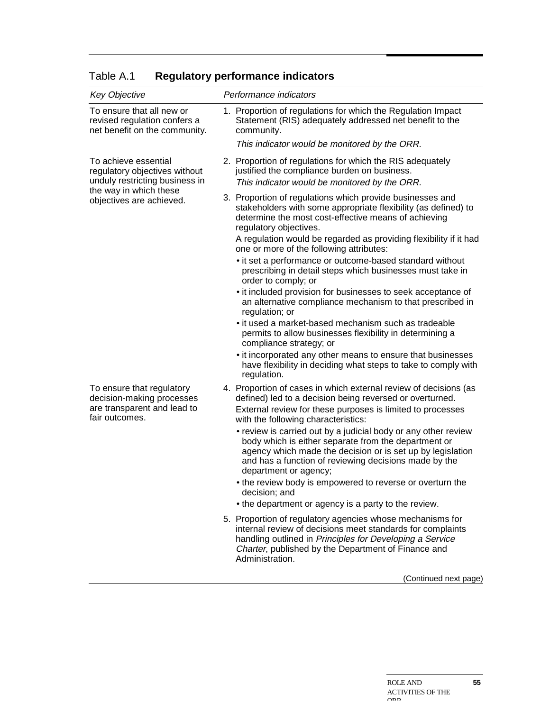| <b>Key Objective</b>                                                                                              | Performance indicators                                                                                                                                                                                                                                                 |
|-------------------------------------------------------------------------------------------------------------------|------------------------------------------------------------------------------------------------------------------------------------------------------------------------------------------------------------------------------------------------------------------------|
| To ensure that all new or<br>revised regulation confers a<br>net benefit on the community.                        | 1. Proportion of regulations for which the Regulation Impact<br>Statement (RIS) adequately addressed net benefit to the<br>community.<br>This indicator would be monitored by the ORR.                                                                                 |
|                                                                                                                   |                                                                                                                                                                                                                                                                        |
| To achieve essential<br>regulatory objectives without<br>unduly restricting business in<br>the way in which these | 2. Proportion of regulations for which the RIS adequately<br>justified the compliance burden on business.<br>This indicator would be monitored by the ORR.                                                                                                             |
| objectives are achieved.                                                                                          | 3. Proportion of regulations which provide businesses and<br>stakeholders with some appropriate flexibility (as defined) to<br>determine the most cost-effective means of achieving<br>regulatory objectives.                                                          |
|                                                                                                                   | A regulation would be regarded as providing flexibility if it had<br>one or more of the following attributes:                                                                                                                                                          |
|                                                                                                                   | • it set a performance or outcome-based standard without<br>prescribing in detail steps which businesses must take in<br>order to comply; or                                                                                                                           |
|                                                                                                                   | • it included provision for businesses to seek acceptance of<br>an alternative compliance mechanism to that prescribed in<br>regulation; or                                                                                                                            |
|                                                                                                                   | • it used a market-based mechanism such as tradeable<br>permits to allow businesses flexibility in determining a<br>compliance strategy; or                                                                                                                            |
|                                                                                                                   | • it incorporated any other means to ensure that businesses<br>have flexibility in deciding what steps to take to comply with<br>regulation.                                                                                                                           |
| To ensure that regulatory<br>decision-making processes                                                            | 4. Proportion of cases in which external review of decisions (as<br>defined) led to a decision being reversed or overturned.                                                                                                                                           |
| are transparent and lead to<br>fair outcomes.                                                                     | External review for these purposes is limited to processes<br>with the following characteristics:                                                                                                                                                                      |
|                                                                                                                   | • review is carried out by a judicial body or any other review<br>body which is either separate from the department or<br>agency which made the decision or is set up by legislation<br>and has a function of reviewing decisions made by the<br>department or agency; |
|                                                                                                                   | • the review body is empowered to reverse or overturn the<br>decision; and                                                                                                                                                                                             |
|                                                                                                                   | • the department or agency is a party to the review.                                                                                                                                                                                                                   |
|                                                                                                                   | 5. Proportion of regulatory agencies whose mechanisms for<br>internal review of decisions meet standards for complaints<br>handling outlined in Principles for Developing a Service<br>Charter, published by the Department of Finance and<br>Administration.          |
|                                                                                                                   | (Continued next page)                                                                                                                                                                                                                                                  |
|                                                                                                                   |                                                                                                                                                                                                                                                                        |
|                                                                                                                   |                                                                                                                                                                                                                                                                        |

## Table A.1 **Regulatory performance indicators**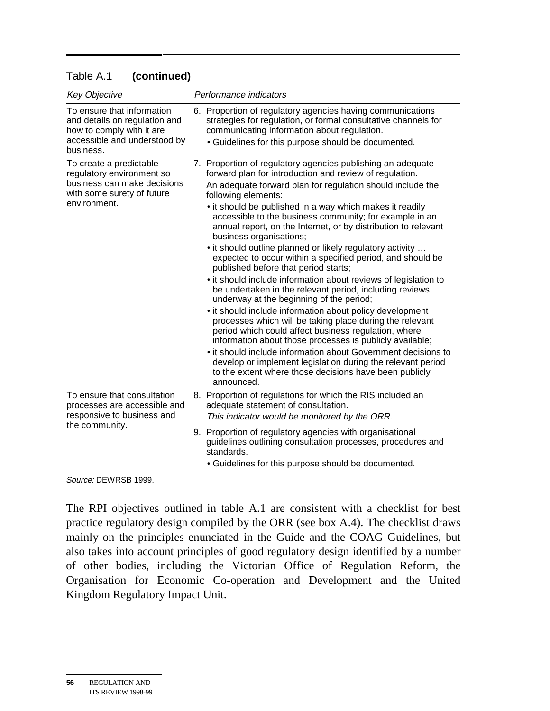| Performance indicators                                                                                                                                                                                                                                                                                                                                                                                                                           |
|--------------------------------------------------------------------------------------------------------------------------------------------------------------------------------------------------------------------------------------------------------------------------------------------------------------------------------------------------------------------------------------------------------------------------------------------------|
|                                                                                                                                                                                                                                                                                                                                                                                                                                                  |
| 6. Proportion of regulatory agencies having communications<br>strategies for regulation, or formal consultative channels for<br>communicating information about regulation.<br>• Guidelines for this purpose should be documented.                                                                                                                                                                                                               |
| 7. Proportion of regulatory agencies publishing an adequate<br>forward plan for introduction and review of regulation.<br>An adequate forward plan for regulation should include the<br>following elements:<br>• it should be published in a way which makes it readily<br>accessible to the business community; for example in an<br>annual report, on the Internet, or by distribution to relevant<br>business organisations;                  |
| • it should outline planned or likely regulatory activity<br>expected to occur within a specified period, and should be<br>published before that period starts;<br>• it should include information about reviews of legislation to<br>be undertaken in the relevant period, including reviews<br>underway at the beginning of the period;                                                                                                        |
| • it should include information about policy development<br>processes which will be taking place during the relevant<br>period which could affect business regulation, where<br>information about those processes is publicly available;<br>• it should include information about Government decisions to<br>develop or implement legislation during the relevant period<br>to the extent where those decisions have been publicly<br>announced. |
| 8. Proportion of regulations for which the RIS included an<br>adequate statement of consultation.<br>This indicator would be monitored by the ORR.                                                                                                                                                                                                                                                                                               |
| 9. Proportion of regulatory agencies with organisational<br>guidelines outlining consultation processes, procedures and<br>standards.<br>• Guidelines for this purpose should be documented.                                                                                                                                                                                                                                                     |
|                                                                                                                                                                                                                                                                                                                                                                                                                                                  |

Source: DEWRSB 1999.

The RPI objectives outlined in table A.1 are consistent with a checklist for best practice regulatory design compiled by the ORR (see box A.4). The checklist draws mainly on the principles enunciated in the Guide and the COAG Guidelines, but also takes into account principles of good regulatory design identified by a number of other bodies, including the Victorian Office of Regulation Reform, the Organisation for Economic Co-operation and Development and the United Kingdom Regulatory Impact Unit.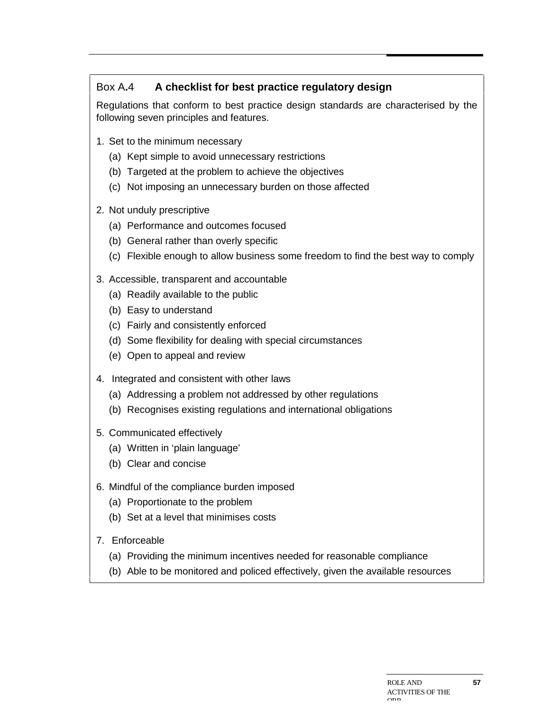#### Box A**.**4 **A checklist for best practice regulatory design**

Regulations that conform to best practice design standards are characterised by the following seven principles and features.

- 1. Set to the minimum necessary
	- (a) Kept simple to avoid unnecessary restrictions
	- (b) Targeted at the problem to achieve the objectives
	- (c) Not imposing an unnecessary burden on those affected
- 2. Not unduly prescriptive
	- (a) Performance and outcomes focused
	- (b) General rather than overly specific
	- (c) Flexible enough to allow business some freedom to find the best way to comply
- 3. Accessible, transparent and accountable
	- (a) Readily available to the public
	- (b) Easy to understand
	- (c) Fairly and consistently enforced
	- (d) Some flexibility for dealing with special circumstances
	- (e) Open to appeal and review
- 4. Integrated and consistent with other laws
	- (a) Addressing a problem not addressed by other regulations
	- (b) Recognises existing regulations and international obligations
- 5. Communicated effectively
	- (a) Written in 'plain language'
	- (b) Clear and concise
- 6. Mindful of the compliance burden imposed
	- (a) Proportionate to the problem
	- (b) Set at a level that minimises costs
- 7. Enforceable
	- (a) Providing the minimum incentives needed for reasonable compliance
	- (b) Able to be monitored and policed effectively, given the available resources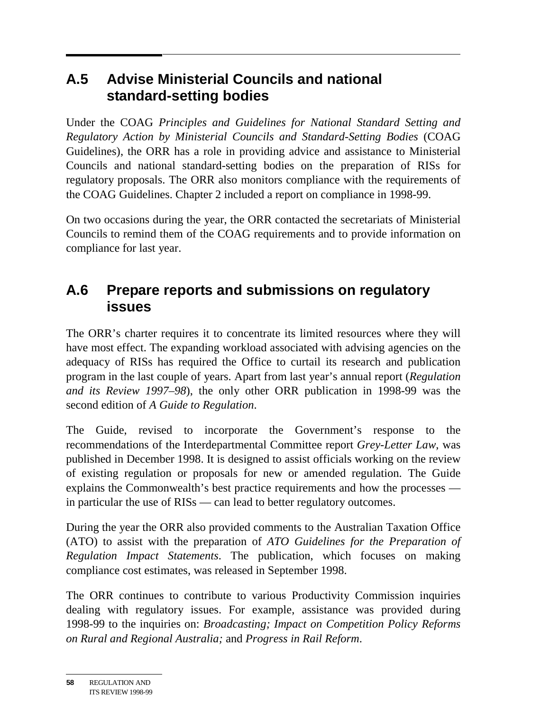# **A.5 Advise Ministerial Councils and national standard-setting bodies**

Under the COAG *Principles and Guidelines for National Standard Setting and Regulatory Action by Ministerial Councils and Standard-Setting Bodies* (COAG Guidelines), the ORR has a role in providing advice and assistance to Ministerial Councils and national standard-setting bodies on the preparation of RISs for regulatory proposals. The ORR also monitors compliance with the requirements of the COAG Guidelines. Chapter 2 included a report on compliance in 1998-99.

On two occasions during the year, the ORR contacted the secretariats of Ministerial Councils to remind them of the COAG requirements and to provide information on compliance for last year.

# **A.6 Prepare reports and submissions on regulatory issues**

The ORR's charter requires it to concentrate its limited resources where they will have most effect. The expanding workload associated with advising agencies on the adequacy of RISs has required the Office to curtail its research and publication program in the last couple of years. Apart from last year's annual report (*Regulation and its Review 1997–98*), the only other ORR publication in 1998-99 was the second edition of *A Guide to Regulation*.

The Guide, revised to incorporate the Government's response to the recommendations of the Interdepartmental Committee report *Grey-Letter Law*, was published in December 1998. It is designed to assist officials working on the review of existing regulation or proposals for new or amended regulation. The Guide explains the Commonwealth's best practice requirements and how the processes in particular the use of RISs — can lead to better regulatory outcomes.

During the year the ORR also provided comments to the Australian Taxation Office (ATO) to assist with the preparation of *ATO Guidelines for the Preparation of Regulation Impact Statements*. The publication, which focuses on making compliance cost estimates, was released in September 1998.

The ORR continues to contribute to various Productivity Commission inquiries dealing with regulatory issues. For example, assistance was provided during 1998-99 to the inquiries on: *Broadcasting; Impact on Competition Policy Reforms on Rural and Regional Australia;* and *Progress in Rail Reform*.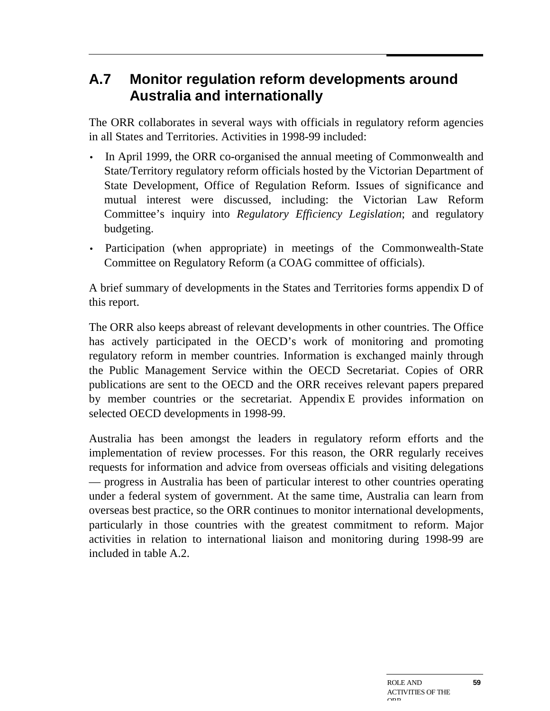# **A.7 Monitor regulation reform developments around Australia and internationally**

The ORR collaborates in several ways with officials in regulatory reform agencies in all States and Territories. Activities in 1998-99 included:

- In April 1999, the ORR co-organised the annual meeting of Commonwealth and State/Territory regulatory reform officials hosted by the Victorian Department of State Development, Office of Regulation Reform. Issues of significance and mutual interest were discussed, including: the Victorian Law Reform Committee's inquiry into *Regulatory Efficiency Legislation*; and regulatory budgeting.
- Participation (when appropriate) in meetings of the Commonwealth-State Committee on Regulatory Reform (a COAG committee of officials).

A brief summary of developments in the States and Territories forms appendix D of this report.

The ORR also keeps abreast of relevant developments in other countries. The Office has actively participated in the OECD's work of monitoring and promoting regulatory reform in member countries. Information is exchanged mainly through the Public Management Service within the OECD Secretariat. Copies of ORR publications are sent to the OECD and the ORR receives relevant papers prepared by member countries or the secretariat. Appendix E provides information on selected OECD developments in 1998-99.

Australia has been amongst the leaders in regulatory reform efforts and the implementation of review processes. For this reason, the ORR regularly receives requests for information and advice from overseas officials and visiting delegations — progress in Australia has been of particular interest to other countries operating under a federal system of government. At the same time, Australia can learn from overseas best practice, so the ORR continues to monitor international developments, particularly in those countries with the greatest commitment to reform. Major activities in relation to international liaison and monitoring during 1998-99 are included in table A.2.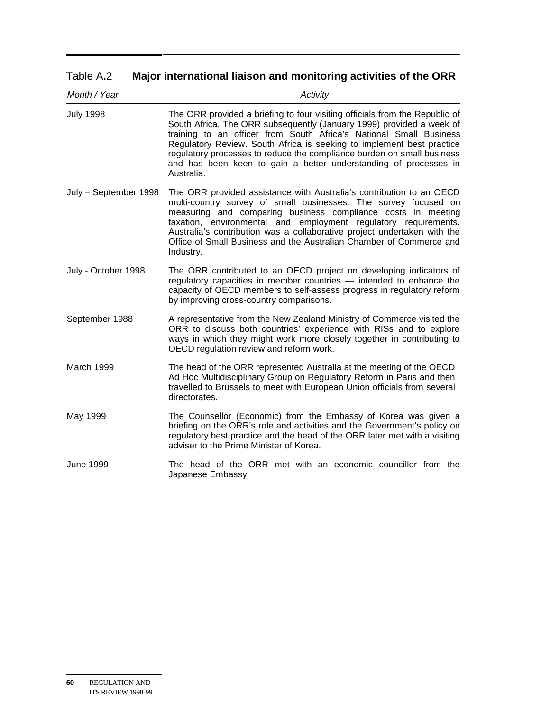Table A**.**2 **Major international liaison and monitoring activities of the ORR**

| Month / Year          | Activity                                                                                                                                                                                                                                                                                                                                                                                                                                                       |
|-----------------------|----------------------------------------------------------------------------------------------------------------------------------------------------------------------------------------------------------------------------------------------------------------------------------------------------------------------------------------------------------------------------------------------------------------------------------------------------------------|
| <b>July 1998</b>      | The ORR provided a briefing to four visiting officials from the Republic of<br>South Africa. The ORR subsequently (January 1999) provided a week of<br>training to an officer from South Africa's National Small Business<br>Regulatory Review. South Africa is seeking to implement best practice<br>regulatory processes to reduce the compliance burden on small business<br>and has been keen to gain a better understanding of processes in<br>Australia. |
| July - September 1998 | The ORR provided assistance with Australia's contribution to an OECD<br>multi-country survey of small businesses. The survey focused on<br>measuring and comparing business compliance costs in meeting<br>taxation, environmental and employment regulatory requirements.<br>Australia's contribution was a collaborative project undertaken with the<br>Office of Small Business and the Australian Chamber of Commerce and<br>Industry.                     |
| July - October 1998   | The ORR contributed to an OECD project on developing indicators of<br>regulatory capacities in member countries - intended to enhance the<br>capacity of OECD members to self-assess progress in regulatory reform<br>by improving cross-country comparisons.                                                                                                                                                                                                  |
| September 1988        | A representative from the New Zealand Ministry of Commerce visited the<br>ORR to discuss both countries' experience with RISs and to explore<br>ways in which they might work more closely together in contributing to<br>OECD regulation review and reform work.                                                                                                                                                                                              |
| March 1999            | The head of the ORR represented Australia at the meeting of the OECD<br>Ad Hoc Multidisciplinary Group on Regulatory Reform in Paris and then<br>travelled to Brussels to meet with European Union officials from several<br>directorates.                                                                                                                                                                                                                     |
| May 1999              | The Counsellor (Economic) from the Embassy of Korea was given a<br>briefing on the ORR's role and activities and the Government's policy on<br>regulatory best practice and the head of the ORR later met with a visiting<br>adviser to the Prime Minister of Korea.                                                                                                                                                                                           |
| <b>June 1999</b>      | The head of the ORR met with an economic councillor from the<br>Japanese Embassy.                                                                                                                                                                                                                                                                                                                                                                              |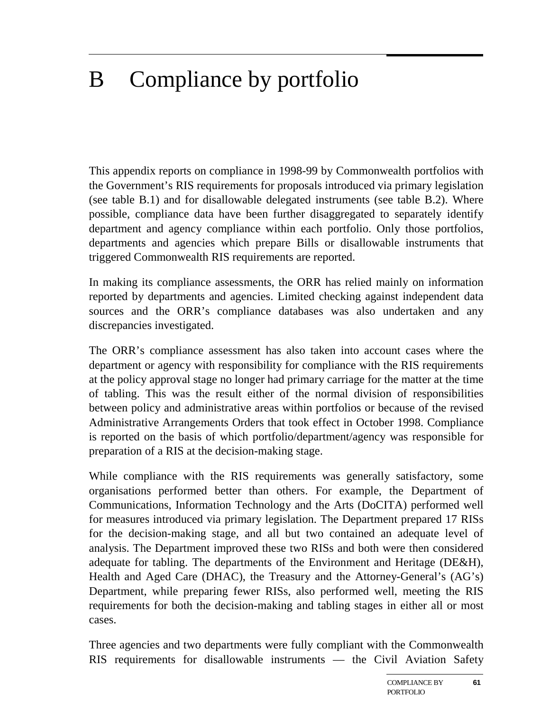# B Compliance by portfolio

This appendix reports on compliance in 1998-99 by Commonwealth portfolios with the Government's RIS requirements for proposals introduced via primary legislation (see table B.1) and for disallowable delegated instruments (see table B.2). Where possible, compliance data have been further disaggregated to separately identify department and agency compliance within each portfolio. Only those portfolios, departments and agencies which prepare Bills or disallowable instruments that triggered Commonwealth RIS requirements are reported.

In making its compliance assessments, the ORR has relied mainly on information reported by departments and agencies. Limited checking against independent data sources and the ORR's compliance databases was also undertaken and any discrepancies investigated.

The ORR's compliance assessment has also taken into account cases where the department or agency with responsibility for compliance with the RIS requirements at the policy approval stage no longer had primary carriage for the matter at the time of tabling. This was the result either of the normal division of responsibilities between policy and administrative areas within portfolios or because of the revised Administrative Arrangements Orders that took effect in October 1998. Compliance is reported on the basis of which portfolio/department/agency was responsible for preparation of a RIS at the decision-making stage.

While compliance with the RIS requirements was generally satisfactory, some organisations performed better than others. For example, the Department of Communications, Information Technology and the Arts (DoCITA) performed well for measures introduced via primary legislation. The Department prepared 17 RISs for the decision-making stage, and all but two contained an adequate level of analysis. The Department improved these two RISs and both were then considered adequate for tabling. The departments of the Environment and Heritage (DE&H), Health and Aged Care (DHAC), the Treasury and the Attorney-General's (AG's) Department, while preparing fewer RISs, also performed well, meeting the RIS requirements for both the decision-making and tabling stages in either all or most cases.

Three agencies and two departments were fully compliant with the Commonwealth RIS requirements for disallowable instruments — the Civil Aviation Safety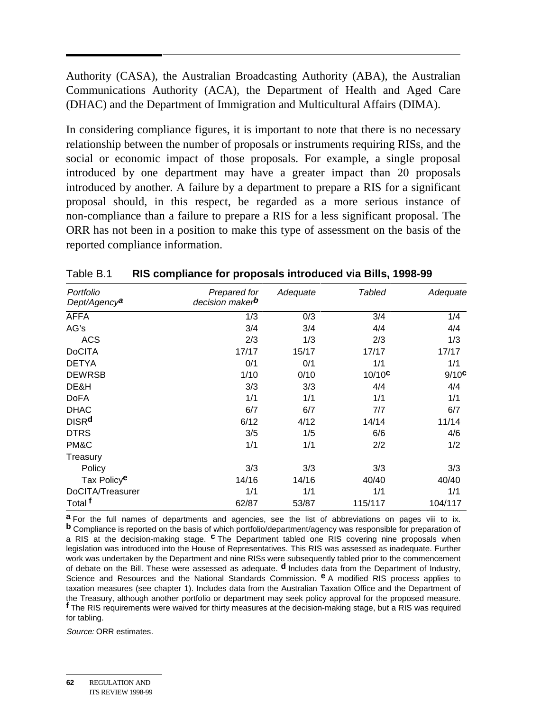Authority (CASA), the Australian Broadcasting Authority (ABA), the Australian Communications Authority (ACA), the Department of Health and Aged Care (DHAC) and the Department of Immigration and Multicultural Affairs (DIMA).

In considering compliance figures, it is important to note that there is no necessary relationship between the number of proposals or instruments requiring RISs, and the social or economic impact of those proposals. For example, a single proposal introduced by one department may have a greater impact than 20 proposals introduced by another. A failure by a department to prepare a RIS for a significant proposal should, in this respect, be regarded as a more serious instance of non-compliance than a failure to prepare a RIS for a less significant proposal. The ORR has not been in a position to make this type of assessment on the basis of the reported compliance information.

| Portfolio<br>Dept/Agency <sup>a</sup> | Prepared for<br>decision maker <sup>b</sup> | Adequate | Tabled             | Adequate          |
|---------------------------------------|---------------------------------------------|----------|--------------------|-------------------|
| <b>AFFA</b>                           | 1/3                                         | 0/3      | 3/4                | 1/4               |
| AG's                                  | 3/4                                         | 3/4      | 4/4                | 4/4               |
| <b>ACS</b>                            | 2/3                                         | 1/3      | 2/3                | 1/3               |
| <b>DoCITA</b>                         | 17/17                                       | 15/17    | 17/17              | 17/17             |
| <b>DETYA</b>                          | 0/1                                         | 0/1      | 1/1                | 1/1               |
| <b>DEWRSB</b>                         | 1/10                                        | 0/10     | 10/10 <sup>c</sup> | 9/10 <sup>c</sup> |
| DE&H                                  | 3/3                                         | 3/3      | 4/4                | 4/4               |
| <b>DoFA</b>                           | 1/1                                         | 1/1      | 1/1                | 1/1               |
| <b>DHAC</b>                           | 6/7                                         | 6/7      | 7/7                | 6/7               |
| <b>DISRd</b>                          | 6/12                                        | 4/12     | 14/14              | 11/14             |
| <b>DTRS</b>                           | 3/5                                         | 1/5      | 6/6                | 4/6               |
| PM&C                                  | 1/1                                         | 1/1      | 2/2                | 1/2               |
| Treasury                              |                                             |          |                    |                   |
| Policy                                | 3/3                                         | 3/3      | 3/3                | 3/3               |
| Tax Policy <sup>e</sup>               | 14/16                                       | 14/16    | 40/40              | 40/40             |
| DoCITA/Treasurer                      | 1/1                                         | 1/1      | 1/1                | 1/1               |
| Total <sup>f</sup>                    | 62/87                                       | 53/87    | 115/117            | 104/117           |

#### Table B.1 **RIS compliance for proposals introduced via Bills, 1998-99**

**a** For the full names of departments and agencies, see the list of abbreviations on pages viii to ix. **b** Compliance is reported on the basis of which portfolio/department/agency was responsible for preparation of a RIS at the decision-making stage. **c** The Department tabled one RIS covering nine proposals when legislation was introduced into the House of Representatives. This RIS was assessed as inadequate. Further work was undertaken by the Department and nine RISs were subsequently tabled prior to the commencement of debate on the Bill. These were assessed as adequate. **d** Includes data from the Department of Industry, Science and Resources and the National Standards Commission. **e** A modified RIS process applies to taxation measures (see chapter 1). Includes data from the Australian Taxation Office and the Department of the Treasury, although another portfolio or department may seek policy approval for the proposed measure. **f** The RIS requirements were waived for thirty measures at the decision-making stage, but a RIS was required for tabling.

Source: ORR estimates.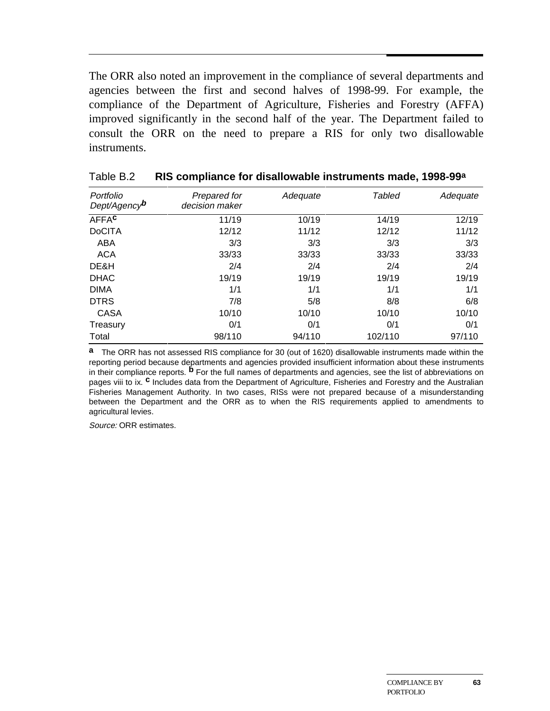The ORR also noted an improvement in the compliance of several departments and agencies between the first and second halves of 1998-99. For example, the compliance of the Department of Agriculture, Fisheries and Forestry (AFFA) improved significantly in the second half of the year. The Department failed to consult the ORR on the need to prepare a RIS for only two disallowable instruments.

| Portfolio<br>Dept/Agency <sup>b</sup> | Prepared for<br>decision maker | Adequate | Tabled  | Adequate |
|---------------------------------------|--------------------------------|----------|---------|----------|
| AFFAC                                 | 11/19                          | 10/19    | 14/19   | 12/19    |
| <b>DoCITA</b>                         | 12/12                          | 11/12    | 12/12   | 11/12    |
| ABA                                   | 3/3                            | 3/3      | 3/3     | 3/3      |
| ACA                                   | 33/33                          | 33/33    | 33/33   | 33/33    |
| DE&H                                  | 2/4                            | 2/4      | 2/4     | 2/4      |
| <b>DHAC</b>                           | 19/19                          | 19/19    | 19/19   | 19/19    |
| <b>DIMA</b>                           | 1/1                            | 1/1      | 1/1     | 1/1      |
| <b>DTRS</b>                           | 7/8                            | 5/8      | 8/8     | 6/8      |
| <b>CASA</b>                           | 10/10                          | 10/10    | 10/10   | 10/10    |
| Treasury                              | 0/1                            | 0/1      | 0/1     | 0/1      |
| Total                                 | 98/110                         | 94/110   | 102/110 | 97/110   |

| Table B.2 | RIS compliance for disallowable instruments made, 1998-99 <sup>a</sup> |
|-----------|------------------------------------------------------------------------|
|-----------|------------------------------------------------------------------------|

**a** The ORR has not assessed RIS compliance for 30 (out of 1620) disallowable instruments made within the reporting period because departments and agencies provided insufficient information about these instruments in their compliance reports. **b** For the full names of departments and agencies, see the list of abbreviations on pages viii to ix. **c** Includes data from the Department of Agriculture, Fisheries and Forestry and the Australian Fisheries Management Authority. In two cases, RISs were not prepared because of a misunderstanding between the Department and the ORR as to when the RIS requirements applied to amendments to agricultural levies.

Source: ORR estimates.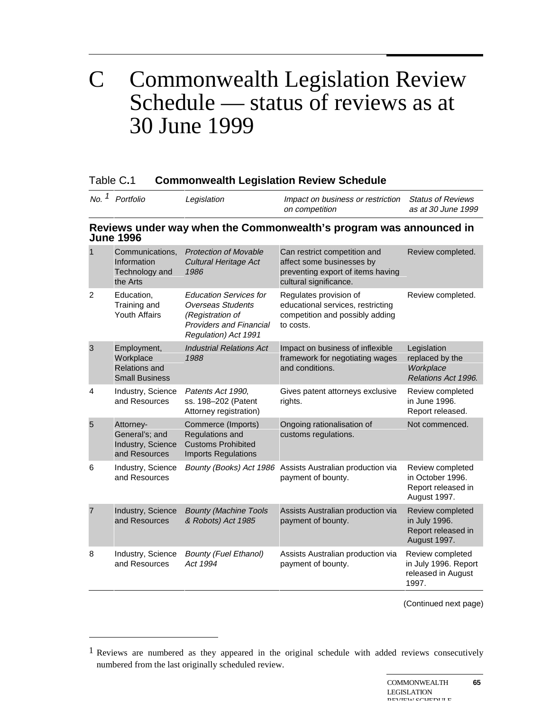# C Commonwealth Legislation Review Schedule — status of reviews as at 30 June 1999

#### Table C**.**1 **Commonwealth Legislation Review Schedule**

| No.            | Portfolio                                                                 | Legislation                                                                                                                             | Impact on business or restriction<br>on competition                                                                      | <b>Status of Reviews</b><br>as at 30 June 1999                             |
|----------------|---------------------------------------------------------------------------|-----------------------------------------------------------------------------------------------------------------------------------------|--------------------------------------------------------------------------------------------------------------------------|----------------------------------------------------------------------------|
|                | <b>June 1996</b>                                                          |                                                                                                                                         | Reviews under way when the Commonwealth's program was announced in                                                       |                                                                            |
| $\mathbf 1$    | Communications,<br>Information<br>Technology and<br>the Arts              | <b>Protection of Movable</b><br><b>Cultural Heritage Act</b><br>1986                                                                    | Can restrict competition and<br>affect some businesses by<br>preventing export of items having<br>cultural significance. | Review completed.                                                          |
| $\overline{2}$ | Education,<br>Training and<br><b>Youth Affairs</b>                        | <b>Education Services for</b><br><b>Overseas Students</b><br>(Registration of<br><b>Providers and Financial</b><br>Regulation) Act 1991 | Regulates provision of<br>educational services, restricting<br>competition and possibly adding<br>to costs.              | Review completed.                                                          |
| 3              | Employment,<br>Workplace<br><b>Relations and</b><br><b>Small Business</b> | <b>Industrial Relations Act</b><br>1988                                                                                                 | Impact on business of inflexible<br>framework for negotiating wages<br>and conditions.                                   | Legislation<br>replaced by the<br>Workplace<br>Relations Act 1996.         |
| 4              | Industry, Science<br>and Resources                                        | Patents Act 1990.<br>ss. 198-202 (Patent<br>Attorney registration)                                                                      | Gives patent attorneys exclusive<br>rights.                                                                              | Review completed<br>in June 1996.<br>Report released.                      |
| 5              | Attorney-<br>General's; and<br>Industry, Science<br>and Resources         | Commerce (Imports)<br>Regulations and<br><b>Customs Prohibited</b><br><b>Imports Regulations</b>                                        | Ongoing rationalisation of<br>customs regulations.                                                                       | Not commenced.                                                             |
| 6              | Industry, Science<br>and Resources                                        |                                                                                                                                         | Bounty (Books) Act 1986 Assists Australian production via<br>payment of bounty.                                          | Review completed<br>in October 1996.<br>Report released in<br>August 1997. |
| $\overline{7}$ | Industry, Science<br>and Resources                                        | <b>Bounty (Machine Tools</b><br>& Robots) Act 1985                                                                                      | Assists Australian production via<br>payment of bounty.                                                                  | Review completed<br>in July 1996.<br>Report released in<br>August 1997.    |
| 8              | Industry, Science<br>and Resources                                        | <b>Bounty (Fuel Ethanol)</b><br>Act 1994                                                                                                | Assists Australian production via<br>payment of bounty.                                                                  | Review completed<br>in July 1996. Report<br>released in August<br>1997.    |

(Continued next page)

 $\overline{a}$ 

<sup>1</sup> Reviews are numbered as they appeared in the original schedule with added reviews consecutively numbered from the last originally scheduled review.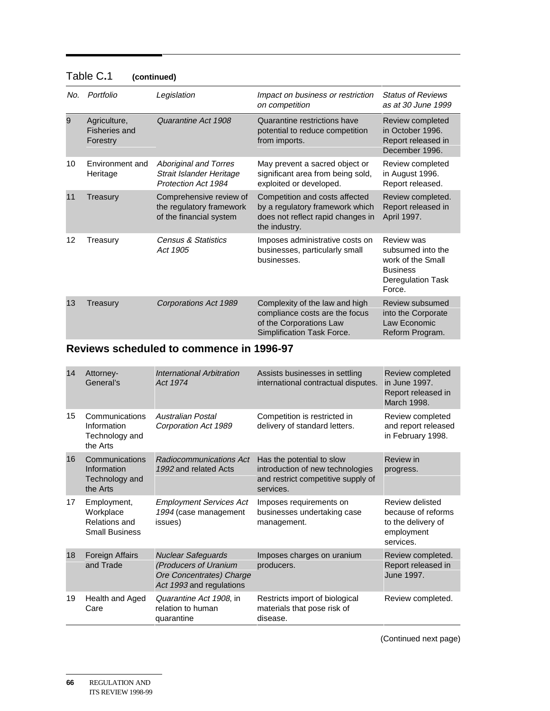|     | 1991111119041                             |                                                                                 |                                                                                                                           |                                                                                                               |  |  |
|-----|-------------------------------------------|---------------------------------------------------------------------------------|---------------------------------------------------------------------------------------------------------------------------|---------------------------------------------------------------------------------------------------------------|--|--|
| No. | Portfolio                                 | Legislation                                                                     | Impact on business or restriction<br>on competition                                                                       | <b>Status of Reviews</b><br>as at 30 June 1999                                                                |  |  |
| 9   | Agriculture,<br>Fisheries and<br>Forestry | Quarantine Act 1908                                                             | Quarantine restrictions have<br>potential to reduce competition<br>from imports.                                          | Review completed<br>in October 1996.<br>Report released in<br>December 1996.                                  |  |  |
| 10  | Environment and<br>Heritage               | <b>Aboriginal and Torres</b><br>Strait Islander Heritage<br>Protection Act 1984 | May prevent a sacred object or<br>significant area from being sold,<br>exploited or developed.                            | Review completed<br>in August 1996.<br>Report released.                                                       |  |  |
| 11  | Treasury                                  | Comprehensive review of<br>the regulatory framework<br>of the financial system  | Competition and costs affected<br>by a regulatory framework which<br>does not reflect rapid changes in<br>the industry.   | Review completed.<br>Report released in<br>April 1997.                                                        |  |  |
| 12  | Treasury                                  | <b>Census &amp; Statistics</b><br>Act 1905                                      | Imposes administrative costs on<br>businesses, particularly small<br>businesses.                                          | <b>Review was</b><br>subsumed into the<br>work of the Small<br><b>Business</b><br>Deregulation Task<br>Force. |  |  |
| 13  | Treasury                                  | Corporations Act 1989                                                           | Complexity of the law and high<br>compliance costs are the focus<br>of the Corporations Law<br>Simplification Task Force. | Review subsumed<br>into the Corporate<br>Law Economic<br>Reform Program.                                      |  |  |

#### **Reviews scheduled to commence in 1996-97**

| 14 | Attorney-<br>General's                                             | International Arbitration<br>Act 1974                                                                      | Assists businesses in settling<br>international contractual disputes.                                            | Review completed<br>in June 1997.<br>Report released in<br>March 1998.                 |
|----|--------------------------------------------------------------------|------------------------------------------------------------------------------------------------------------|------------------------------------------------------------------------------------------------------------------|----------------------------------------------------------------------------------------|
| 15 | Communications<br>Information<br>Technology and<br>the Arts        | Australian Postal<br>Corporation Act 1989                                                                  | Competition is restricted in<br>delivery of standard letters.                                                    | Review completed<br>and report released<br>in February 1998.                           |
| 16 | Communications<br>Information<br>Technology and<br>the Arts        | <b>Radiocommunications Act</b><br>1992 and related Acts                                                    | Has the potential to slow<br>introduction of new technologies<br>and restrict competitive supply of<br>services. | Review in<br>progress.                                                                 |
| 17 | Employment,<br>Workplace<br>Relations and<br><b>Small Business</b> | <b>Employment Services Act</b><br>1994 (case management<br>issues)                                         | Imposes requirements on<br>businesses undertaking case<br>management.                                            | Review delisted<br>because of reforms<br>to the delivery of<br>employment<br>services. |
| 18 | <b>Foreign Affairs</b><br>and Trade                                | <b>Nuclear Safeguards</b><br>(Producers of Uranium<br>Ore Concentrates) Charge<br>Act 1993 and regulations | Imposes charges on uranium<br>producers.                                                                         | Review completed.<br>Report released in<br>June 1997.                                  |
| 19 | Health and Aged<br>Care                                            | Quarantine Act 1908, in<br>relation to human<br>quarantine                                                 | Restricts import of biological<br>materials that pose risk of<br>disease.                                        | Review completed.                                                                      |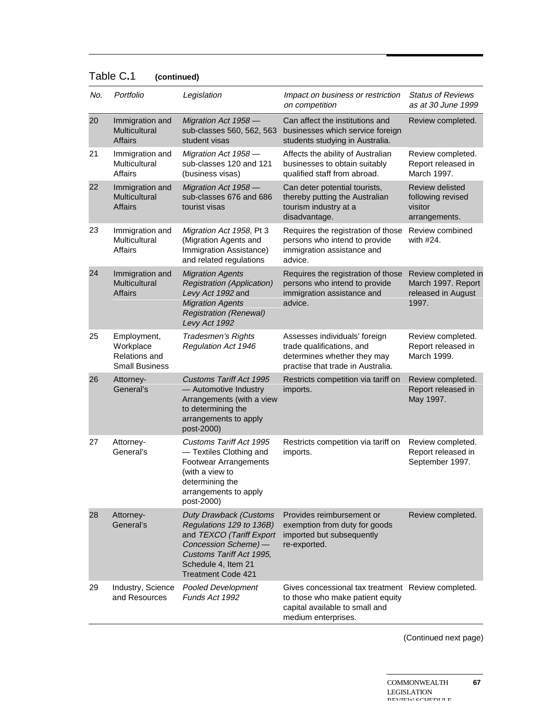| No. | Portfolio                                                          | Legislation                                                                                                                                                                                  | Impact on business or restriction<br>on competition                                                                                             | <b>Status of Reviews</b><br>as at 30 June 1999                           |
|-----|--------------------------------------------------------------------|----------------------------------------------------------------------------------------------------------------------------------------------------------------------------------------------|-------------------------------------------------------------------------------------------------------------------------------------------------|--------------------------------------------------------------------------|
| 20  | Immigration and<br>Multicultural<br><b>Affairs</b>                 | Migration Act 1958-<br>sub-classes 560, 562, 563<br>student visas                                                                                                                            | Can affect the institutions and<br>businesses which service foreign<br>students studying in Australia.                                          | Review completed.                                                        |
| 21  | Immigration and<br>Multicultural<br><b>Affairs</b>                 | Migration Act 1958-<br>sub-classes 120 and 121<br>(business visas)                                                                                                                           | Affects the ability of Australian<br>businesses to obtain suitably<br>qualified staff from abroad.                                              | Review completed.<br>Report released in<br>March 1997.                   |
| 22  | Immigration and<br>Multicultural<br>Affairs                        | Migration Act 1958-<br>sub-classes 676 and 686<br>tourist visas                                                                                                                              | Can deter potential tourists,<br>thereby putting the Australian<br>tourism industry at a<br>disadvantage.                                       | <b>Review delisted</b><br>following revised<br>visitor<br>arrangements.  |
| 23  | Immigration and<br>Multicultural<br>Affairs                        | Migration Act 1958, Pt 3<br>(Migration Agents and<br>Immigration Assistance)<br>and related regulations                                                                                      | Requires the registration of those<br>persons who intend to provide<br>immigration assistance and<br>advice.                                    | Review combined<br>with #24.                                             |
| 24  | Immigration and<br>Multicultural<br>Affairs                        | <b>Migration Agents</b><br><b>Registration (Application)</b><br>Levy Act 1992 and<br><b>Migration Agents</b><br><b>Registration (Renewal)</b><br>Levy Act 1992                               | Requires the registration of those<br>persons who intend to provide<br>immigration assistance and<br>advice.                                    | Review completed in<br>March 1997. Report<br>released in August<br>1997. |
| 25  | Employment,<br>Workplace<br>Relations and<br><b>Small Business</b> | Tradesmen's Rights<br>Regulation Act 1946                                                                                                                                                    | Assesses individuals' foreign<br>trade qualifications, and<br>determines whether they may<br>practise that trade in Australia.                  | Review completed.<br>Report released in<br>March 1999.                   |
| 26  | Attorney-<br>General's                                             | <b>Customs Tariff Act 1995</b><br>- Automotive Industry<br>Arrangements (with a view<br>to determining the<br>arrangements to apply<br>post-2000)                                            | Restricts competition via tariff on<br>imports.                                                                                                 | Review completed.<br>Report released in<br>May 1997.                     |
| 27  | Attorney-<br>General's                                             | Customs Tariff Act 1995<br>- Textiles Clothing and<br><b>Footwear Arrangements</b><br>(with a view to<br>determining the<br>arrangements to apply<br>post-2000)                              | Restricts competition via tariff on<br>imports.                                                                                                 | Review completed.<br>Report released in<br>September 1997.               |
| 28  | Attorney-<br>General's                                             | <b>Duty Drawback (Customs</b><br>Regulations 129 to 136B)<br>and TEXCO (Tariff Export<br>Concession Scheme)-<br>Customs Tariff Act 1995,<br>Schedule 4, Item 21<br><b>Treatment Code 421</b> | Provides reimbursement or<br>exemption from duty for goods<br>imported but subsequently<br>re-exported.                                         | Review completed.                                                        |
| 29  | Industry, Science<br>and Resources                                 | Pooled Development<br>Funds Act 1992                                                                                                                                                         | Gives concessional tax treatment Review completed.<br>to those who make patient equity<br>capital available to small and<br>medium enterprises. |                                                                          |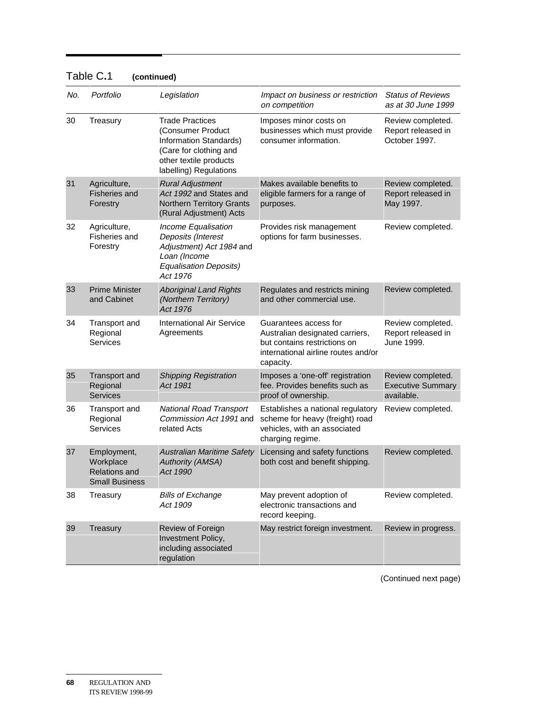| No. | Portfolio                                                          | Legislation                                                                                                                                         | Impact on business or restriction<br>on competition                                                                                          | <b>Status of Reviews</b><br>as at 30 June 1999              |
|-----|--------------------------------------------------------------------|-----------------------------------------------------------------------------------------------------------------------------------------------------|----------------------------------------------------------------------------------------------------------------------------------------------|-------------------------------------------------------------|
| 30  | Treasury                                                           | <b>Trade Practices</b><br>(Consumer Product<br>Information Standards)<br>(Care for clothing and<br>other textile products<br>labelling) Regulations | Imposes minor costs on<br>businesses which must provide<br>consumer information.                                                             | Review completed.<br>Report released in<br>October 1997.    |
| 31  | Agriculture,<br><b>Fisheries and</b><br>Forestry                   | <b>Rural Adjustment</b><br>Act 1992 and States and<br><b>Northern Territory Grants</b><br>(Rural Adjustment) Acts                                   | Makes available benefits to<br>eligible farmers for a range of<br>purposes.                                                                  | Review completed.<br>Report released in<br>May 1997.        |
| 32  | Agriculture,<br><b>Fisheries and</b><br>Forestry                   | Income Equalisation<br>Deposits (Interest<br>Adjustment) Act 1984 and<br>Loan (Income<br><b>Equalisation Deposits)</b><br>Act 1976                  | Provides risk management<br>options for farm businesses.                                                                                     | Review completed.                                           |
| 33  | <b>Prime Minister</b><br>and Cabinet                               | <b>Aboriginal Land Rights</b><br>(Northern Territory)<br>Act 1976                                                                                   | Regulates and restricts mining<br>and other commercial use.                                                                                  | Review completed.                                           |
| 34  | Transport and<br>Regional<br><b>Services</b>                       | <b>International Air Service</b><br>Agreements                                                                                                      | Guarantees access for<br>Australian designated carriers,<br>but contains restrictions on<br>international airline routes and/or<br>capacity. | Review completed.<br>Report released in<br>June 1999.       |
| 35  | <b>Transport and</b><br>Regional<br><b>Services</b>                | <b>Shipping Registration</b><br>Act 1981                                                                                                            | Imposes a 'one-off' registration<br>fee. Provides benefits such as<br>proof of ownership.                                                    | Review completed.<br><b>Executive Summary</b><br>available. |
| 36  | Transport and<br>Regional<br><b>Services</b>                       | <b>National Road Transport</b><br>Commission Act 1991 and<br>related Acts                                                                           | Establishes a national regulatory<br>scheme for heavy (freight) road<br>vehicles, with an associated<br>charging regime.                     | Review completed.                                           |
| 37  | Employment,<br>Workplace<br>Relations and<br><b>Small Business</b> | <b>Australian Maritime Safety</b><br><b>Authority (AMSA)</b><br>Act 1990                                                                            | Licensing and safety functions<br>both cost and benefit shipping.                                                                            | Review completed.                                           |
| 38  | Treasury                                                           | <b>Bills of Exchange</b><br>Act 1909                                                                                                                | May prevent adoption of<br>electronic transactions and<br>record keeping.                                                                    | Review completed.                                           |
| 39  | Treasury                                                           | Review of Foreign<br>Investment Policy,<br>including associated<br>regulation                                                                       | May restrict foreign investment.                                                                                                             | Review in progress.                                         |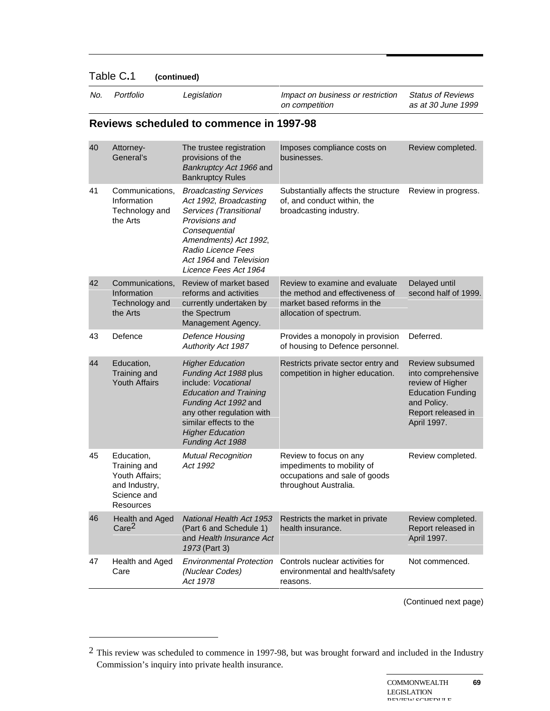$\overline{a}$ 

| No. | Portfolio | Legislation | Impact on business or restriction | Status of Reviews  |
|-----|-----------|-------------|-----------------------------------|--------------------|
|     |           |             | on competition                    | as at 30 June 1999 |

#### **Reviews scheduled to commence in 1997-98**

| 40 | Attorney-<br>General's                                                                    | The trustee registration<br>provisions of the<br>Bankruptcy Act 1966 and<br><b>Bankruptcy Rules</b>                                                                                                                                    | Imposes compliance costs on<br>businesses.                                                                                  | Review completed.                                                                                                                         |
|----|-------------------------------------------------------------------------------------------|----------------------------------------------------------------------------------------------------------------------------------------------------------------------------------------------------------------------------------------|-----------------------------------------------------------------------------------------------------------------------------|-------------------------------------------------------------------------------------------------------------------------------------------|
| 41 | Communications,<br>Information<br>Technology and<br>the Arts                              | <b>Broadcasting Services</b><br>Act 1992, Broadcasting<br>Services (Transitional<br>Provisions and<br>Consequential<br>Amendments) Act 1992,<br>Radio Licence Fees<br>Act 1964 and Television<br>Licence Fees Act 1964                 | Substantially affects the structure<br>of, and conduct within, the<br>broadcasting industry.                                | Review in progress.                                                                                                                       |
| 42 | Communications,<br>Information<br>Technology and<br>the Arts                              | Review of market based<br>reforms and activities<br>currently undertaken by<br>the Spectrum<br>Management Agency.                                                                                                                      | Review to examine and evaluate<br>the method and effectiveness of<br>market based reforms in the<br>allocation of spectrum. | Delayed until<br>second half of 1999.                                                                                                     |
| 43 | Defence                                                                                   | Defence Housing<br>Authority Act 1987                                                                                                                                                                                                  | Provides a monopoly in provision<br>of housing to Defence personnel.                                                        | Deferred.                                                                                                                                 |
| 44 | Education,<br>Training and<br><b>Youth Affairs</b>                                        | <b>Higher Education</b><br>Funding Act 1988 plus<br>include: Vocational<br><b>Education and Training</b><br>Funding Act 1992 and<br>any other regulation with<br>similar effects to the<br><b>Higher Education</b><br>Funding Act 1988 | Restricts private sector entry and<br>competition in higher education.                                                      | Review subsumed<br>into comprehensive<br>review of Higher<br><b>Education Funding</b><br>and Policy.<br>Report released in<br>April 1997. |
| 45 | Education,<br>Training and<br>Youth Affairs:<br>and Industry,<br>Science and<br>Resources | <b>Mutual Recognition</b><br>Act 1992                                                                                                                                                                                                  | Review to focus on any<br>impediments to mobility of<br>occupations and sale of goods<br>throughout Australia.              | Review completed.                                                                                                                         |
| 46 | Health and Aged<br>Care <sup>2</sup>                                                      | National Health Act 1953<br>(Part 6 and Schedule 1)<br>and Health Insurance Act<br>1973 (Part 3)                                                                                                                                       | Restricts the market in private<br>health insurance.                                                                        | Review completed.<br>Report released in<br>April 1997.                                                                                    |
| 47 | Health and Aged<br>Care                                                                   | <b>Environmental Protection</b><br>(Nuclear Codes)<br>Act 1978                                                                                                                                                                         | Controls nuclear activities for<br>environmental and health/safety<br>reasons.                                              | Not commenced.                                                                                                                            |

<sup>2</sup> This review was scheduled to commence in 1997-98, but was brought forward and included in the Industry Commission's inquiry into private health insurance.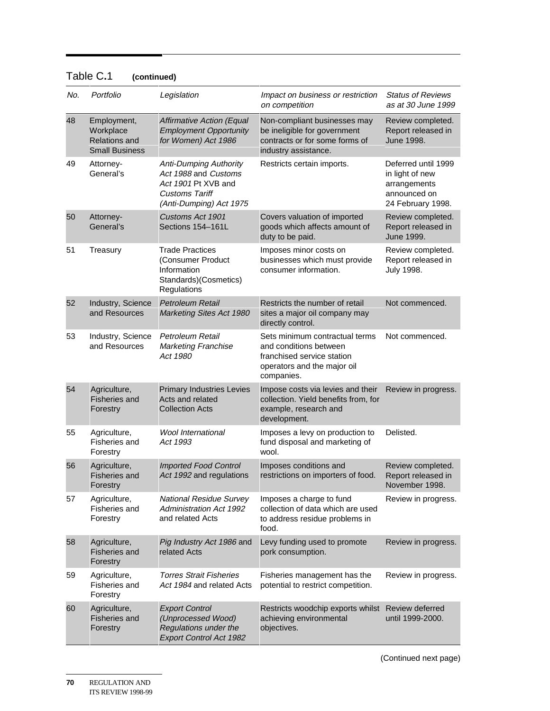| No. | Portfolio                                                                 | Legislation                                                                                                                      | Impact on business or restriction<br>on competition                                                                                 | <b>Status of Reviews</b><br>as at 30 June 1999                                              |
|-----|---------------------------------------------------------------------------|----------------------------------------------------------------------------------------------------------------------------------|-------------------------------------------------------------------------------------------------------------------------------------|---------------------------------------------------------------------------------------------|
| 48  | Employment,<br>Workplace<br><b>Relations and</b><br><b>Small Business</b> | <b>Affirmative Action (Equal</b><br><b>Employment Opportunity</b><br>for Women) Act 1986                                         | Non-compliant businesses may<br>be ineligible for government<br>contracts or for some forms of<br>industry assistance.              | Review completed.<br>Report released in<br>June 1998.                                       |
| 49  | Attorney-<br>General's                                                    | <b>Anti-Dumping Authority</b><br>Act 1988 and Customs<br>Act 1901 Pt XVB and<br><b>Customs Tariff</b><br>(Anti-Dumping) Act 1975 | Restricts certain imports.                                                                                                          | Deferred until 1999<br>in light of new<br>arrangements<br>announced on<br>24 February 1998. |
| 50  | Attorney-<br>General's                                                    | Customs Act 1901<br>Sections 154-161L                                                                                            | Covers valuation of imported<br>goods which affects amount of<br>duty to be paid.                                                   | Review completed.<br>Report released in<br>June 1999.                                       |
| 51  | Treasury                                                                  | <b>Trade Practices</b><br>(Consumer Product<br>Information<br>Standards)(Cosmetics)<br>Regulations                               | Imposes minor costs on<br>businesses which must provide<br>consumer information.                                                    | Review completed.<br>Report released in<br>July 1998.                                       |
| 52  | Industry, Science<br>and Resources                                        | <b>Petroleum Retail</b><br>Marketing Sites Act 1980                                                                              | Restricts the number of retail<br>sites a major oil company may<br>directly control.                                                | Not commenced.                                                                              |
| 53  | Industry, Science<br>and Resources                                        | Petroleum Retail<br><b>Marketing Franchise</b><br>Act 1980                                                                       | Sets minimum contractual terms<br>and conditions between<br>franchised service station<br>operators and the major oil<br>companies. | Not commenced.                                                                              |
| 54  | Agriculture,<br><b>Fisheries and</b><br>Forestry                          | <b>Primary Industries Levies</b><br>Acts and related<br><b>Collection Acts</b>                                                   | Impose costs via levies and their<br>collection. Yield benefits from, for<br>example, research and<br>development.                  | Review in progress.                                                                         |
| 55  | Agriculture,<br>Fisheries and<br>Forestry                                 | <b>Wool International</b><br>Act 1993                                                                                            | Imposes a levy on production to<br>fund disposal and marketing of<br>wool.                                                          | Delisted.                                                                                   |
| 56  | Agriculture,<br><b>Fisheries and</b><br>Forestry                          | <b>Imported Food Control</b><br>Act 1992 and regulations                                                                         | Imposes conditions and<br>restrictions on importers of food.                                                                        | Review completed.<br>Report released in<br>November 1998.                                   |
| 57  | Agriculture,<br>Fisheries and<br>Forestry                                 | <b>National Residue Survey</b><br>Administration Act 1992<br>and related Acts                                                    | Imposes a charge to fund<br>collection of data which are used<br>to address residue problems in<br>food.                            | Review in progress.                                                                         |
| 58  | Agriculture,<br><b>Fisheries and</b><br>Forestry                          | Pig Industry Act 1986 and<br>related Acts                                                                                        | Levy funding used to promote<br>pork consumption.                                                                                   | Review in progress.                                                                         |
| 59  | Agriculture,<br>Fisheries and<br>Forestry                                 | <b>Torres Strait Fisheries</b><br>Act 1984 and related Acts                                                                      | Fisheries management has the<br>potential to restrict competition.                                                                  | Review in progress.                                                                         |
| 60  | Agriculture,<br><b>Fisheries and</b><br>Forestry                          | <b>Export Control</b><br>(Unprocessed Wood)<br>Regulations under the<br><b>Export Control Act 1982</b>                           | Restricts woodchip exports whilst<br>achieving environmental<br>objectives.                                                         | Review deferred<br>until 1999-2000.                                                         |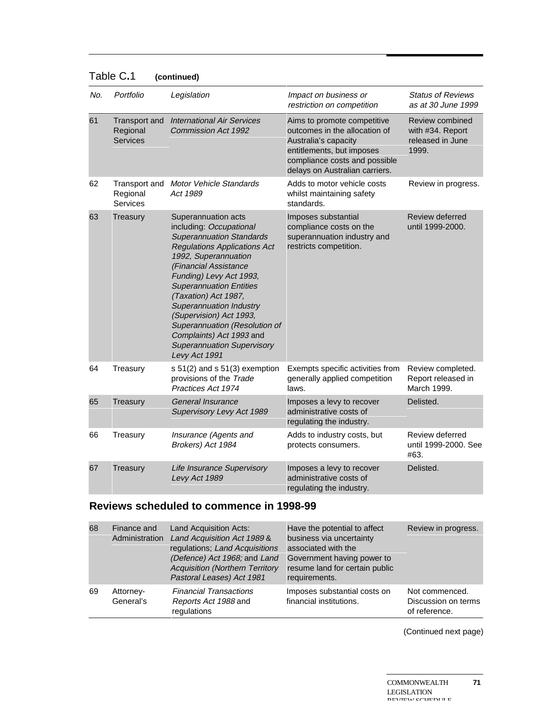| Table C.1 | (continued) |
|-----------|-------------|
|-----------|-------------|

| No. | Portfolio                                    | Legislation                                                                                                                                                                                                                                                                                                                                                                                                                                    | Impact on business or<br>restriction on competition                                                                                                                                  | <b>Status of Reviews</b><br>as at 30 June 1999                   |
|-----|----------------------------------------------|------------------------------------------------------------------------------------------------------------------------------------------------------------------------------------------------------------------------------------------------------------------------------------------------------------------------------------------------------------------------------------------------------------------------------------------------|--------------------------------------------------------------------------------------------------------------------------------------------------------------------------------------|------------------------------------------------------------------|
| 61  | Transport and<br>Regional<br><b>Services</b> | <b>International Air Services</b><br><b>Commission Act 1992</b>                                                                                                                                                                                                                                                                                                                                                                                | Aims to promote competitive<br>outcomes in the allocation of<br>Australia's capacity<br>entitlements, but imposes<br>compliance costs and possible<br>delays on Australian carriers. | Review combined<br>with #34. Report<br>released in June<br>1999. |
| 62  | Transport and<br>Regional<br>Services        | <b>Motor Vehicle Standards</b><br>Act 1989                                                                                                                                                                                                                                                                                                                                                                                                     | Adds to motor vehicle costs<br>whilst maintaining safety<br>standards.                                                                                                               | Review in progress.                                              |
| 63  | Treasury                                     | Superannuation acts<br>including: Occupational<br><b>Superannuation Standards</b><br><b>Regulations Applications Act</b><br>1992, Superannuation<br>(Financial Assistance<br>Funding) Levy Act 1993,<br><b>Superannuation Entities</b><br>(Taxation) Act 1987,<br><b>Superannuation Industry</b><br>(Supervision) Act 1993,<br>Superannuation (Resolution of<br>Complaints) Act 1993 and<br><b>Superannuation Supervisory</b><br>Levy Act 1991 | Imposes substantial<br>compliance costs on the<br>superannuation industry and<br>restricts competition.                                                                              | Review deferred<br>until 1999-2000.                              |
| 64  | Treasury                                     | $s 51(2)$ and $s 51(3)$ exemption<br>provisions of the Trade<br>Practices Act 1974                                                                                                                                                                                                                                                                                                                                                             | Exempts specific activities from<br>generally applied competition<br>laws.                                                                                                           | Review completed.<br>Report released in<br>March 1999.           |
| 65  | Treasury                                     | General Insurance<br>Supervisory Levy Act 1989                                                                                                                                                                                                                                                                                                                                                                                                 | Imposes a levy to recover<br>administrative costs of<br>regulating the industry.                                                                                                     | Delisted.                                                        |
| 66  | Treasury                                     | Insurance (Agents and<br>Brokers) Act 1984                                                                                                                                                                                                                                                                                                                                                                                                     | Adds to industry costs, but<br>protects consumers.                                                                                                                                   | Review deferred<br>until 1999-2000. See<br>#63.                  |
| 67  | Treasury                                     | Life Insurance Supervisory<br>Levy Act 1989                                                                                                                                                                                                                                                                                                                                                                                                    | Imposes a levy to recover<br>administrative costs of<br>regulating the industry.                                                                                                     | Delisted.                                                        |

#### **Reviews scheduled to commence in 1998-99**

| 68 | Finance and<br>Administration | Land Acquisition Acts:<br>Land Acquisition Act 1989 &<br>regulations; Land Acquisitions<br>(Defence) Act 1968; and Land<br><b>Acquisition (Northern Territory)</b><br>Pastoral Leases) Act 1981 | Have the potential to affect<br>business via uncertainty<br>associated with the<br>Government having power to<br>resume land for certain public<br>requirements. | Review in progress.                                    |
|----|-------------------------------|-------------------------------------------------------------------------------------------------------------------------------------------------------------------------------------------------|------------------------------------------------------------------------------------------------------------------------------------------------------------------|--------------------------------------------------------|
| 69 | Attorney-<br>General's        | <b>Financial Transactions</b><br>Reports Act 1988 and<br>regulations                                                                                                                            | Imposes substantial costs on<br>financial institutions.                                                                                                          | Not commenced.<br>Discussion on terms<br>of reference. |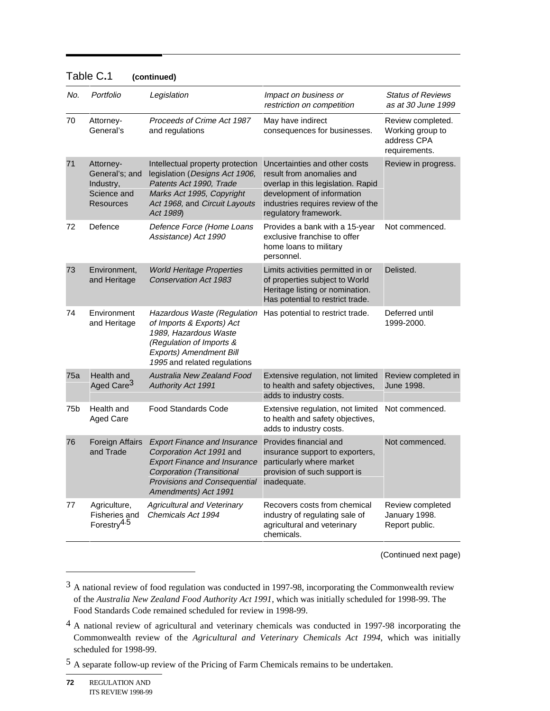| No. | Portfolio                                                                   | Legislation                                                                                                                                                                                        | Impact on business or<br>restriction on competition                                                                                                                                          | <b>Status of Reviews</b><br>as at 30 June 1999                        |
|-----|-----------------------------------------------------------------------------|----------------------------------------------------------------------------------------------------------------------------------------------------------------------------------------------------|----------------------------------------------------------------------------------------------------------------------------------------------------------------------------------------------|-----------------------------------------------------------------------|
| 70  | Attorney-<br>General's                                                      | Proceeds of Crime Act 1987<br>and regulations                                                                                                                                                      | May have indirect<br>consequences for businesses.                                                                                                                                            | Review completed.<br>Working group to<br>address CPA<br>requirements. |
| 71  | Attorney-<br>General's; and<br>Industry,<br>Science and<br><b>Resources</b> | Intellectual property protection<br>legislation (Designs Act 1906,<br>Patents Act 1990, Trade<br>Marks Act 1995, Copyright<br>Act 1968, and Circuit Layouts<br>Act 1989)                           | Uncertainties and other costs<br>result from anomalies and<br>overlap in this legislation. Rapid<br>development of information<br>industries requires review of the<br>regulatory framework. | Review in progress.                                                   |
| 72  | Defence                                                                     | Defence Force (Home Loans<br>Assistance) Act 1990                                                                                                                                                  | Provides a bank with a 15-year<br>exclusive franchise to offer<br>home loans to military<br>personnel.                                                                                       | Not commenced.                                                        |
| 73  | Environment,<br>and Heritage                                                | <b>World Heritage Properties</b><br><b>Conservation Act 1983</b>                                                                                                                                   | Limits activities permitted in or<br>of properties subject to World<br>Heritage listing or nomination.<br>Has potential to restrict trade.                                                   | Delisted.                                                             |
| 74  | Environment<br>and Heritage                                                 | Hazardous Waste (Regulation<br>of Imports & Exports) Act<br>1989, Hazardous Waste<br>(Regulation of Imports &<br>Exports) Amendment Bill<br>1995 and related regulations                           | Has potential to restrict trade.                                                                                                                                                             | Deferred until<br>1999-2000.                                          |
| 75a | Health and<br>Aged Care <sup>3</sup>                                        | Australia New Zealand Food<br>Authority Act 1991                                                                                                                                                   | Extensive regulation, not limited<br>to health and safety objectives,<br>adds to industry costs.                                                                                             | Review completed in<br>June 1998.                                     |
| 75b | Health and<br>Aged Care                                                     | <b>Food Standards Code</b>                                                                                                                                                                         | Extensive regulation, not limited<br>to health and safety objectives,<br>adds to industry costs.                                                                                             | Not commenced.                                                        |
| 76  | Foreign Affairs<br>and Trade                                                | <b>Export Finance and Insurance</b><br>Corporation Act 1991 and<br><b>Export Finance and Insurance</b><br><b>Corporation (Transitional</b><br>Provisions and Consequential<br>Amendments) Act 1991 | Provides financial and<br>insurance support to exporters,<br>particularly where market<br>provision of such support is<br>inadequate.                                                        | Not commenced.                                                        |
| 77  | Agriculture,<br>Fisheries and<br>Forestry $4.5$                             | <b>Agricultural and Veterinary</b><br>Chemicals Act 1994                                                                                                                                           | Recovers costs from chemical<br>industry of regulating sale of<br>agricultural and veterinary<br>chemicals.                                                                                  | Review completed<br>January 1998.<br>Report public.                   |

(Continued next page)

 $\overline{a}$ 

<sup>3</sup> A national review of food regulation was conducted in 1997-98, incorporating the Commonwealth review of the *Australia New Zealand Food Authority Act 1991*, which was initially scheduled for 1998-99. The Food Standards Code remained scheduled for review in 1998-99.

<sup>4</sup> A national review of agricultural and veterinary chemicals was conducted in 1997-98 incorporating the Commonwealth review of the *Agricultural and Veterinary Chemicals Act 1994*, which was initially scheduled for 1998-99.

<sup>5</sup> A separate follow-up review of the Pricing of Farm Chemicals remains to be undertaken.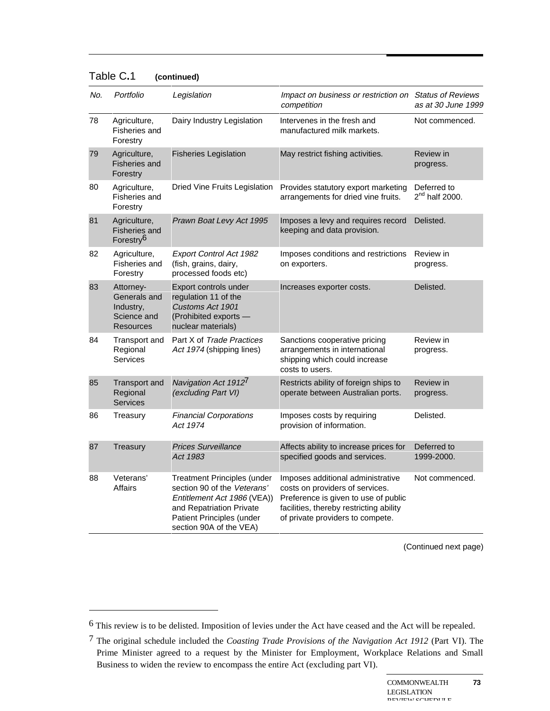| No. | Portfolio                                                                 | Legislation                                                                                                                                                                          | Impact on business or restriction on Status of Reviews<br>competition                                                                                                                       | as at 30 June 1999              |
|-----|---------------------------------------------------------------------------|--------------------------------------------------------------------------------------------------------------------------------------------------------------------------------------|---------------------------------------------------------------------------------------------------------------------------------------------------------------------------------------------|---------------------------------|
| 78  | Agriculture,<br>Fisheries and<br>Forestry                                 | Dairy Industry Legislation                                                                                                                                                           | Intervenes in the fresh and<br>manufactured milk markets.                                                                                                                                   | Not commenced.                  |
| 79  | Agriculture,<br><b>Fisheries and</b><br>Forestry                          | <b>Fisheries Legislation</b>                                                                                                                                                         | May restrict fishing activities.                                                                                                                                                            | <b>Review</b> in<br>progress.   |
| 80  | Agriculture,<br>Fisheries and<br>Forestry                                 |                                                                                                                                                                                      | Dried Vine Fruits Legislation Provides statutory export marketing<br>arrangements for dried vine fruits.                                                                                    | Deferred to<br>$2nd$ half 2000. |
| 81  | Agriculture,<br><b>Fisheries and</b><br>Forestry <sup>6</sup>             | Prawn Boat Levy Act 1995                                                                                                                                                             | Imposes a levy and requires record<br>keeping and data provision.                                                                                                                           | Delisted.                       |
| 82  | Agriculture,<br>Fisheries and<br>Forestry                                 | Export Control Act 1982<br>(fish, grains, dairy,<br>processed foods etc)                                                                                                             | Imposes conditions and restrictions<br>on exporters.                                                                                                                                        | Review in<br>progress.          |
| 83  | Attorney-<br>Generals and<br>Industry,<br>Science and<br><b>Resources</b> | Export controls under<br>regulation 11 of the<br>Customs Act 1901<br>(Prohibited exports -<br>nuclear materials)                                                                     | Increases exporter costs.                                                                                                                                                                   | Delisted.                       |
| 84  | Transport and<br>Regional<br>Services                                     | Part X of Trade Practices<br>Act 1974 (shipping lines)                                                                                                                               | Sanctions cooperative pricing<br>arrangements in international<br>shipping which could increase<br>costs to users.                                                                          | Review in<br>progress.          |
| 85  | Transport and<br>Regional<br><b>Services</b>                              | Navigation Act 1912 <sup>7</sup><br>(excluding Part VI)                                                                                                                              | Restricts ability of foreign ships to<br>operate between Australian ports.                                                                                                                  | Review in<br>progress.          |
| 86  | Treasury                                                                  | <b>Financial Corporations</b><br>Act 1974                                                                                                                                            | Imposes costs by requiring<br>provision of information.                                                                                                                                     | Delisted.                       |
| 87  | Treasury                                                                  | <b>Prices Surveillance</b><br>Act 1983                                                                                                                                               | Affects ability to increase prices for<br>specified goods and services.                                                                                                                     | Deferred to<br>1999-2000.       |
| 88  | Veterans'<br>Affairs                                                      | <b>Treatment Principles (under</b><br>section 90 of the Veterans'<br>Entitlement Act 1986 (VEA))<br>and Repatriation Private<br>Patient Principles (under<br>section 90A of the VEA) | Imposes additional administrative<br>costs on providers of services.<br>Preference is given to use of public<br>facilities, thereby restricting ability<br>of private providers to compete. | Not commenced.                  |

 $\overline{a}$ 

<sup>6</sup> This review is to be delisted. Imposition of levies under the Act have ceased and the Act will be repealed.

<sup>7</sup> The original schedule included the *Coasting Trade Provisions of the Navigation Act 1912* (Part VI). The Prime Minister agreed to a request by the Minister for Employment, Workplace Relations and Small Business to widen the review to encompass the entire Act (excluding part VI).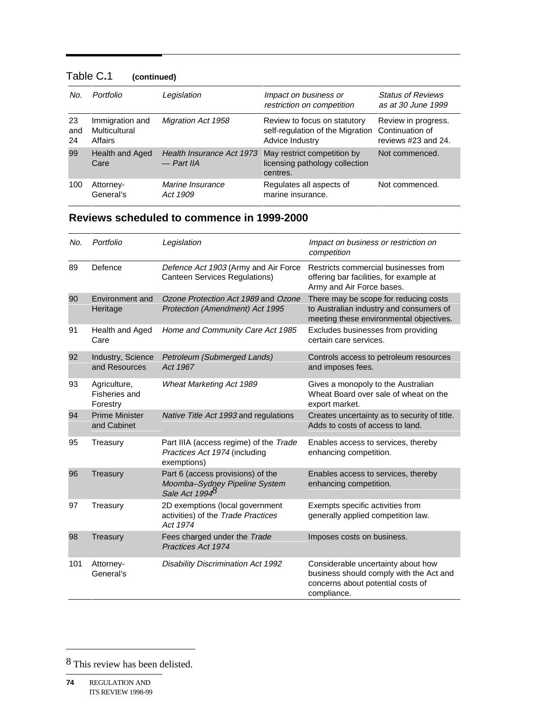| No.             | Portfolio                                   | Legislation                               | Impact on business or<br>restriction on competition                                                 | <b>Status of Reviews</b><br>as at 30 June 1999 |
|-----------------|---------------------------------------------|-------------------------------------------|-----------------------------------------------------------------------------------------------------|------------------------------------------------|
| 23<br>and<br>24 | Immigration and<br>Multicultural<br>Affairs | Migration Act 1958                        | Review to focus on statutory<br>self-regulation of the Migration Continuation of<br>Advice Industry | Review in progress.<br>reviews #23 and 24.     |
| 99              | Health and Aged<br>Care                     | Health Insurance Act 1973<br>$-$ Part IIA | May restrict competition by<br>licensing pathology collection<br>centres.                           | Not commenced.                                 |
| 100             | Attorney-<br>General's                      | Marine Insurance<br>Act 1909              | Regulates all aspects of<br>marine insurance.                                                       | Not commenced.                                 |

#### **Reviews scheduled to commence in 1999-2000**

| No. | Portfolio                                        | Legislation                                                                                     | Impact on business or restriction on<br>competition                                                                               |
|-----|--------------------------------------------------|-------------------------------------------------------------------------------------------------|-----------------------------------------------------------------------------------------------------------------------------------|
| 89  | Defence                                          | Defence Act 1903 (Army and Air Force<br><b>Canteen Services Regulations)</b>                    | Restricts commercial businesses from<br>offering bar facilities, for example at<br>Army and Air Force bases.                      |
| 90  | Environment and<br>Heritage                      | Ozone Protection Act 1989 and Ozone<br>Protection (Amendment) Act 1995                          | There may be scope for reducing costs<br>to Australian industry and consumers of<br>meeting these environmental objectives.       |
| 91  | Health and Aged<br>Care                          | Home and Community Care Act 1985                                                                | Excludes businesses from providing<br>certain care services.                                                                      |
| 92  | Industry, Science<br>and Resources               | Petroleum (Submerged Lands)<br>Act 1967                                                         | Controls access to petroleum resources<br>and imposes fees.                                                                       |
| 93  | Agriculture,<br><b>Fisheries and</b><br>Forestry | <b>Wheat Marketing Act 1989</b>                                                                 | Gives a monopoly to the Australian<br>Wheat Board over sale of wheat on the<br>export market.                                     |
| 94  | <b>Prime Minister</b><br>and Cabinet             | Native Title Act 1993 and regulations                                                           | Creates uncertainty as to security of title.<br>Adds to costs of access to land.                                                  |
| 95  | Treasury                                         | Part IIIA (access regime) of the Trade<br>Practices Act 1974 (including<br>exemptions)          | Enables access to services, thereby<br>enhancing competition.                                                                     |
| 96  | Treasury                                         | Part 6 (access provisions) of the<br>Moomba-Sydney Pipeline System<br>Sale Act 1994 $8^{\circ}$ | Enables access to services, thereby<br>enhancing competition.                                                                     |
| 97  | Treasury                                         | 2D exemptions (local government<br>activities) of the Trade Practices<br>Act 1974               | Exempts specific activities from<br>generally applied competition law.                                                            |
| 98  | Treasury                                         | Fees charged under the Trade<br>Practices Act 1974                                              | Imposes costs on business.                                                                                                        |
| 101 | Attorney-<br>General's                           | <b>Disability Discrimination Act 1992</b>                                                       | Considerable uncertainty about how<br>business should comply with the Act and<br>concerns about potential costs of<br>compliance. |

 $\overline{a}$ 

<sup>8</sup> This review has been delisted.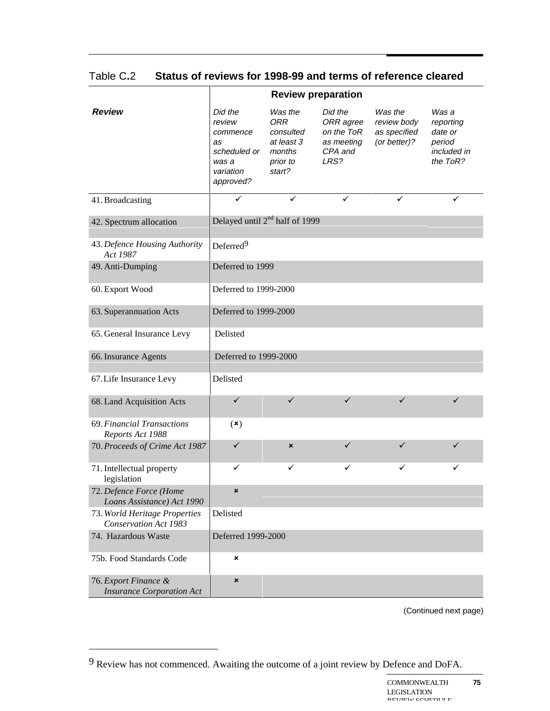|                                                               | <b>Review preparation</b>                                                              |                                                                                  |                                                                     |                                                        |                                                                    |
|---------------------------------------------------------------|----------------------------------------------------------------------------------------|----------------------------------------------------------------------------------|---------------------------------------------------------------------|--------------------------------------------------------|--------------------------------------------------------------------|
| <b>Review</b>                                                 | Did the<br>review<br>commence<br>as<br>scheduled or<br>was a<br>variation<br>approved? | Was the<br><b>ORR</b><br>consulted<br>at least 3<br>months<br>prior to<br>start? | Did the<br>ORR agree<br>on the ToR<br>as meeting<br>CPA and<br>LRS? | Was the<br>review body<br>as specified<br>(or better)? | Was a<br>reporting<br>date or<br>period<br>included in<br>the ToR? |
| 41. Broadcasting                                              | $\checkmark$                                                                           | $\checkmark$                                                                     | ✓                                                                   | ✓                                                      | ✓                                                                  |
| 42. Spectrum allocation                                       | Delayed until 2 <sup>nd</sup> half of 1999                                             |                                                                                  |                                                                     |                                                        |                                                                    |
| 43. Defence Housing Authority<br>Act 1987                     | Deferred <sup>9</sup>                                                                  |                                                                                  |                                                                     |                                                        |                                                                    |
| 49. Anti-Dumping                                              | Deferred to 1999                                                                       |                                                                                  |                                                                     |                                                        |                                                                    |
| 60. Export Wood                                               | Deferred to 1999-2000                                                                  |                                                                                  |                                                                     |                                                        |                                                                    |
| 63. Superannuation Acts                                       | Deferred to 1999-2000                                                                  |                                                                                  |                                                                     |                                                        |                                                                    |
| 65. General Insurance Levy                                    | Delisted                                                                               |                                                                                  |                                                                     |                                                        |                                                                    |
| 66. Insurance Agents                                          | Deferred to 1999-2000                                                                  |                                                                                  |                                                                     |                                                        |                                                                    |
| 67. Life Insurance Levy                                       | Delisted                                                                               |                                                                                  |                                                                     |                                                        |                                                                    |
| 68. Land Acquisition Acts                                     | $\checkmark$                                                                           | ✓                                                                                |                                                                     |                                                        |                                                                    |
| 69. Financial Transactions<br>Reports Act 1988                | (x)                                                                                    |                                                                                  |                                                                     |                                                        |                                                                    |
| 70. Proceeds of Crime Act 1987                                | ✓                                                                                      | $\pmb{\times}$                                                                   | ✓                                                                   |                                                        |                                                                    |
| 71. Intellectual property<br>legislation                      | ✓                                                                                      | ✓                                                                                | ✓                                                                   | ✓                                                      | ✓                                                                  |
| 72. Defence Force (Home<br>Loans Assistance) Act 1990         | ×                                                                                      |                                                                                  |                                                                     |                                                        |                                                                    |
| 73. World Heritage Properties<br><b>Conservation Act 1983</b> | Delisted                                                                               |                                                                                  |                                                                     |                                                        |                                                                    |
| 74. Hazardous Waste                                           | Deferred 1999-2000                                                                     |                                                                                  |                                                                     |                                                        |                                                                    |
| 75b. Food Standards Code                                      | ×                                                                                      |                                                                                  |                                                                     |                                                        |                                                                    |
| 76. Export Finance &<br><b>Insurance Corporation Act</b>      | $\pmb{\times}$                                                                         |                                                                                  |                                                                     |                                                        |                                                                    |

#### Table C**.**2 **Status of reviews for 1998-99 and terms of reference cleared**

(Continued next page)

 $\overline{a}$ 

<sup>9</sup> Review has not commenced. Awaiting the outcome of a joint review by Defence and DoFA.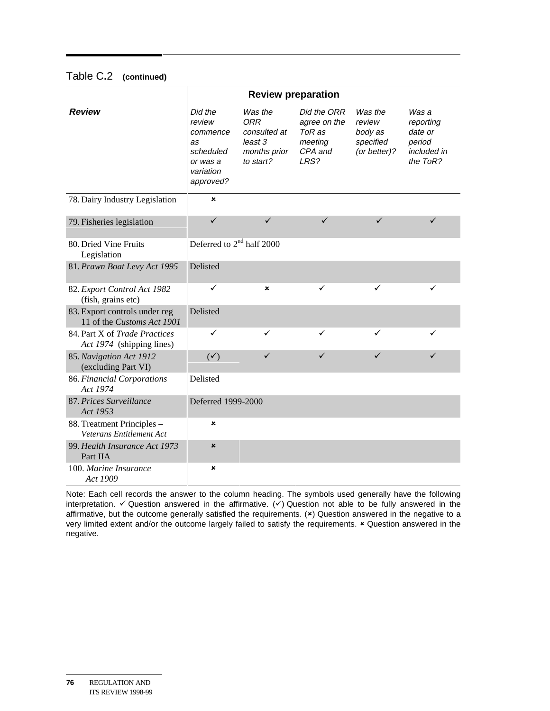|                                                             | <b>Review preparation</b>                                                              |                                                                               |                                                                     |                                                           |                                                                    |
|-------------------------------------------------------------|----------------------------------------------------------------------------------------|-------------------------------------------------------------------------------|---------------------------------------------------------------------|-----------------------------------------------------------|--------------------------------------------------------------------|
| <b>Review</b>                                               | Did the<br>review<br>commence<br>as<br>scheduled<br>or was a<br>variation<br>approved? | Was the<br><b>ORR</b><br>consulted at<br>least 3<br>months prior<br>to start? | Did the ORR<br>agree on the<br>ToR as<br>meeting<br>CPA and<br>LRS? | Was the<br>review<br>body as<br>specified<br>(or better)? | Was a<br>reporting<br>date or<br>period<br>included in<br>the ToR? |
| 78. Dairy Industry Legislation                              | ×                                                                                      |                                                                               |                                                                     |                                                           |                                                                    |
| 79. Fisheries legislation                                   | ✓                                                                                      | ✓                                                                             | ✓                                                                   | ✓                                                         | ✓                                                                  |
| 80. Dried Vine Fruits<br>Legislation                        | Deferred to 2 <sup>nd</sup> half 2000                                                  |                                                                               |                                                                     |                                                           |                                                                    |
| 81. Prawn Boat Levy Act 1995                                | Delisted                                                                               |                                                                               |                                                                     |                                                           |                                                                    |
| 82. Export Control Act 1982<br>(fish, grains etc)           | ✓                                                                                      | ×                                                                             | ✓                                                                   |                                                           |                                                                    |
| 83. Export controls under reg<br>11 of the Customs Act 1901 | Delisted                                                                               |                                                                               |                                                                     |                                                           |                                                                    |
| 84. Part X of Trade Practices<br>Act 1974 (shipping lines)  | ✓                                                                                      | ✓                                                                             | ✓                                                                   | ✓                                                         |                                                                    |
| 85. Navigation Act 1912<br>(excluding Part VI)              | $(\checkmark)$                                                                         | ✓                                                                             |                                                                     |                                                           |                                                                    |
| 86. Financial Corporations<br>Act 1974                      | Delisted                                                                               |                                                                               |                                                                     |                                                           |                                                                    |
| 87. Prices Surveillance<br>Act 1953                         | Deferred 1999-2000                                                                     |                                                                               |                                                                     |                                                           |                                                                    |
| 88. Treatment Principles -<br>Veterans Entitlement Act      | ×                                                                                      |                                                                               |                                                                     |                                                           |                                                                    |
| 99. Health Insurance Act 1973<br>Part IIA                   | $\pmb{\times}$                                                                         |                                                                               |                                                                     |                                                           |                                                                    |
| 100. Marine Insurance<br>Act 1909                           | ×                                                                                      |                                                                               |                                                                     |                                                           |                                                                    |

Note: Each cell records the answer to the column heading. The symbols used generally have the following interpretation.  $\checkmark$  Question answered in the affirmative. ( $\checkmark$ ) Question not able to be fully answered in the affirmative, but the outcome generally satisfied the requirements. (x) Question answered in the negative to a very limited extent and/or the outcome largely failed to satisfy the requirements.  $\star$  Question answered in the negative.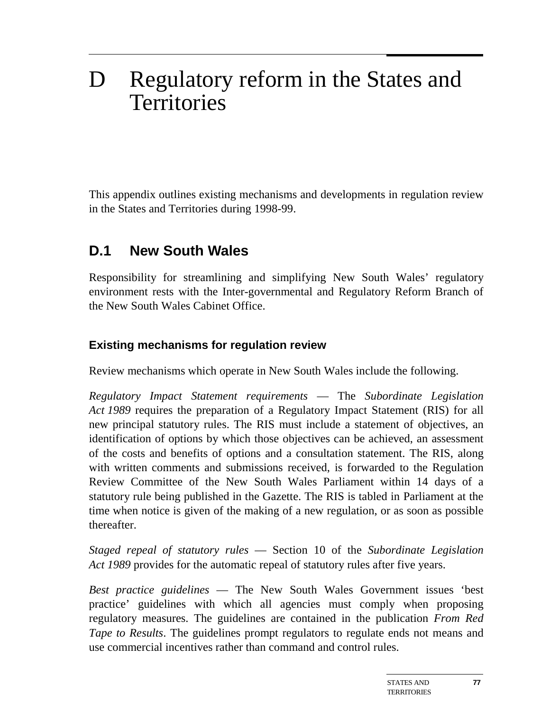# D Regulatory reform in the States and **Territories**

This appendix outlines existing mechanisms and developments in regulation review in the States and Territories during 1998-99.

## **D.1 New South Wales**

Responsibility for streamlining and simplifying New South Wales' regulatory environment rests with the Inter-governmental and Regulatory Reform Branch of the New South Wales Cabinet Office.

#### **Existing mechanisms for regulation review**

Review mechanisms which operate in New South Wales include the following.

*Regulatory Impact Statement requirements* — The *Subordinate Legislation Act 1989* requires the preparation of a Regulatory Impact Statement (RIS) for all new principal statutory rules. The RIS must include a statement of objectives, an identification of options by which those objectives can be achieved, an assessment of the costs and benefits of options and a consultation statement. The RIS, along with written comments and submissions received, is forwarded to the Regulation Review Committee of the New South Wales Parliament within 14 days of a statutory rule being published in the Gazette. The RIS is tabled in Parliament at the time when notice is given of the making of a new regulation, or as soon as possible thereafter.

*Staged repeal of statutory rules* — Section 10 of the *Subordinate Legislation Act 1989* provides for the automatic repeal of statutory rules after five years.

*Best practice guidelines* — The New South Wales Government issues 'best practice' guidelines with which all agencies must comply when proposing regulatory measures. The guidelines are contained in the publication *From Red Tape to Results*. The guidelines prompt regulators to regulate ends not means and use commercial incentives rather than command and control rules.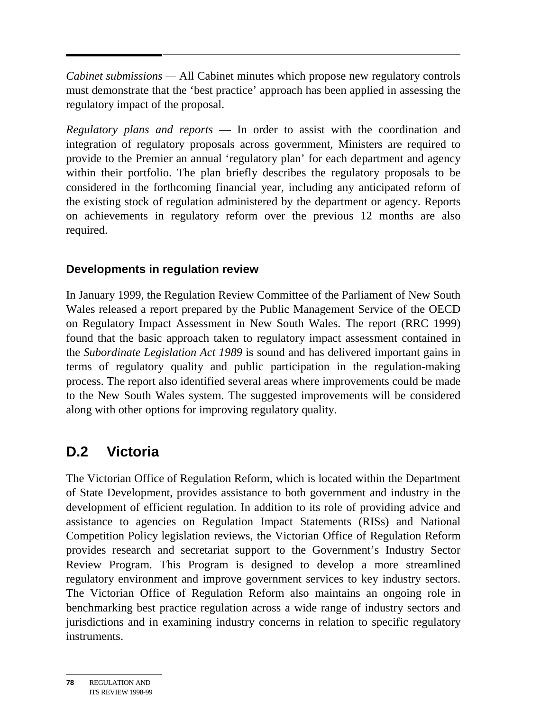*Cabinet submissions —* All Cabinet minutes which propose new regulatory controls must demonstrate that the 'best practice' approach has been applied in assessing the regulatory impact of the proposal.

*Regulatory plans and reports* — In order to assist with the coordination and integration of regulatory proposals across government, Ministers are required to provide to the Premier an annual 'regulatory plan' for each department and agency within their portfolio. The plan briefly describes the regulatory proposals to be considered in the forthcoming financial year, including any anticipated reform of the existing stock of regulation administered by the department or agency. Reports on achievements in regulatory reform over the previous 12 months are also required.

#### **Developments in regulation review**

In January 1999, the Regulation Review Committee of the Parliament of New South Wales released a report prepared by the Public Management Service of the OECD on Regulatory Impact Assessment in New South Wales. The report (RRC 1999) found that the basic approach taken to regulatory impact assessment contained in the *Subordinate Legislation Act 1989* is sound and has delivered important gains in terms of regulatory quality and public participation in the regulation-making process. The report also identified several areas where improvements could be made to the New South Wales system. The suggested improvements will be considered along with other options for improving regulatory quality.

# **D.2 Victoria**

The Victorian Office of Regulation Reform, which is located within the Department of State Development, provides assistance to both government and industry in the development of efficient regulation. In addition to its role of providing advice and assistance to agencies on Regulation Impact Statements (RISs) and National Competition Policy legislation reviews, the Victorian Office of Regulation Reform provides research and secretariat support to the Government's Industry Sector Review Program. This Program is designed to develop a more streamlined regulatory environment and improve government services to key industry sectors. The Victorian Office of Regulation Reform also maintains an ongoing role in benchmarking best practice regulation across a wide range of industry sectors and jurisdictions and in examining industry concerns in relation to specific regulatory instruments.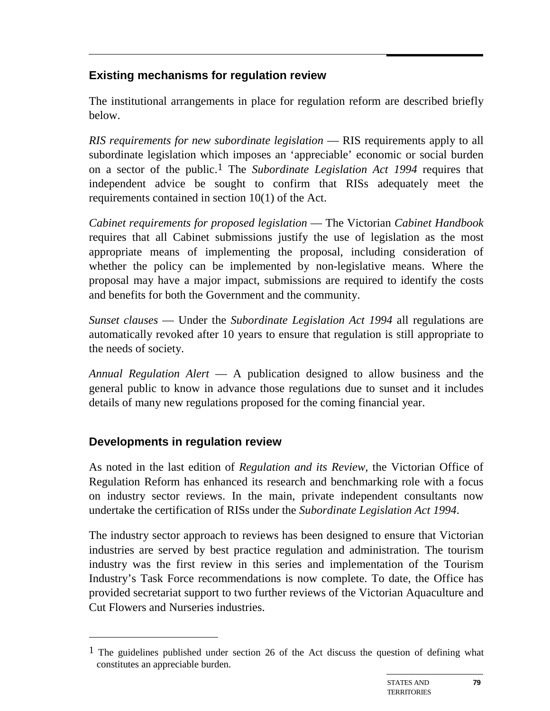## **Existing mechanisms for regulation review**

The institutional arrangements in place for regulation reform are described briefly below.

*RIS requirements for new subordinate legislation* — RIS requirements apply to all subordinate legislation which imposes an 'appreciable' economic or social burden on a sector of the public.1 The *Subordinate Legislation Act 1994* requires that independent advice be sought to confirm that RISs adequately meet the requirements contained in section 10(1) of the Act.

*Cabinet requirements for proposed legislation* — The Victorian *Cabinet Handbook* requires that all Cabinet submissions justify the use of legislation as the most appropriate means of implementing the proposal, including consideration of whether the policy can be implemented by non-legislative means. Where the proposal may have a major impact, submissions are required to identify the costs and benefits for both the Government and the community.

*Sunset clauses* — Under the *Subordinate Legislation Act 1994* all regulations are automatically revoked after 10 years to ensure that regulation is still appropriate to the needs of society.

*Annual Regulation Alert* — A publication designed to allow business and the general public to know in advance those regulations due to sunset and it includes details of many new regulations proposed for the coming financial year.

## **Developments in regulation review**

 $\overline{a}$ 

As noted in the last edition of *Regulation and its Review,* the Victorian Office of Regulation Reform has enhanced its research and benchmarking role with a focus on industry sector reviews. In the main, private independent consultants now undertake the certification of RISs under the *Subordinate Legislation Act 1994*.

The industry sector approach to reviews has been designed to ensure that Victorian industries are served by best practice regulation and administration. The tourism industry was the first review in this series and implementation of the Tourism Industry's Task Force recommendations is now complete. To date, the Office has provided secretariat support to two further reviews of the Victorian Aquaculture and Cut Flowers and Nurseries industries.

<sup>&</sup>lt;sup>1</sup> The guidelines published under section 26 of the Act discuss the question of defining what constitutes an appreciable burden.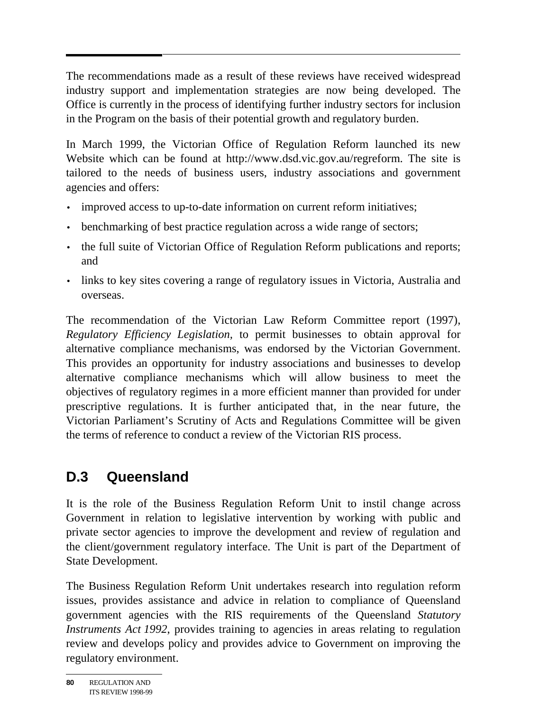The recommendations made as a result of these reviews have received widespread industry support and implementation strategies are now being developed. The Office is currently in the process of identifying further industry sectors for inclusion in the Program on the basis of their potential growth and regulatory burden.

In March 1999, the Victorian Office of Regulation Reform launched its new Website which can be found at http://www.dsd.vic.gov.au/regreform. The site is tailored to the needs of business users, industry associations and government agencies and offers:

- improved access to up-to-date information on current reform initiatives;
- benchmarking of best practice regulation across a wide range of sectors;
- the full suite of Victorian Office of Regulation Reform publications and reports; and
- links to key sites covering a range of regulatory issues in Victoria, Australia and overseas.

The recommendation of the Victorian Law Reform Committee report (1997), *Regulatory Efficiency Legislation,* to permit businesses to obtain approval for alternative compliance mechanisms, was endorsed by the Victorian Government. This provides an opportunity for industry associations and businesses to develop alternative compliance mechanisms which will allow business to meet the objectives of regulatory regimes in a more efficient manner than provided for under prescriptive regulations. It is further anticipated that, in the near future, the Victorian Parliament's Scrutiny of Acts and Regulations Committee will be given the terms of reference to conduct a review of the Victorian RIS process.

# **D.3 Queensland**

It is the role of the Business Regulation Reform Unit to instil change across Government in relation to legislative intervention by working with public and private sector agencies to improve the development and review of regulation and the client/government regulatory interface. The Unit is part of the Department of State Development.

The Business Regulation Reform Unit undertakes research into regulation reform issues, provides assistance and advice in relation to compliance of Queensland government agencies with the RIS requirements of the Queensland *Statutory Instruments Act 1992*, provides training to agencies in areas relating to regulation review and develops policy and provides advice to Government on improving the regulatory environment.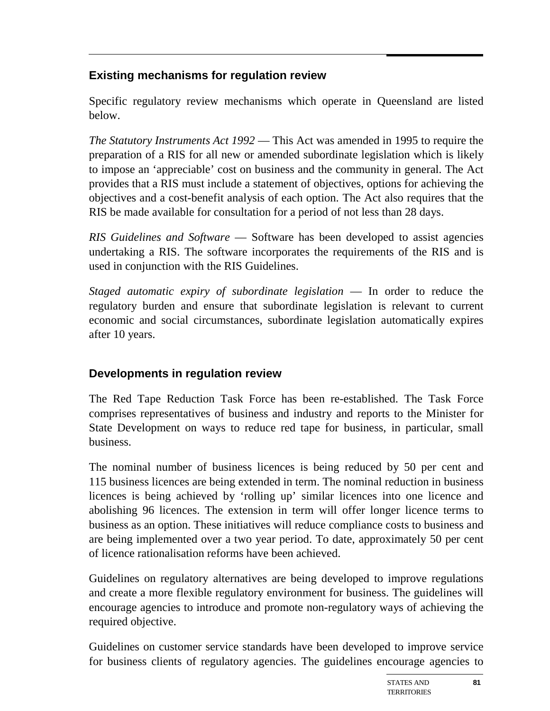## **Existing mechanisms for regulation review**

Specific regulatory review mechanisms which operate in Queensland are listed below.

*The Statutory Instruments Act 1992* — This Act was amended in 1995 to require the preparation of a RIS for all new or amended subordinate legislation which is likely to impose an 'appreciable' cost on business and the community in general. The Act provides that a RIS must include a statement of objectives, options for achieving the objectives and a cost-benefit analysis of each option. The Act also requires that the RIS be made available for consultation for a period of not less than 28 days.

*RIS Guidelines and Software* — Software has been developed to assist agencies undertaking a RIS. The software incorporates the requirements of the RIS and is used in conjunction with the RIS Guidelines.

*Staged automatic expiry of subordinate legislation* — In order to reduce the regulatory burden and ensure that subordinate legislation is relevant to current economic and social circumstances, subordinate legislation automatically expires after 10 years.

## **Developments in regulation review**

The Red Tape Reduction Task Force has been re-established. The Task Force comprises representatives of business and industry and reports to the Minister for State Development on ways to reduce red tape for business, in particular, small business.

The nominal number of business licences is being reduced by 50 per cent and 115 business licences are being extended in term. The nominal reduction in business licences is being achieved by 'rolling up' similar licences into one licence and abolishing 96 licences. The extension in term will offer longer licence terms to business as an option. These initiatives will reduce compliance costs to business and are being implemented over a two year period. To date, approximately 50 per cent of licence rationalisation reforms have been achieved.

Guidelines on regulatory alternatives are being developed to improve regulations and create a more flexible regulatory environment for business. The guidelines will encourage agencies to introduce and promote non-regulatory ways of achieving the required objective.

Guidelines on customer service standards have been developed to improve service for business clients of regulatory agencies. The guidelines encourage agencies to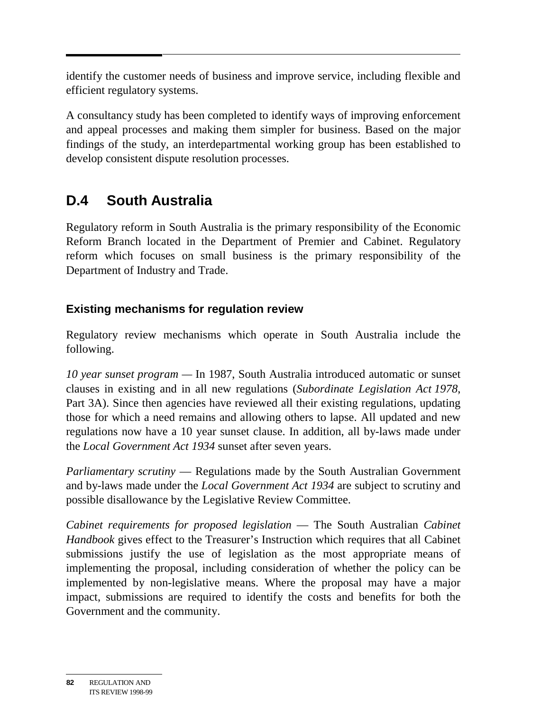identify the customer needs of business and improve service, including flexible and efficient regulatory systems.

A consultancy study has been completed to identify ways of improving enforcement and appeal processes and making them simpler for business. Based on the major findings of the study, an interdepartmental working group has been established to develop consistent dispute resolution processes.

# **D.4 South Australia**

Regulatory reform in South Australia is the primary responsibility of the Economic Reform Branch located in the Department of Premier and Cabinet. Regulatory reform which focuses on small business is the primary responsibility of the Department of Industry and Trade.

## **Existing mechanisms for regulation review**

Regulatory review mechanisms which operate in South Australia include the following.

*10 year sunset program —* In 1987, South Australia introduced automatic or sunset clauses in existing and in all new regulations (*Subordinate Legislation Act 1978*, Part 3A). Since then agencies have reviewed all their existing regulations, updating those for which a need remains and allowing others to lapse. All updated and new regulations now have a 10 year sunset clause. In addition, all by-laws made under the *Local Government Act 1934* sunset after seven years.

*Parliamentary scrutiny* — Regulations made by the South Australian Government and by-laws made under the *Local Government Act 1934* are subject to scrutiny and possible disallowance by the Legislative Review Committee.

*Cabinet requirements for proposed legislation* — The South Australian *Cabinet Handbook* gives effect to the Treasurer's Instruction which requires that all Cabinet submissions justify the use of legislation as the most appropriate means of implementing the proposal, including consideration of whether the policy can be implemented by non-legislative means. Where the proposal may have a major impact, submissions are required to identify the costs and benefits for both the Government and the community.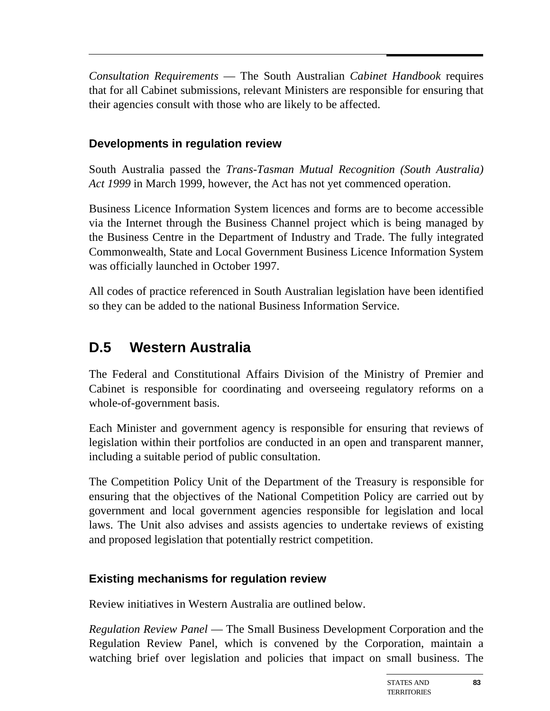*Consultation Requirements* — The South Australian *Cabinet Handbook* requires that for all Cabinet submissions, relevant Ministers are responsible for ensuring that their agencies consult with those who are likely to be affected.

## **Developments in regulation review**

South Australia passed the *Trans-Tasman Mutual Recognition (South Australia) Act 1999* in March 1999, however, the Act has not yet commenced operation.

Business Licence Information System licences and forms are to become accessible via the Internet through the Business Channel project which is being managed by the Business Centre in the Department of Industry and Trade. The fully integrated Commonwealth, State and Local Government Business Licence Information System was officially launched in October 1997.

All codes of practice referenced in South Australian legislation have been identified so they can be added to the national Business Information Service.

# **D.5 Western Australia**

The Federal and Constitutional Affairs Division of the Ministry of Premier and Cabinet is responsible for coordinating and overseeing regulatory reforms on a whole-of-government basis.

Each Minister and government agency is responsible for ensuring that reviews of legislation within their portfolios are conducted in an open and transparent manner, including a suitable period of public consultation.

The Competition Policy Unit of the Department of the Treasury is responsible for ensuring that the objectives of the National Competition Policy are carried out by government and local government agencies responsible for legislation and local laws. The Unit also advises and assists agencies to undertake reviews of existing and proposed legislation that potentially restrict competition.

## **Existing mechanisms for regulation review**

Review initiatives in Western Australia are outlined below.

*Regulation Review Panel* — The Small Business Development Corporation and the Regulation Review Panel, which is convened by the Corporation, maintain a watching brief over legislation and policies that impact on small business. The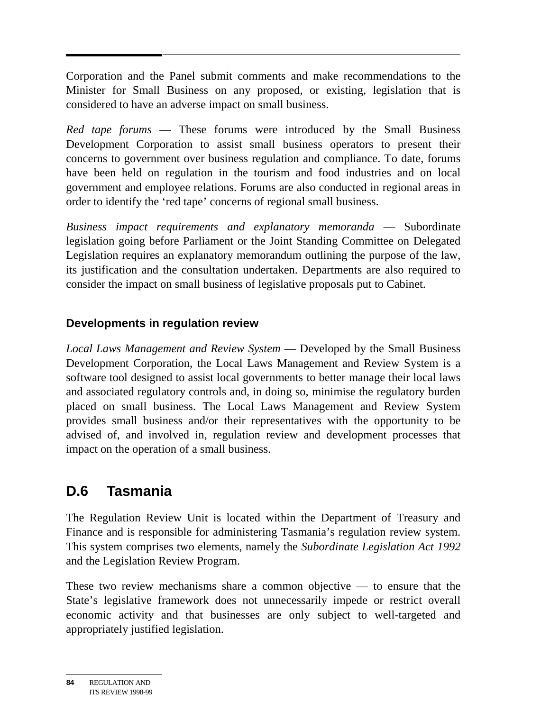Corporation and the Panel submit comments and make recommendations to the Minister for Small Business on any proposed, or existing, legislation that is considered to have an adverse impact on small business.

*Red tape forums* — These forums were introduced by the Small Business Development Corporation to assist small business operators to present their concerns to government over business regulation and compliance. To date, forums have been held on regulation in the tourism and food industries and on local government and employee relations. Forums are also conducted in regional areas in order to identify the 'red tape' concerns of regional small business.

*Business impact requirements and explanatory memoranda* — Subordinate legislation going before Parliament or the Joint Standing Committee on Delegated Legislation requires an explanatory memorandum outlining the purpose of the law, its justification and the consultation undertaken. Departments are also required to consider the impact on small business of legislative proposals put to Cabinet.

#### **Developments in regulation review**

*Local Laws Management and Review System* — Developed by the Small Business Development Corporation, the Local Laws Management and Review System is a software tool designed to assist local governments to better manage their local laws and associated regulatory controls and, in doing so, minimise the regulatory burden placed on small business. The Local Laws Management and Review System provides small business and/or their representatives with the opportunity to be advised of, and involved in, regulation review and development processes that impact on the operation of a small business.

## **D.6 Tasmania**

The Regulation Review Unit is located within the Department of Treasury and Finance and is responsible for administering Tasmania's regulation review system. This system comprises two elements, namely the *Subordinate Legislation Act 1992* and the Legislation Review Program.

These two review mechanisms share a common objective — to ensure that the State's legislative framework does not unnecessarily impede or restrict overall economic activity and that businesses are only subject to well-targeted and appropriately justified legislation.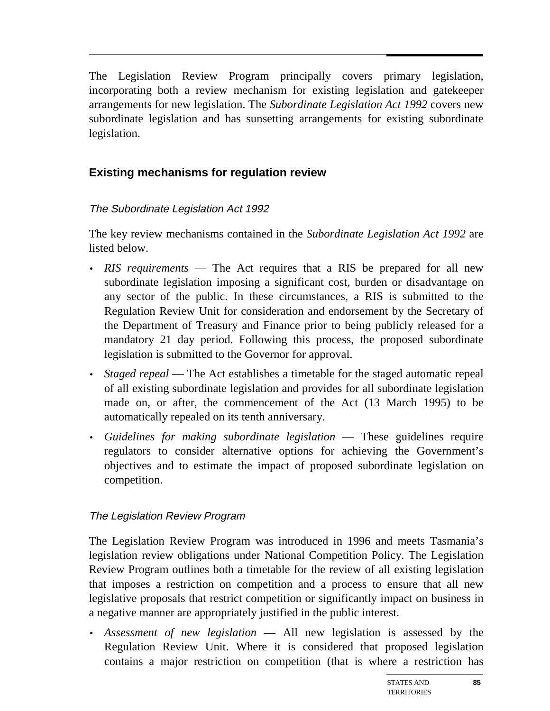The Legislation Review Program principally covers primary legislation, incorporating both a review mechanism for existing legislation and gatekeeper arrangements for new legislation. The *Subordinate Legislation Act 1992* covers new subordinate legislation and has sunsetting arrangements for existing subordinate legislation.

## **Existing mechanisms for regulation review**

#### The Subordinate Legislation Act 1992

The key review mechanisms contained in the *Subordinate Legislation Act 1992* are listed below.

- *RIS requirements* The Act requires that a RIS be prepared for all new subordinate legislation imposing a significant cost, burden or disadvantage on any sector of the public. In these circumstances, a RIS is submitted to the Regulation Review Unit for consideration and endorsement by the Secretary of the Department of Treasury and Finance prior to being publicly released for a mandatory 21 day period. Following this process, the proposed subordinate legislation is submitted to the Governor for approval.
- *Staged repeal* The Act establishes a timetable for the staged automatic repeal of all existing subordinate legislation and provides for all subordinate legislation made on, or after, the commencement of the Act (13 March 1995) to be automatically repealed on its tenth anniversary.
- *Guidelines for making subordinate legislation* These guidelines require regulators to consider alternative options for achieving the Government's objectives and to estimate the impact of proposed subordinate legislation on competition.

#### The Legislation Review Program

The Legislation Review Program was introduced in 1996 and meets Tasmania's legislation review obligations under National Competition Policy. The Legislation Review Program outlines both a timetable for the review of all existing legislation that imposes a restriction on competition and a process to ensure that all new legislative proposals that restrict competition or significantly impact on business in a negative manner are appropriately justified in the public interest.

• *Assessment of new legislation* — All new legislation is assessed by the Regulation Review Unit. Where it is considered that proposed legislation contains a major restriction on competition (that is where a restriction has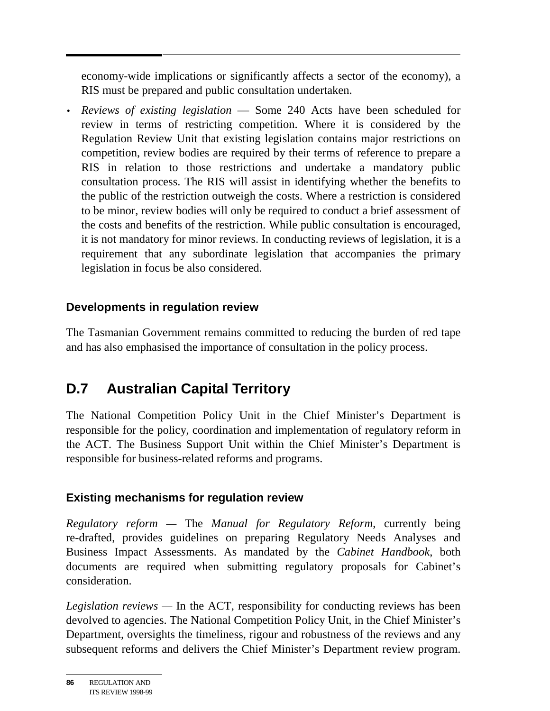economy-wide implications or significantly affects a sector of the economy), a RIS must be prepared and public consultation undertaken.

• *Reviews of existing legislation* — Some 240 Acts have been scheduled for review in terms of restricting competition. Where it is considered by the Regulation Review Unit that existing legislation contains major restrictions on competition, review bodies are required by their terms of reference to prepare a RIS in relation to those restrictions and undertake a mandatory public consultation process. The RIS will assist in identifying whether the benefits to the public of the restriction outweigh the costs. Where a restriction is considered to be minor, review bodies will only be required to conduct a brief assessment of the costs and benefits of the restriction. While public consultation is encouraged, it is not mandatory for minor reviews. In conducting reviews of legislation, it is a requirement that any subordinate legislation that accompanies the primary legislation in focus be also considered.

### **Developments in regulation review**

The Tasmanian Government remains committed to reducing the burden of red tape and has also emphasised the importance of consultation in the policy process.

# **D.7 Australian Capital Territory**

The National Competition Policy Unit in the Chief Minister's Department is responsible for the policy, coordination and implementation of regulatory reform in the ACT. The Business Support Unit within the Chief Minister's Department is responsible for business-related reforms and programs.

#### **Existing mechanisms for regulation review**

*Regulatory reform —* The *Manual for Regulatory Reform*, currently being re-drafted, provides guidelines on preparing Regulatory Needs Analyses and Business Impact Assessments. As mandated by the *Cabinet Handbook*, both documents are required when submitting regulatory proposals for Cabinet's consideration.

*Legislation reviews —* In the ACT, responsibility for conducting reviews has been devolved to agencies. The National Competition Policy Unit, in the Chief Minister's Department, oversights the timeliness, rigour and robustness of the reviews and any subsequent reforms and delivers the Chief Minister's Department review program.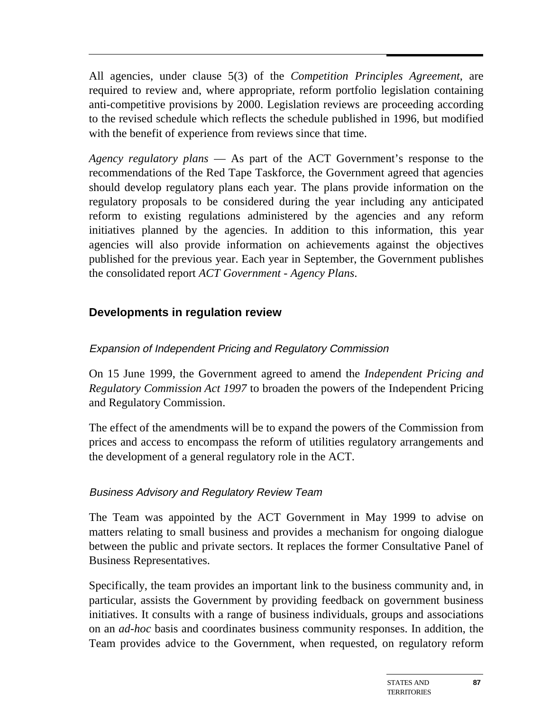All agencies, under clause 5(3) of the *Competition Principles Agreement*, are required to review and, where appropriate, reform portfolio legislation containing anti-competitive provisions by 2000. Legislation reviews are proceeding according to the revised schedule which reflects the schedule published in 1996, but modified with the benefit of experience from reviews since that time.

*Agency regulatory plans* — As part of the ACT Government's response to the recommendations of the Red Tape Taskforce, the Government agreed that agencies should develop regulatory plans each year. The plans provide information on the regulatory proposals to be considered during the year including any anticipated reform to existing regulations administered by the agencies and any reform initiatives planned by the agencies. In addition to this information, this year agencies will also provide information on achievements against the objectives published for the previous year. Each year in September, the Government publishes the consolidated report *ACT Government - Agency Plans*.

## **Developments in regulation review**

#### Expansion of Independent Pricing and Regulatory Commission

On 15 June 1999, the Government agreed to amend the *Independent Pricing and Regulatory Commission Act 1997* to broaden the powers of the Independent Pricing and Regulatory Commission.

The effect of the amendments will be to expand the powers of the Commission from prices and access to encompass the reform of utilities regulatory arrangements and the development of a general regulatory role in the ACT.

#### Business Advisory and Regulatory Review Team

The Team was appointed by the ACT Government in May 1999 to advise on matters relating to small business and provides a mechanism for ongoing dialogue between the public and private sectors. It replaces the former Consultative Panel of Business Representatives.

Specifically, the team provides an important link to the business community and, in particular, assists the Government by providing feedback on government business initiatives. It consults with a range of business individuals, groups and associations on an *ad-hoc* basis and coordinates business community responses. In addition, the Team provides advice to the Government, when requested, on regulatory reform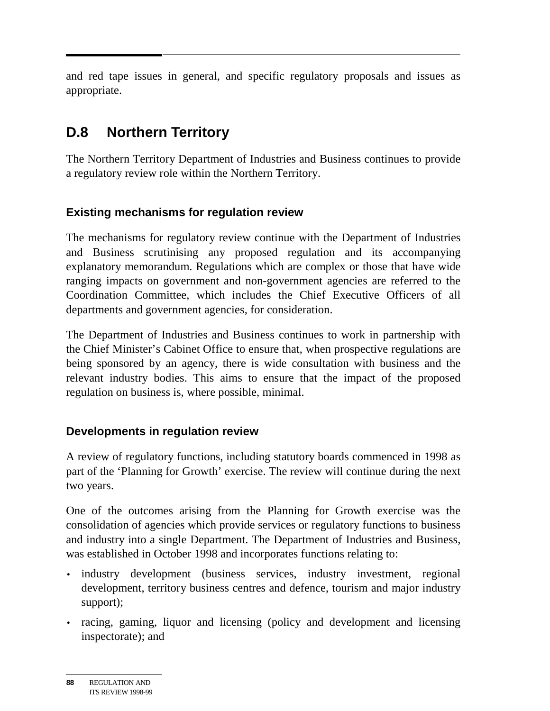and red tape issues in general, and specific regulatory proposals and issues as appropriate.

# **D.8 Northern Territory**

The Northern Territory Department of Industries and Business continues to provide a regulatory review role within the Northern Territory.

### **Existing mechanisms for regulation review**

The mechanisms for regulatory review continue with the Department of Industries and Business scrutinising any proposed regulation and its accompanying explanatory memorandum. Regulations which are complex or those that have wide ranging impacts on government and non-government agencies are referred to the Coordination Committee, which includes the Chief Executive Officers of all departments and government agencies, for consideration.

The Department of Industries and Business continues to work in partnership with the Chief Minister's Cabinet Office to ensure that, when prospective regulations are being sponsored by an agency, there is wide consultation with business and the relevant industry bodies. This aims to ensure that the impact of the proposed regulation on business is, where possible, minimal.

## **Developments in regulation review**

A review of regulatory functions, including statutory boards commenced in 1998 as part of the 'Planning for Growth' exercise. The review will continue during the next two years.

One of the outcomes arising from the Planning for Growth exercise was the consolidation of agencies which provide services or regulatory functions to business and industry into a single Department. The Department of Industries and Business, was established in October 1998 and incorporates functions relating to:

- industry development (business services, industry investment, regional development, territory business centres and defence, tourism and major industry support);
- racing, gaming, liquor and licensing (policy and development and licensing inspectorate); and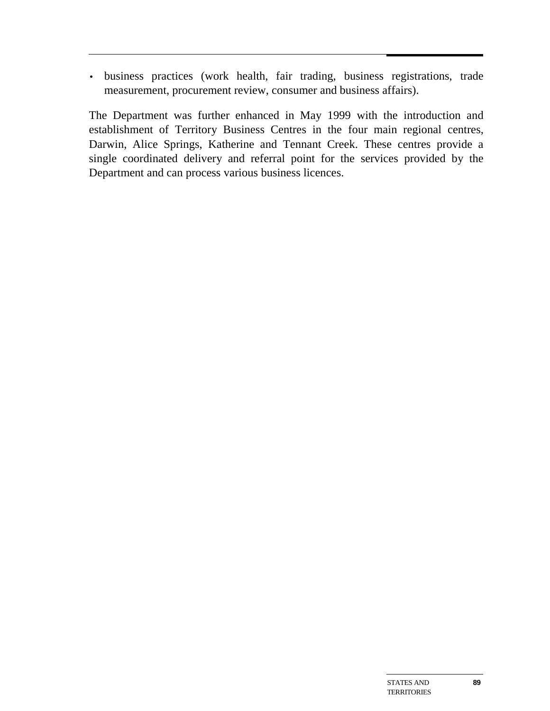• business practices (work health, fair trading, business registrations, trade measurement, procurement review, consumer and business affairs).

The Department was further enhanced in May 1999 with the introduction and establishment of Territory Business Centres in the four main regional centres, Darwin, Alice Springs, Katherine and Tennant Creek. These centres provide a single coordinated delivery and referral point for the services provided by the Department and can process various business licences.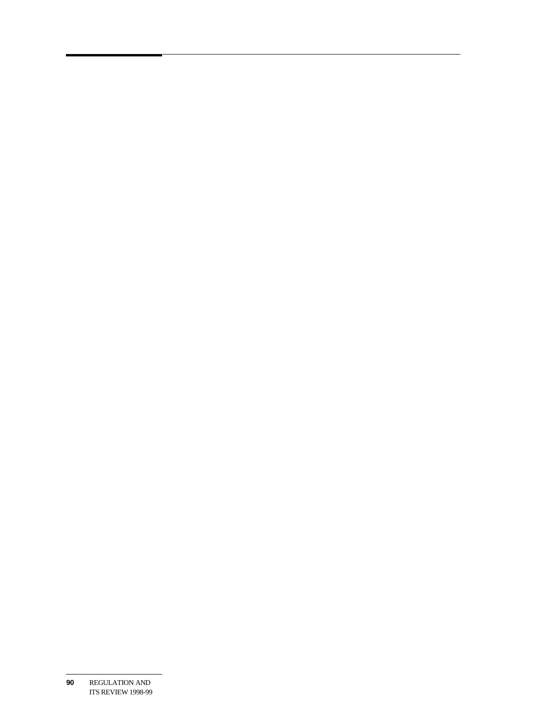**90** REGULATION AND ITS REVIEW 1998-99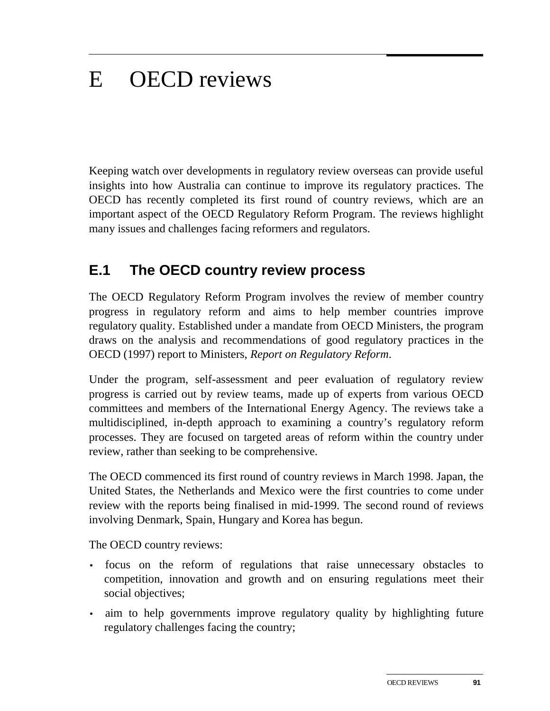# E OECD reviews

Keeping watch over developments in regulatory review overseas can provide useful insights into how Australia can continue to improve its regulatory practices. The OECD has recently completed its first round of country reviews, which are an important aspect of the OECD Regulatory Reform Program. The reviews highlight many issues and challenges facing reformers and regulators.

## **E.1 The OECD country review process**

The OECD Regulatory Reform Program involves the review of member country progress in regulatory reform and aims to help member countries improve regulatory quality. Established under a mandate from OECD Ministers, the program draws on the analysis and recommendations of good regulatory practices in the OECD (1997) report to Ministers, *Report on Regulatory Reform*.

Under the program, self-assessment and peer evaluation of regulatory review progress is carried out by review teams, made up of experts from various OECD committees and members of the International Energy Agency. The reviews take a multidisciplined, in-depth approach to examining a country's regulatory reform processes. They are focused on targeted areas of reform within the country under review, rather than seeking to be comprehensive.

The OECD commenced its first round of country reviews in March 1998. Japan, the United States, the Netherlands and Mexico were the first countries to come under review with the reports being finalised in mid-1999. The second round of reviews involving Denmark, Spain, Hungary and Korea has begun.

The OECD country reviews:

- focus on the reform of regulations that raise unnecessary obstacles to competition, innovation and growth and on ensuring regulations meet their social objectives;
- aim to help governments improve regulatory quality by highlighting future regulatory challenges facing the country;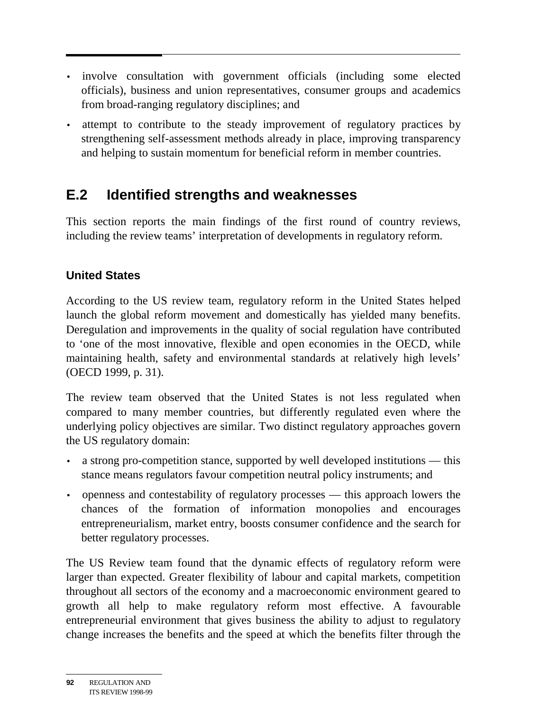- involve consultation with government officials (including some elected officials), business and union representatives, consumer groups and academics from broad-ranging regulatory disciplines; and
- attempt to contribute to the steady improvement of regulatory practices by strengthening self-assessment methods already in place, improving transparency and helping to sustain momentum for beneficial reform in member countries.

## **E.2 Identified strengths and weaknesses**

This section reports the main findings of the first round of country reviews, including the review teams' interpretation of developments in regulatory reform.

### **United States**

According to the US review team, regulatory reform in the United States helped launch the global reform movement and domestically has yielded many benefits. Deregulation and improvements in the quality of social regulation have contributed to 'one of the most innovative, flexible and open economies in the OECD, while maintaining health, safety and environmental standards at relatively high levels' (OECD 1999, p. 31).

The review team observed that the United States is not less regulated when compared to many member countries, but differently regulated even where the underlying policy objectives are similar. Two distinct regulatory approaches govern the US regulatory domain:

- a strong pro-competition stance, supported by well developed institutions this stance means regulators favour competition neutral policy instruments; and
- openness and contestability of regulatory processes this approach lowers the chances of the formation of information monopolies and encourages entrepreneurialism, market entry, boosts consumer confidence and the search for better regulatory processes.

The US Review team found that the dynamic effects of regulatory reform were larger than expected. Greater flexibility of labour and capital markets, competition throughout all sectors of the economy and a macroeconomic environment geared to growth all help to make regulatory reform most effective. A favourable entrepreneurial environment that gives business the ability to adjust to regulatory change increases the benefits and the speed at which the benefits filter through the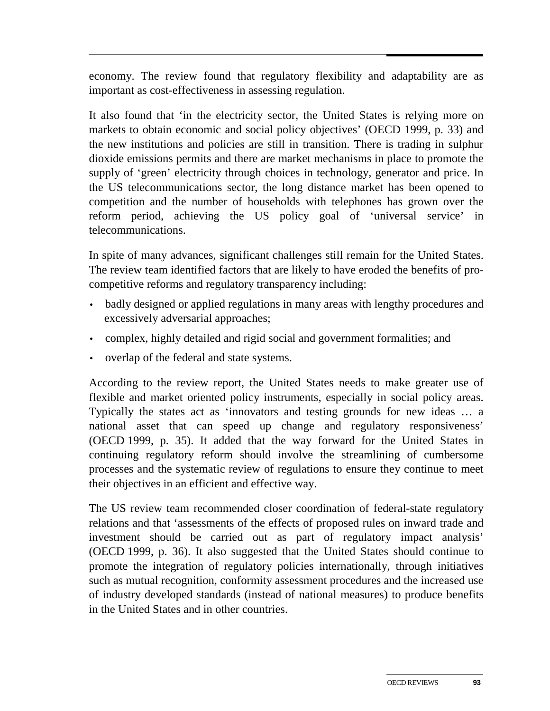economy. The review found that regulatory flexibility and adaptability are as important as cost-effectiveness in assessing regulation.

It also found that 'in the electricity sector, the United States is relying more on markets to obtain economic and social policy objectives' (OECD 1999, p. 33) and the new institutions and policies are still in transition. There is trading in sulphur dioxide emissions permits and there are market mechanisms in place to promote the supply of 'green' electricity through choices in technology, generator and price. In the US telecommunications sector, the long distance market has been opened to competition and the number of households with telephones has grown over the reform period, achieving the US policy goal of 'universal service' in telecommunications.

In spite of many advances, significant challenges still remain for the United States. The review team identified factors that are likely to have eroded the benefits of procompetitive reforms and regulatory transparency including:

- badly designed or applied regulations in many areas with lengthy procedures and excessively adversarial approaches;
- complex, highly detailed and rigid social and government formalities; and
- overlap of the federal and state systems.

According to the review report, the United States needs to make greater use of flexible and market oriented policy instruments, especially in social policy areas. Typically the states act as 'innovators and testing grounds for new ideas … a national asset that can speed up change and regulatory responsiveness' (OECD 1999, p. 35). It added that the way forward for the United States in continuing regulatory reform should involve the streamlining of cumbersome processes and the systematic review of regulations to ensure they continue to meet their objectives in an efficient and effective way.

The US review team recommended closer coordination of federal-state regulatory relations and that 'assessments of the effects of proposed rules on inward trade and investment should be carried out as part of regulatory impact analysis' (OECD 1999, p. 36). It also suggested that the United States should continue to promote the integration of regulatory policies internationally, through initiatives such as mutual recognition, conformity assessment procedures and the increased use of industry developed standards (instead of national measures) to produce benefits in the United States and in other countries.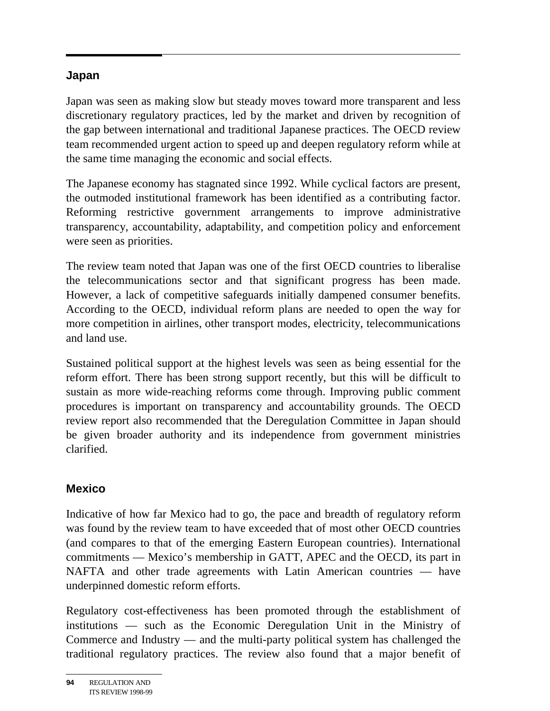#### **Japan**

Japan was seen as making slow but steady moves toward more transparent and less discretionary regulatory practices, led by the market and driven by recognition of the gap between international and traditional Japanese practices. The OECD review team recommended urgent action to speed up and deepen regulatory reform while at the same time managing the economic and social effects.

The Japanese economy has stagnated since 1992. While cyclical factors are present, the outmoded institutional framework has been identified as a contributing factor. Reforming restrictive government arrangements to improve administrative transparency, accountability, adaptability, and competition policy and enforcement were seen as priorities.

The review team noted that Japan was one of the first OECD countries to liberalise the telecommunications sector and that significant progress has been made. However, a lack of competitive safeguards initially dampened consumer benefits. According to the OECD, individual reform plans are needed to open the way for more competition in airlines, other transport modes, electricity, telecommunications and land use.

Sustained political support at the highest levels was seen as being essential for the reform effort. There has been strong support recently, but this will be difficult to sustain as more wide-reaching reforms come through. Improving public comment procedures is important on transparency and accountability grounds. The OECD review report also recommended that the Deregulation Committee in Japan should be given broader authority and its independence from government ministries clarified.

#### **Mexico**

Indicative of how far Mexico had to go, the pace and breadth of regulatory reform was found by the review team to have exceeded that of most other OECD countries (and compares to that of the emerging Eastern European countries). International commitments — Mexico's membership in GATT, APEC and the OECD, its part in NAFTA and other trade agreements with Latin American countries — have underpinned domestic reform efforts.

Regulatory cost-effectiveness has been promoted through the establishment of institutions — such as the Economic Deregulation Unit in the Ministry of Commerce and Industry — and the multi-party political system has challenged the traditional regulatory practices. The review also found that a major benefit of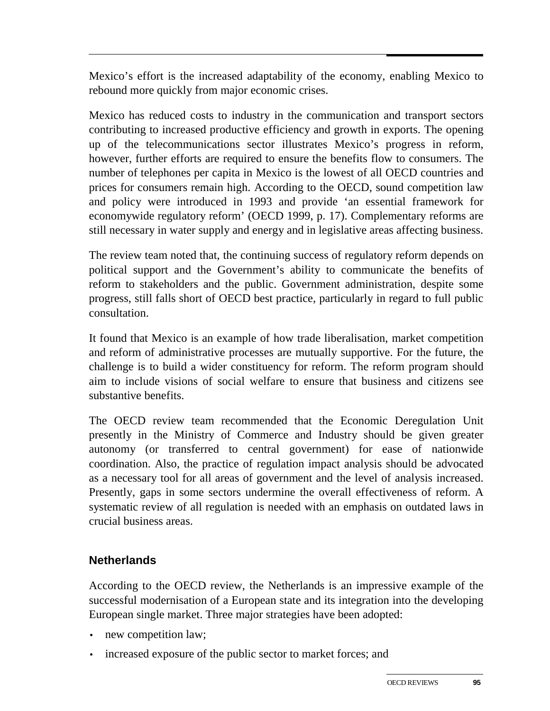Mexico's effort is the increased adaptability of the economy, enabling Mexico to rebound more quickly from major economic crises.

Mexico has reduced costs to industry in the communication and transport sectors contributing to increased productive efficiency and growth in exports. The opening up of the telecommunications sector illustrates Mexico's progress in reform, however, further efforts are required to ensure the benefits flow to consumers. The number of telephones per capita in Mexico is the lowest of all OECD countries and prices for consumers remain high. According to the OECD, sound competition law and policy were introduced in 1993 and provide 'an essential framework for economywide regulatory reform' (OECD 1999, p. 17). Complementary reforms are still necessary in water supply and energy and in legislative areas affecting business.

The review team noted that, the continuing success of regulatory reform depends on political support and the Government's ability to communicate the benefits of reform to stakeholders and the public. Government administration, despite some progress, still falls short of OECD best practice, particularly in regard to full public consultation.

It found that Mexico is an example of how trade liberalisation, market competition and reform of administrative processes are mutually supportive. For the future, the challenge is to build a wider constituency for reform. The reform program should aim to include visions of social welfare to ensure that business and citizens see substantive benefits.

The OECD review team recommended that the Economic Deregulation Unit presently in the Ministry of Commerce and Industry should be given greater autonomy (or transferred to central government) for ease of nationwide coordination. Also, the practice of regulation impact analysis should be advocated as a necessary tool for all areas of government and the level of analysis increased. Presently, gaps in some sectors undermine the overall effectiveness of reform. A systematic review of all regulation is needed with an emphasis on outdated laws in crucial business areas.

#### **Netherlands**

According to the OECD review, the Netherlands is an impressive example of the successful modernisation of a European state and its integration into the developing European single market. Three major strategies have been adopted:

- new competition law;
- increased exposure of the public sector to market forces; and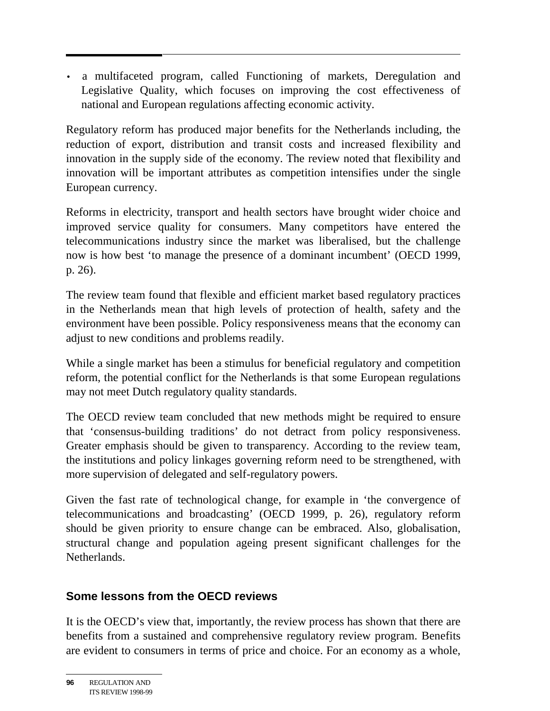• a multifaceted program, called Functioning of markets, Deregulation and Legislative Quality, which focuses on improving the cost effectiveness of national and European regulations affecting economic activity.

Regulatory reform has produced major benefits for the Netherlands including, the reduction of export, distribution and transit costs and increased flexibility and innovation in the supply side of the economy. The review noted that flexibility and innovation will be important attributes as competition intensifies under the single European currency.

Reforms in electricity, transport and health sectors have brought wider choice and improved service quality for consumers. Many competitors have entered the telecommunications industry since the market was liberalised, but the challenge now is how best 'to manage the presence of a dominant incumbent' (OECD 1999, p. 26).

The review team found that flexible and efficient market based regulatory practices in the Netherlands mean that high levels of protection of health, safety and the environment have been possible. Policy responsiveness means that the economy can adjust to new conditions and problems readily.

While a single market has been a stimulus for beneficial regulatory and competition reform, the potential conflict for the Netherlands is that some European regulations may not meet Dutch regulatory quality standards.

The OECD review team concluded that new methods might be required to ensure that 'consensus-building traditions' do not detract from policy responsiveness. Greater emphasis should be given to transparency. According to the review team, the institutions and policy linkages governing reform need to be strengthened, with more supervision of delegated and self-regulatory powers.

Given the fast rate of technological change, for example in 'the convergence of telecommunications and broadcasting' (OECD 1999, p. 26), regulatory reform should be given priority to ensure change can be embraced. Also, globalisation, structural change and population ageing present significant challenges for the Netherlands.

#### **Some lessons from the OECD reviews**

It is the OECD's view that, importantly, the review process has shown that there are benefits from a sustained and comprehensive regulatory review program. Benefits are evident to consumers in terms of price and choice. For an economy as a whole,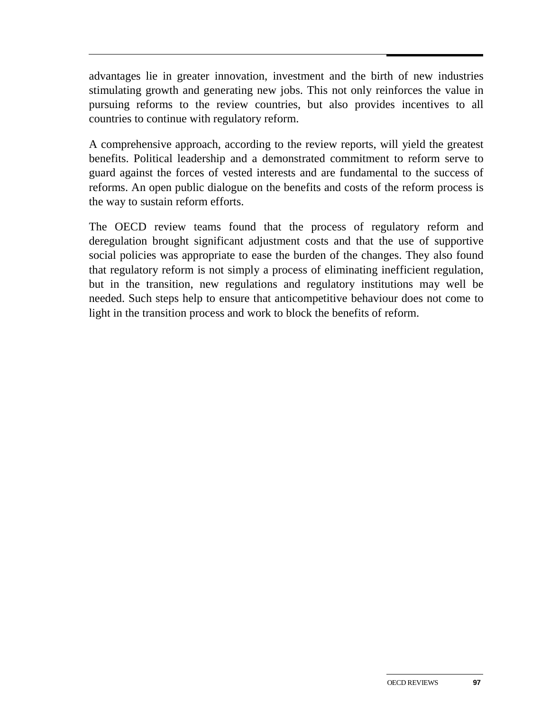advantages lie in greater innovation, investment and the birth of new industries stimulating growth and generating new jobs. This not only reinforces the value in pursuing reforms to the review countries, but also provides incentives to all countries to continue with regulatory reform.

A comprehensive approach, according to the review reports, will yield the greatest benefits. Political leadership and a demonstrated commitment to reform serve to guard against the forces of vested interests and are fundamental to the success of reforms. An open public dialogue on the benefits and costs of the reform process is the way to sustain reform efforts.

The OECD review teams found that the process of regulatory reform and deregulation brought significant adjustment costs and that the use of supportive social policies was appropriate to ease the burden of the changes. They also found that regulatory reform is not simply a process of eliminating inefficient regulation, but in the transition, new regulations and regulatory institutions may well be needed. Such steps help to ensure that anticompetitive behaviour does not come to light in the transition process and work to block the benefits of reform.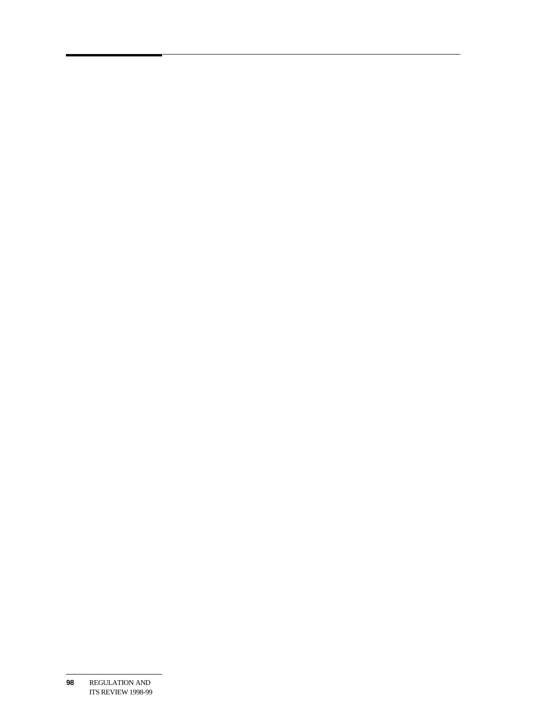**98** REGULATION AND ITS REVIEW 1998-99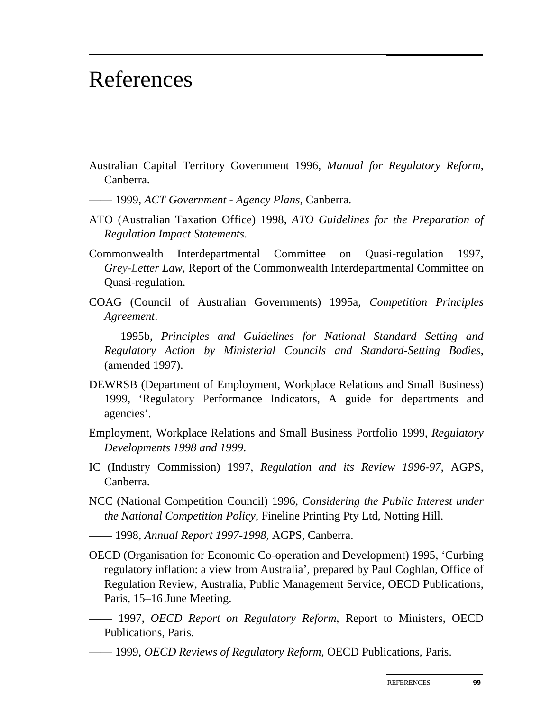# References

- Australian Capital Territory Government 1996, *Manual for Regulatory Reform*, Canberra.
- —— 1999, *ACT Government Agency Plans*, Canberra.
- ATO (Australian Taxation Office) 1998, *ATO Guidelines for the Preparation of Regulation Impact Statements*.
- Commonwealth Interdepartmental Committee on Quasi-regulation 1997, *Grey-Letter Law*, Report of the Commonwealth Interdepartmental Committee on Quasi-regulation.
- COAG (Council of Australian Governments) 1995a, *Competition Principles Agreement*.
- —— 1995b, *Principles and Guidelines for National Standard Setting and Regulatory Action by Ministerial Councils and Standard-Setting Bodies*, (amended 1997).
- DEWRSB (Department of Employment, Workplace Relations and Small Business) 1999, 'Regulatory Performance Indicators, A guide for departments and agencies'.
- Employment, Workplace Relations and Small Business Portfolio 1999, *Regulatory Developments 1998 and 1999*.
- IC (Industry Commission) 1997, *Regulation and its Review 1996-97*, AGPS, Canberra.
- NCC (National Competition Council) 1996, *Considering the Public Interest under the National Competition Policy*, Fineline Printing Pty Ltd, Notting Hill.
- —— 1998, *Annual Report 1997-1998*, AGPS, Canberra.
- OECD (Organisation for Economic Co-operation and Development) 1995, 'Curbing regulatory inflation: a view from Australia', prepared by Paul Coghlan, Office of Regulation Review, Australia, Public Management Service, OECD Publications, Paris, 15–16 June Meeting.
- —— 1997, *OECD Report on Regulatory Reform*, Report to Ministers, OECD Publications, Paris.
- —— 1999, *OECD Reviews of Regulatory Reform*, OECD Publications, Paris.